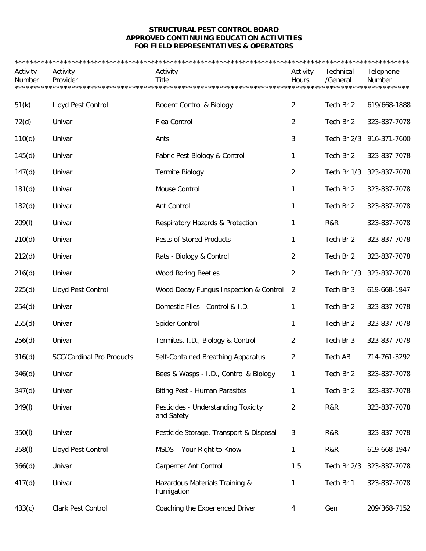## **STRUCTURAL PEST CONTROL BOARD APPROVED CONTINUING EDUCATION ACTIVITIES FOR FIELD REPRESENTATIVES & OPERATORS**

| Activity<br>Number | Activity<br>Provider             | Activity<br><b>Title</b>                          | Activity<br>Hours<br>******** | Technical<br>/General<br>***** | Telephone<br>Number<br>******* |
|--------------------|----------------------------------|---------------------------------------------------|-------------------------------|--------------------------------|--------------------------------|
|                    |                                  |                                                   |                               |                                |                                |
| 51(k)              | Lloyd Pest Control               | Rodent Control & Biology                          | 2                             | Tech Br 2                      | 619/668-1888                   |
| 72(d)              | Univar                           | Flea Control                                      | $\overline{2}$                | Tech Br 2                      | 323-837-7078                   |
| 110(d)             | Univar                           | Ants                                              | 3                             | Tech Br 2/3                    | 916-371-7600                   |
| 145(d)             | Univar                           | Fabric Pest Biology & Control                     | 1                             | Tech Br 2                      | 323-837-7078                   |
| 147(d)             | Univar                           | Termite Biology                                   | 2                             | Tech Br 1/3                    | 323-837-7078                   |
| 181(d)             | Univar                           | Mouse Control                                     | 1                             | Tech Br 2                      | 323-837-7078                   |
| 182(d)             | Univar                           | Ant Control                                       | 1                             | Tech Br 2                      | 323-837-7078                   |
| 209(1)             | Univar                           | Respiratory Hazards & Protection                  | 1                             | R&R                            | 323-837-7078                   |
| 210(d)             | Univar                           | Pests of Stored Products                          | 1                             | Tech Br 2                      | 323-837-7078                   |
| 212(d)             | Univar                           | Rats - Biology & Control                          | 2                             | Tech Br 2                      | 323-837-7078                   |
| 216(d)             | Univar                           | <b>Wood Boring Beetles</b>                        | 2                             | Tech Br 1/3                    | 323-837-7078                   |
| 225(d)             | Lloyd Pest Control               | Wood Decay Fungus Inspection & Control            | 2                             | Tech Br 3                      | 619-668-1947                   |
| 254(d)             | Univar                           | Domestic Flies - Control & I.D.                   | 1                             | Tech Br 2                      | 323-837-7078                   |
| 255(d)             | Univar                           | Spider Control                                    | 1                             | Tech Br 2                      | 323-837-7078                   |
| 256(d)             | Univar                           | Termites, I.D., Biology & Control                 | 2                             | Tech Br 3                      | 323-837-7078                   |
| 316(d)             | <b>SCC/Cardinal Pro Products</b> | Self-Contained Breathing Apparatus                | 2                             | Tech AB                        | 714-761-3292                   |
| 346(d)             | Univar                           | Bees & Wasps - I.D., Control & Biology            | 1                             | Tech Br 2                      | 323-837-7078                   |
| 347(d)             | Univar                           | <b>Biting Pest - Human Parasites</b>              | 1                             | Tech Br 2                      | 323-837-7078                   |
| 349(I)             | Univar                           | Pesticides - Understanding Toxicity<br>and Safety | 2                             | R&R                            | 323-837-7078                   |
| 350(l)             | Univar                           | Pesticide Storage, Transport & Disposal           | 3                             | R&R                            | 323-837-7078                   |
| 358(l)             | Lloyd Pest Control               | MSDS - Your Right to Know                         | 1                             | R&R                            | 619-668-1947                   |
| 366(d)             | Univar                           | <b>Carpenter Ant Control</b>                      | 1.5                           | Tech Br 2/3                    | 323-837-7078                   |
| 417(d)             | Univar                           | Hazardous Materials Training &<br>Fumigation      | 1                             | Tech Br 1                      | 323-837-7078                   |
| 433(c)             | Clark Pest Control               | Coaching the Experienced Driver                   | 4                             | Gen                            | 209/368-7152                   |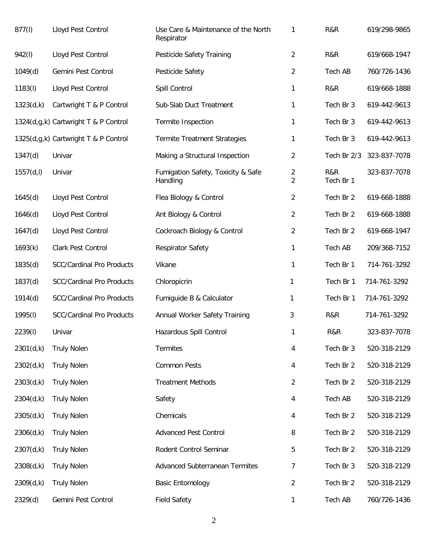| 877(l)     | Lloyd Pest Control                   | Use Care & Maintenance of the North<br>Respirator | 1                                | R&R              | 619/298-9865 |
|------------|--------------------------------------|---------------------------------------------------|----------------------------------|------------------|--------------|
| 942(I)     | Lloyd Pest Control                   | Pesticide Safety Training                         | $\overline{2}$                   | R&R              | 619/668-1947 |
| 1049(d)    | Gemini Pest Control                  | Pesticide Safety                                  | 2                                | Tech AB          | 760/726-1436 |
| 1183(l)    | Lloyd Pest Control                   | Spill Control                                     | 1                                | R&R              | 619/668-1888 |
| 1323(d,k)  | Cartwright T & P Control             | Sub-Slab Duct Treatment                           | 1                                | Tech Br 3        | 619-442-9613 |
|            | 1324(d,g,k) Cartwright T & P Control | Termite Inspection                                | 1                                | Tech Br 3        | 619-442-9613 |
|            | 1325(d,g,k) Cartwright T & P Control | <b>Termite Treatment Strategies</b>               | 1                                | Tech Br 3        | 619-442-9613 |
| 1347(d)    | Univar                               | Making a Structural Inspection                    | $\overline{2}$                   | Tech Br 2/3      | 323-837-7078 |
| 1557(d, I) | Univar                               | Fumigation Safety, Toxicity & Safe<br>Handling    | $\overline{2}$<br>$\overline{2}$ | R&R<br>Tech Br 1 | 323-837-7078 |
| 1645(d)    | Lloyd Pest Control                   | Flea Biology & Control                            | $\overline{c}$                   | Tech Br 2        | 619-668-1888 |
| 1646(d)    | Lloyd Pest Control                   | Ant Biology & Control                             | 2                                | Tech Br 2        | 619-668-1888 |
| 1647(d)    | Lloyd Pest Control                   | Cockroach Biology & Control                       | 2                                | Tech Br 2        | 619-668-1947 |
| 1693(k)    | Clark Pest Control                   | <b>Respirator Safety</b>                          | 1                                | Tech AB          | 209/368-7152 |
| 1835(d)    | <b>SCC/Cardinal Pro Products</b>     | Vikane                                            | 1                                | Tech Br 1        | 714-761-3292 |
| 1837(d)    | <b>SCC/Cardinal Pro Products</b>     | Chloropicrin                                      | 1                                | Tech Br 1        | 714-761-3292 |
| 1914(d)    | <b>SCC/Cardinal Pro Products</b>     | Fumiguide B & Calculator                          | 1                                | Tech Br 1        | 714-761-3292 |
| 1995(l)    | <b>SCC/Cardinal Pro Products</b>     | Annual Worker Safety Training                     | 3                                | R&R              | 714-761-3292 |
| 2239(l)    | Univar                               | Hazardous Spill Control                           | 1                                | R&R              | 323-837-7078 |
| 2301(d,k)  | <b>Truly Nolen</b>                   | <b>Termites</b>                                   | 4                                | Tech Br 3        | 520-318-2129 |
| 2302(d,k)  | <b>Truly Nolen</b>                   | <b>Common Pests</b>                               | 4                                | Tech Br 2        | 520-318-2129 |
| 2303(d,k)  | <b>Truly Nolen</b>                   | <b>Treatment Methods</b>                          | 2                                | Tech Br 2        | 520-318-2129 |
| 2304(d,k)  | <b>Truly Nolen</b>                   | Safety                                            | 4                                | Tech AB          | 520-318-2129 |
| 2305(d,k)  | <b>Truly Nolen</b>                   | Chemicals                                         | 4                                | Tech Br 2        | 520-318-2129 |
| 2306(d,k)  | <b>Truly Nolen</b>                   | <b>Advanced Pest Control</b>                      | 8                                | Tech Br 2        | 520-318-2129 |
| 2307(d,k)  | <b>Truly Nolen</b>                   | Rodent Control Seminar                            | 5                                | Tech Br 2        | 520-318-2129 |
| 2308(d,k)  | <b>Truly Nolen</b>                   | <b>Advanced Subterranean Termites</b>             | 7                                | Tech Br 3        | 520-318-2129 |
| 2309(d,k)  | <b>Truly Nolen</b>                   | <b>Basic Entomology</b>                           | $\overline{2}$                   | Tech Br 2        | 520-318-2129 |
| 2329(d)    | Gemini Pest Control                  | <b>Field Safety</b>                               | $\mathbf{1}$                     | Tech AB          | 760/726-1436 |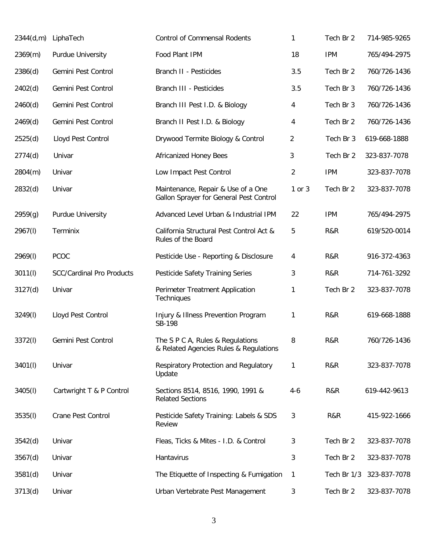| 2344(d,m) | LiphaTech                        | <b>Control of Commensal Rodents</b>                                           | 1              | Tech Br 2   | 714-985-9265 |
|-----------|----------------------------------|-------------------------------------------------------------------------------|----------------|-------------|--------------|
| 2369(m)   | <b>Purdue University</b>         | Food Plant IPM                                                                | 18             | <b>IPM</b>  | 765/494-2975 |
| 2386(d)   | Gemini Pest Control              | Branch II - Pesticides                                                        | 3.5            | Tech Br 2   | 760/726-1436 |
| 2402(d)   | Gemini Pest Control              | Branch III - Pesticides                                                       | 3.5            | Tech Br 3   | 760/726-1436 |
| 2460(d)   | Gemini Pest Control              | Branch III Pest I.D. & Biology                                                | 4              | Tech Br 3   | 760/726-1436 |
| 2469(d)   | Gemini Pest Control              | Branch II Pest I.D. & Biology                                                 | 4              | Tech Br 2   | 760/726-1436 |
| 2525(d)   | Lloyd Pest Control               | Drywood Termite Biology & Control                                             | 2              | Tech Br 3   | 619-668-1888 |
| 2774(d)   | Univar                           | <b>Africanized Honey Bees</b>                                                 | 3              | Tech Br 2   | 323-837-7078 |
| 2804(m)   | Univar                           | Low Impact Pest Control                                                       | $\overline{2}$ | <b>IPM</b>  | 323-837-7078 |
| 2832(d)   | Univar                           | Maintenance, Repair & Use of a One<br>Gallon Sprayer for General Pest Control | 1 or 3         | Tech Br 2   | 323-837-7078 |
| 2959(g)   | Purdue University                | Advanced Level Urban & Industrial IPM                                         | 22             | <b>IPM</b>  | 765/494-2975 |
| 2967(I)   | Terminix                         | California Structural Pest Control Act &<br>Rules of the Board                | 5              | R&R         | 619/520-0014 |
| 2969(l)   | <b>PCOC</b>                      | Pesticide Use - Reporting & Disclosure                                        | 4              | R&R         | 916-372-4363 |
| 3011(l)   | <b>SCC/Cardinal Pro Products</b> | Pesticide Safety Training Series                                              | 3              | R&R         | 714-761-3292 |
| 3127(d)   | Univar                           | Perimeter Treatment Application<br><b>Techniques</b>                          | 1              | Tech Br 2   | 323-837-7078 |
| 3249(l)   | Lloyd Pest Control               | Injury & Illness Prevention Program<br>SB-198                                 | 1              | R&R         | 619-668-1888 |
| 3372(I)   | Gemini Pest Control              | The S P C A, Rules & Regulations<br>& Related Agencies Rules & Regulations    | 8              | R&R         | 760/726-1436 |
| 3401(l)   | Univar                           | Respiratory Protection and Regulatory<br>Update                               | 1              | R&R         | 323-837-7078 |
| 3405(l)   | Cartwright T & P Control         | Sections 8514, 8516, 1990, 1991 &<br><b>Related Sections</b>                  | $4-6$          | R&R         | 619-442-9613 |
| 3535(l)   | Crane Pest Control               | Pesticide Safety Training: Labels & SDS<br>Review                             | 3              | R&R         | 415-922-1666 |
| 3542(d)   | Univar                           | Fleas, Ticks & Mites - I.D. & Control                                         | 3              | Tech Br 2   | 323-837-7078 |
| 3567(d)   | Univar                           | Hantavirus                                                                    | 3              | Tech Br 2   | 323-837-7078 |
| 3581(d)   | Univar                           | The Etiquette of Inspecting & Fumigation                                      | 1              | Tech Br 1/3 | 323-837-7078 |
| 3713(d)   | Univar                           | Urban Vertebrate Pest Management                                              | 3              | Tech Br 2   | 323-837-7078 |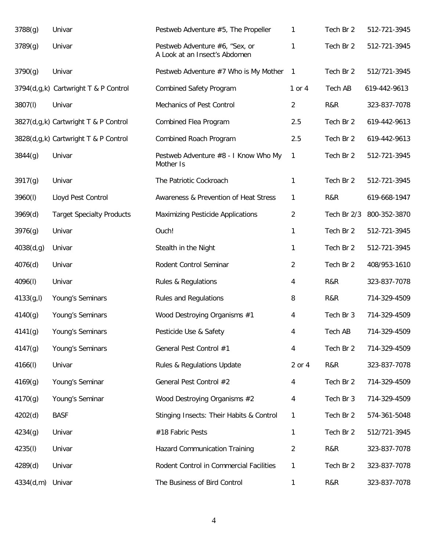| 3788(g)    | Univar                               | Pestweb Adventure #5, The Propeller                             | 1              | Tech Br 2   | 512-721-3945 |
|------------|--------------------------------------|-----------------------------------------------------------------|----------------|-------------|--------------|
| 3789(g)    | Univar                               | Pestweb Adventure #6, "Sex, or<br>A Look at an Insect's Abdomen | 1              | Tech Br 2   | 512-721-3945 |
| 3790(g)    | Univar                               | Pestweb Adventure #7 Who is My Mother                           | $\mathbf{1}$   | Tech Br 2   | 512/721-3945 |
|            | 3794(d,g,k) Cartwright T & P Control | <b>Combined Safety Program</b>                                  | $1$ or $4$     | Tech AB     | 619-442-9613 |
| 3807(I)    | Univar                               | Mechanics of Pest Control                                       | $\overline{2}$ | R&R         | 323-837-7078 |
|            | 3827(d,g,k) Cartwright T & P Control | Combined Flea Program                                           | 2.5            | Tech Br 2   | 619-442-9613 |
|            | 3828(d,g,k) Cartwright T & P Control | Combined Roach Program                                          | 2.5            | Tech Br 2   | 619-442-9613 |
| 3844(g)    | Univar                               | Pestweb Adventure #8 - I Know Who My<br>Mother Is               | 1              | Tech Br 2   | 512-721-3945 |
| 3917(g)    | Univar                               | The Patriotic Cockroach                                         | 1              | Tech Br 2   | 512-721-3945 |
| 3960(I)    | Lloyd Pest Control                   | Awareness & Prevention of Heat Stress                           | 1              | R&R         | 619-668-1947 |
| 3969(d)    | <b>Target Specialty Products</b>     | Maximizing Pesticide Applications                               | $\overline{2}$ | Tech Br 2/3 | 800-352-3870 |
| 3976(g)    | Univar                               | Ouch!                                                           | 1              | Tech Br 2   | 512-721-3945 |
| 4038(d,g)  | Univar                               | Stealth in the Night                                            | 1              | Tech Br 2   | 512-721-3945 |
| 4076(d)    | Univar                               | Rodent Control Seminar                                          | 2              | Tech Br 2   | 408/953-1610 |
| 4096(I)    | Univar                               | <b>Rules &amp; Regulations</b>                                  | 4              | R&R         | 323-837-7078 |
| 4133(g, I) | Young's Seminars                     | <b>Rules and Regulations</b>                                    | 8              | R&R         | 714-329-4509 |
| 4140(g)    | Young's Seminars                     | Wood Destroying Organisms #1                                    | 4              | Tech Br 3   | 714-329-4509 |
| 4141(g)    | Young's Seminars                     | Pesticide Use & Safety                                          | 4              | Tech AB     | 714-329-4509 |
| 4147(g)    | Young's Seminars                     | General Pest Control #1                                         | 4              | Tech Br 2   | 714-329-4509 |
| 4166(I)    | Univar                               | Rules & Regulations Update                                      | 2 or 4         | R&R         | 323-837-7078 |
| 4169(g)    | Young's Seminar                      | General Pest Control #2                                         | 4              | Tech Br 2   | 714-329-4509 |
| 4170(g)    | Young's Seminar                      | Wood Destroying Organisms #2                                    | 4              | Tech Br 3   | 714-329-4509 |
| 4202(d)    | <b>BASF</b>                          | Stinging Insects: Their Habits & Control                        | 1              | Tech Br 2   | 574-361-5048 |
| 4234(g)    | Univar                               | #18 Fabric Pests                                                | 1              | Tech Br 2   | 512/721-3945 |
| 4235(I)    | Univar                               | Hazard Communication Training                                   | 2              | R&R         | 323-837-7078 |
| 4289(d)    | Univar                               | Rodent Control in Commercial Facilities                         | 1              | Tech Br 2   | 323-837-7078 |
| 4334(d,m)  | Univar                               | The Business of Bird Control                                    | 1              | R&R         | 323-837-7078 |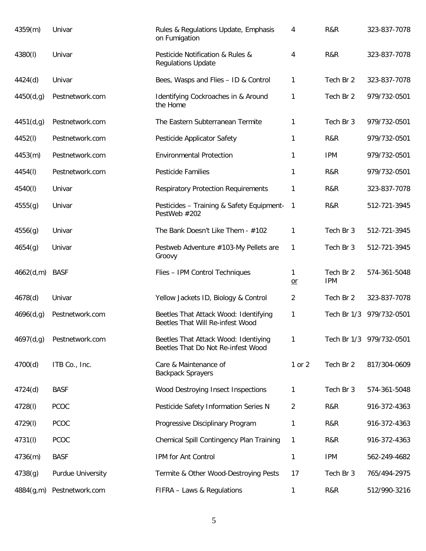| 4359(m)   | Univar            | Rules & Regulations Update, Emphasis<br>on Fumigation                      | 4         | R&R                     | 323-837-7078             |
|-----------|-------------------|----------------------------------------------------------------------------|-----------|-------------------------|--------------------------|
| 4380(l)   | Univar            | Pesticide Notification & Rules &<br><b>Regulations Update</b>              | 4         | R&R                     | 323-837-7078             |
| 4424(d)   | Univar            | Bees, Wasps and Flies - ID & Control                                       | 1         | Tech Br 2               | 323-837-7078             |
| 4450(d,g) | Pestnetwork.com   | Identifying Cockroaches in & Around<br>the Home                            | 1         | Tech Br 2               | 979/732-0501             |
| 4451(d,g) | Pestnetwork.com   | The Eastern Subterranean Termite                                           | 1         | Tech Br 3               | 979/732-0501             |
| 4452(I)   | Pestnetwork.com   | Pesticide Applicator Safety                                                | 1         | R&R                     | 979/732-0501             |
| 4453(m)   | Pestnetwork.com   | <b>Environmental Protection</b>                                            | 1         | <b>IPM</b>              | 979/732-0501             |
| 4454(I)   | Pestnetwork.com   | <b>Pesticide Families</b>                                                  | 1         | R&R                     | 979/732-0501             |
| 4540(I)   | Univar            | <b>Respiratory Protection Requirements</b>                                 | 1         | R&R                     | 323-837-7078             |
| 4555(g)   | Univar            | Pesticides - Training & Safety Equipment-<br>PestWeb #202                  | 1         | R&R                     | 512-721-3945             |
| 4556(g)   | Univar            | The Bank Doesn't Like Them - #102                                          | 1         | Tech Br 3               | 512-721-3945             |
| 4654(g)   | Univar            | Pestweb Adventure #103-My Pellets are<br>Groovy                            | 1         | Tech Br 3               | 512-721-3945             |
| 4662(d,m) | <b>BASF</b>       | Flies - IPM Control Techniques                                             | 1<br>$or$ | Tech Br 2<br><b>IPM</b> | 574-361-5048             |
| 4678(d)   | Univar            | Yellow Jackets ID, Biology & Control                                       | 2         | Tech Br 2               | 323-837-7078             |
| 4696(d,g) | Pestnetwork.com   | Beetles That Attack Wood: Identifying<br>Beetles That Will Re-infest Wood  | 1         |                         | Tech Br 1/3 979/732-0501 |
| 4697(d,g) | Pestnetwork.com   | Beetles That Attack Wood: Identiying<br>Beetles That Do Not Re-infest Wood | 1         |                         | Tech Br 1/3 979/732-0501 |
| 4700(d)   | ITB Co., Inc.     | Care & Maintenance of<br><b>Backpack Sprayers</b>                          | 1 or 2    | Tech Br 2               | 817/304-0609             |
| 4724(d)   | <b>BASF</b>       | Wood Destroying Insect Inspections                                         | 1         | Tech Br 3               | 574-361-5048             |
| 4728(I)   | <b>PCOC</b>       | Pesticide Safety Information Series N                                      | 2         | R&R                     | 916-372-4363             |
| 4729(I)   | PCOC              | Progressive Disciplinary Program                                           | 1         | R&R                     | 916-372-4363             |
| 4731(I)   | PCOC              | Chemical Spill Contingency Plan Training                                   | 1         | R&R                     | 916-372-4363             |
| 4736(m)   | <b>BASF</b>       | IPM for Ant Control                                                        | 1         | <b>IPM</b>              | 562-249-4682             |
| 4738(g)   | Purdue University | Termite & Other Wood-Destroying Pests                                      | 17        | Tech Br 3               | 765/494-2975             |
| 4884(g,m) | Pestnetwork.com   | FIFRA - Laws & Regulations                                                 | 1         | R&R                     | 512/990-3216             |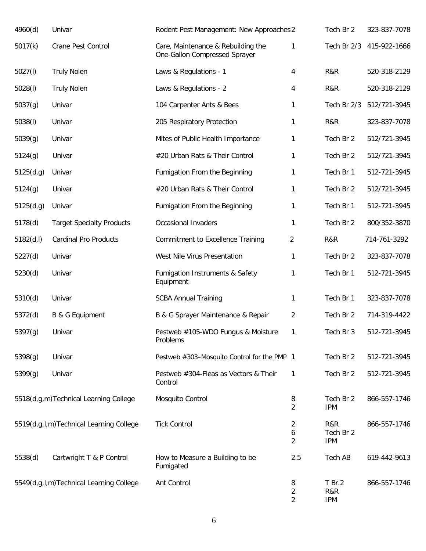| 4960(d)    | Univar                                  | Rodent Pest Management: New Approaches 2                            |                          | Tech Br 2                      | 323-837-7078 |
|------------|-----------------------------------------|---------------------------------------------------------------------|--------------------------|--------------------------------|--------------|
| 5017(k)    | Crane Pest Control                      | Care, Maintenance & Rebuilding the<br>One-Gallon Compressed Sprayer | 1                        | Tech Br 2/3                    | 415-922-1666 |
| 5027(l)    | <b>Truly Nolen</b>                      | Laws & Regulations - 1                                              | 4                        | R&R                            | 520-318-2129 |
| 5028(l)    | <b>Truly Nolen</b>                      | Laws & Regulations - 2                                              | 4                        | R&R                            | 520-318-2129 |
| 5037(g)    | Univar                                  | 104 Carpenter Ants & Bees                                           | 1                        | Tech Br 2/3                    | 512/721-3945 |
| 5038(l)    | Univar                                  | 205 Respiratory Protection                                          | $\mathbf{1}$             | R&R                            | 323-837-7078 |
| 5039(g)    | Univar                                  | Mites of Public Health Importance                                   | 1                        | Tech Br 2                      | 512/721-3945 |
| 5124(g)    | Univar                                  | #20 Urban Rats & Their Control                                      | $\mathbf{1}$             | Tech Br 2                      | 512/721-3945 |
| 5125(d,g)  | Univar                                  | Fumigation From the Beginning                                       | $\mathbf{1}$             | Tech Br 1                      | 512-721-3945 |
| 5124(g)    | Univar                                  | #20 Urban Rats & Their Control                                      | $\mathbf{1}$             | Tech Br 2                      | 512/721-3945 |
| 5125(d,g)  | Univar                                  | Fumigation From the Beginning                                       | $\mathbf{1}$             | Tech Br 1                      | 512-721-3945 |
| 5178(d)    | <b>Target Specialty Products</b>        | Occasional Invaders                                                 | $\mathbf{1}$             | Tech Br 2                      | 800/352-3870 |
| 5182(d, I) | <b>Cardinal Pro Products</b>            | <b>Commitment to Excellence Training</b>                            | $\overline{2}$           | R&R                            | 714-761-3292 |
| 5227(d)    | Univar                                  | West Nile Virus Presentation                                        | $\mathbf{1}$             | Tech Br 2                      | 323-837-7078 |
| 5230(d)    | Univar                                  | Fumigation Instruments & Safety<br>Equipment                        | 1                        | Tech Br 1                      | 512-721-3945 |
| 5310(d)    | Univar                                  | <b>SCBA Annual Training</b>                                         | $\mathbf{1}$             | Tech Br 1                      | 323-837-7078 |
| 5372(d)    | B & G Equipment                         | B & G Sprayer Maintenance & Repair                                  | $\overline{2}$           | Tech Br 2                      | 714-319-4422 |
| 5397(g)    | Univar                                  | Pestweb #105-WDO Fungus & Moisture<br>Problems                      | 1                        | Tech Br 3                      | 512-721-3945 |
| 5398(g)    | Univar                                  | Pestweb #303-Mosquito Control for the PMP 1                         |                          | Tech Br 2                      | 512-721-3945 |
| 5399(g)    | Univar                                  | Pestweb #304-Fleas as Vectors & Their<br>Control                    | 1                        | Tech Br 2                      | 512-721-3945 |
|            | 5518(d,g,m)Technical Learning College   | Mosquito Control                                                    | 8<br>$\overline{2}$      | Tech Br 2<br><b>IPM</b>        | 866-557-1746 |
|            | 5519(d,g,l,m)Technical Learning College | <b>Tick Control</b>                                                 | 2<br>6<br>$\overline{2}$ | R&R<br>Tech Br 2<br><b>IPM</b> | 866-557-1746 |
| 5538(d)    | Cartwright T & P Control                | How to Measure a Building to be<br>Fumigated                        | 2.5                      | Tech AB                        | 619-442-9613 |
|            | 5549(d,g,l,m)Technical Learning College | Ant Control                                                         | 8<br>2<br>2              | $T$ Br.2<br>R&R<br><b>IPM</b>  | 866-557-1746 |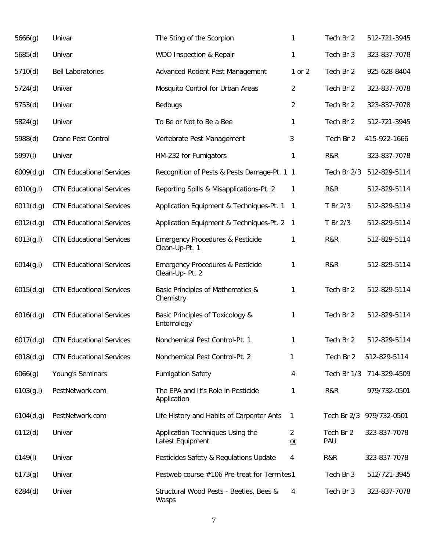| 5666(g)    | Univar                          | The Sting of the Scorpion                                     | $\mathbf{1}$             | Tech Br 2        | 512-721-3945             |
|------------|---------------------------------|---------------------------------------------------------------|--------------------------|------------------|--------------------------|
| 5685(d)    | Univar                          | WDO Inspection & Repair                                       | 1                        | Tech Br 3        | 323-837-7078             |
| 5710(d)    | <b>Bell Laboratories</b>        | Advanced Rodent Pest Management                               | 1 or 2                   | Tech Br 2        | 925-628-8404             |
| 5724(d)    | Univar                          | Mosquito Control for Urban Areas                              | $\overline{2}$           | Tech Br 2        | 323-837-7078             |
| 5753(d)    | Univar                          | Bedbugs                                                       | $\overline{2}$           | Tech Br 2        | 323-837-7078             |
| 5824(g)    | Univar                          | To Be or Not to Be a Bee                                      | $\mathbf{1}$             | Tech Br 2        | 512-721-3945             |
| 5988(d)    | Crane Pest Control              | Vertebrate Pest Management                                    | 3                        | Tech Br 2        | 415-922-1666             |
| 5997(I)    | Univar                          | HM-232 for Fumigators                                         | $\mathbf{1}$             | R&R              | 323-837-7078             |
| 6009(d,g)  | <b>CTN Educational Services</b> | Recognition of Pests & Pests Damage-Pt. 1 1                   |                          | Tech Br 2/3      | 512-829-5114             |
| 6010(g, I) | <b>CTN Educational Services</b> | Reporting Spills & Misapplications-Pt. 2                      | $\mathbf{1}$             | R&R              | 512-829-5114             |
| 6011(d,g)  | <b>CTN Educational Services</b> | Application Equipment & Techniques-Pt. 1                      | $\mathbf{1}$             | T Br 2/3         | 512-829-5114             |
| 6012(d,g)  | <b>CTN Educational Services</b> | Application Equipment & Techniques-Pt. 2                      | $\overline{\phantom{a}}$ | T Br 2/3         | 512-829-5114             |
| 6013(g, I) | <b>CTN Educational Services</b> | <b>Emergency Procedures &amp; Pesticide</b><br>Clean-Up-Pt. 1 | 1                        | R&R              | 512-829-5114             |
| 6014(g, I) | <b>CTN Educational Services</b> | <b>Emergency Procedures &amp; Pesticide</b><br>Clean-Up-Pt. 2 | 1                        | R&R              | 512-829-5114             |
| 6015(d,g)  | <b>CTN Educational Services</b> | Basic Principles of Mathematics &<br>Chemistry                | 1                        | Tech Br 2        | 512-829-5114             |
| 6016(d,g)  | <b>CTN Educational Services</b> | Basic Principles of Toxicology &<br>Entomology                | 1                        | Tech Br 2        | 512-829-5114             |
| 6017(d,g)  | <b>CTN Educational Services</b> | Nonchemical Pest Control-Pt. 1                                | 1                        | Tech Br 2        | 512-829-5114             |
| 6018(d,g)  | <b>CTN Educational Services</b> | Nonchemical Pest Control-Pt. 2                                | 1                        | Tech Br 2        | 512-829-5114             |
| 6066(g)    | Young's Seminars                | <b>Fumigation Safety</b>                                      | 4                        | Tech Br 1/3      | 714-329-4509             |
| 6103(g, I) | PestNetwork.com                 | The EPA and It's Role in Pesticide<br>Application             | 1                        | R&R              | 979/732-0501             |
| 6104(d,g)  | PestNetwork.com                 | Life History and Habits of Carpenter Ants                     | $\mathbf{1}$             |                  | Tech Br 2/3 979/732-0501 |
| 6112(d)    | Univar                          | Application Techniques Using the<br>Latest Equipment          | $\overline{2}$<br>$or$   | Tech Br 2<br>PAU | 323-837-7078             |
| 6149(1)    | Univar                          | Pesticides Safety & Regulations Update                        | 4                        | R&R              | 323-837-7078             |
| 6173(g)    | Univar                          | Pestweb course #106 Pre-treat for Termites1                   |                          | Tech Br 3        | 512/721-3945             |
| 6284(d)    | Univar                          | Structural Wood Pests - Beetles, Bees &<br>Wasps              | 4                        | Tech Br 3        | 323-837-7078             |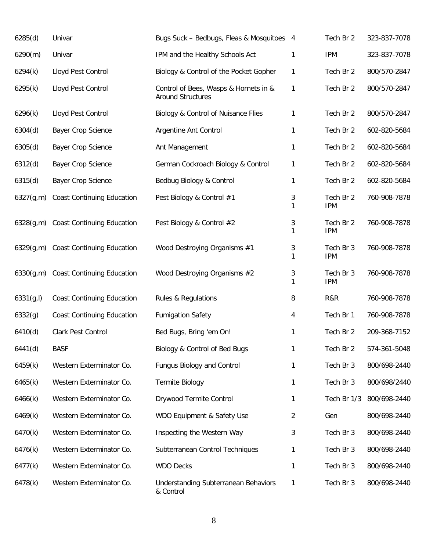| 6285(d)    | Univar                               | Bugs Suck - Bedbugs, Fleas & Mosquitoes 4                         |              | Tech Br 2               | 323-837-7078 |
|------------|--------------------------------------|-------------------------------------------------------------------|--------------|-------------------------|--------------|
| 6290(m)    | Univar                               | IPM and the Healthy Schools Act                                   | 1            | <b>IPM</b>              | 323-837-7078 |
| 6294(k)    | Lloyd Pest Control                   | Biology & Control of the Pocket Gopher                            | $\mathbf{1}$ | Tech Br 2               | 800/570-2847 |
| 6295(k)    | Lloyd Pest Control                   | Control of Bees, Wasps & Hornets in &<br><b>Around Structures</b> | 1            | Tech Br 2               | 800/570-2847 |
| 6296(k)    | Lloyd Pest Control                   | Biology & Control of Nuisance Flies                               | 1            | Tech Br 2               | 800/570-2847 |
| 6304(d)    | Bayer Crop Science                   | Argentine Ant Control                                             | 1            | Tech Br 2               | 602-820-5684 |
| 6305(d)    | Bayer Crop Science                   | Ant Management                                                    | 1            | Tech Br 2               | 602-820-5684 |
| 6312(d)    | Bayer Crop Science                   | German Cockroach Biology & Control                                | 1            | Tech Br 2               | 602-820-5684 |
| 6315(d)    | Bayer Crop Science                   | Bedbug Biology & Control                                          | 1            | Tech Br 2               | 602-820-5684 |
| 6327(g,m)  | <b>Coast Continuing Education</b>    | Pest Biology & Control #1                                         | 3<br>1       | Tech Br 2<br><b>IPM</b> | 760-908-7878 |
|            | 6328(g,m) Coast Continuing Education | Pest Biology & Control #2                                         | 3<br>1       | Tech Br 2<br><b>IPM</b> | 760-908-7878 |
| 6329(g,m)  | <b>Coast Continuing Education</b>    | Wood Destroying Organisms #1                                      | 3<br>1       | Tech Br 3<br><b>IPM</b> | 760-908-7878 |
| 6330(g,m)  | <b>Coast Continuing Education</b>    | Wood Destroying Organisms #2                                      | 3<br>1       | Tech Br 3<br><b>IPM</b> | 760-908-7878 |
| 6331(g, I) | <b>Coast Continuing Education</b>    | <b>Rules &amp; Regulations</b>                                    | 8            | R&R                     | 760-908-7878 |
| 6332(g)    | <b>Coast Continuing Education</b>    | <b>Fumigation Safety</b>                                          | 4            | Tech Br 1               | 760-908-7878 |
| 6410(d)    | Clark Pest Control                   | Bed Bugs, Bring 'em On!                                           | 1            | Tech Br 2               | 209-368-7152 |
| 6441(d)    | <b>BASF</b>                          | Biology & Control of Bed Bugs                                     | 1            | Tech Br 2               | 574-361-5048 |
| 6459(k)    | Western Exterminator Co.             | <b>Fungus Biology and Control</b>                                 | 1            | Tech Br 3               | 800/698-2440 |
| 6465(k)    | Western Exterminator Co.             | <b>Termite Biology</b>                                            | 1            | Tech Br 3               | 800/698/2440 |
| 6466(k)    | Western Exterminator Co.             | Drywood Termite Control                                           | 1            | Tech Br 1/3             | 800/698-2440 |
| 6469(k)    | Western Exterminator Co.             | WDO Equipment & Safety Use                                        | 2            | Gen                     | 800/698-2440 |
| 6470(k)    | Western Exterminator Co.             | Inspecting the Western Way                                        | 3            | Tech Br 3               | 800/698-2440 |
| 6476(k)    | Western Exterminator Co.             | Subterranean Control Techniques                                   | 1            | Tech Br 3               | 800/698-2440 |
| 6477(k)    | Western Exterminator Co.             | <b>WDO Decks</b>                                                  | 1            | Tech Br 3               | 800/698-2440 |
| 6478(k)    | Western Exterminator Co.             | <b>Understanding Subterranean Behaviors</b><br>& Control          | 1            | Tech Br 3               | 800/698-2440 |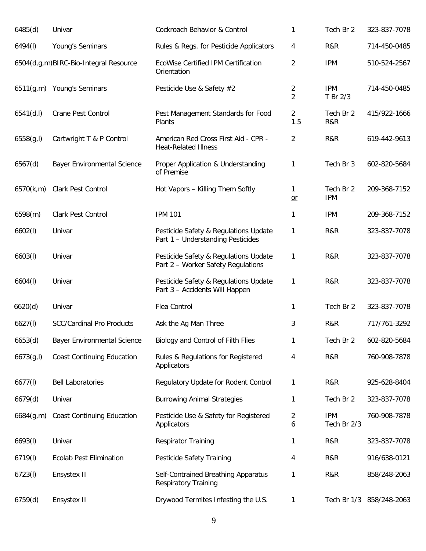| 6485(d)    | Univar                                | Cockroach Behavior & Control                                                | 1                     | Tech Br 2                 | 323-837-7078             |
|------------|---------------------------------------|-----------------------------------------------------------------------------|-----------------------|---------------------------|--------------------------|
| 6494(I)    | Young's Seminars                      | Rules & Regs. for Pesticide Applicators                                     | 4                     | R&R                       | 714-450-0485             |
|            | 6504(d,g,m)BIRC-Bio-Integral Resource | EcoWise Certified IPM Certification<br>Orientation                          | 2                     | <b>IPM</b>                | 510-524-2567             |
|            | 6511(g,m) Young's Seminars            | Pesticide Use & Safety #2                                                   | 2<br>$\overline{2}$   | <b>IPM</b><br>T Br 2/3    | 714-450-0485             |
| 6541(d, l) | <b>Crane Pest Control</b>             | Pest Management Standards for Food<br>Plants                                | $\overline{2}$<br>1.5 | Tech Br 2<br>R&R          | 415/922-1666             |
| 6558(g, I) | Cartwright T & P Control              | American Red Cross First Aid - CPR -<br><b>Heat-Related Illness</b>         | 2                     | R&R                       | 619-442-9613             |
| 6567(d)    | <b>Bayer Environmental Science</b>    | Proper Application & Understanding<br>of Premise                            | 1                     | Tech Br 3                 | 602-820-5684             |
| 6570(k,m)  | Clark Pest Control                    | Hot Vapors - Killing Them Softly                                            | 1<br>$or$             | Tech Br 2<br><b>IPM</b>   | 209-368-7152             |
| 6598(m)    | <b>Clark Pest Control</b>             | <b>IPM 101</b>                                                              | 1                     | <b>IPM</b>                | 209-368-7152             |
| 6602(1)    | Univar                                | Pesticide Safety & Regulations Update<br>Part 1 - Understanding Pesticides  | 1                     | R&R                       | 323-837-7078             |
| 6603(l)    | Univar                                | Pesticide Safety & Regulations Update<br>Part 2 - Worker Safety Regulations | 1                     | R&R                       | 323-837-7078             |
| 6604(1)    | Univar                                | Pesticide Safety & Regulations Update<br>Part 3 - Accidents Will Happen     | 1                     | R&R                       | 323-837-7078             |
| 6620(d)    | Univar                                | Flea Control                                                                | 1                     | Tech Br 2                 | 323-837-7078             |
| 6627(l)    | <b>SCC/Cardinal Pro Products</b>      | Ask the Ag Man Three                                                        | 3                     | R&R                       | 717/761-3292             |
| 6653(d)    | <b>Bayer Environmental Science</b>    | Biology and Control of Filth Flies                                          | 1                     | Tech Br 2                 | 602-820-5684             |
| 6673(g, I) | <b>Coast Continuing Education</b>     | Rules & Regulations for Registered<br>Applicators                           | 4                     | R&R                       | 760-908-7878             |
| 6677(1)    | <b>Bell Laboratories</b>              | Regulatory Update for Rodent Control                                        | 1                     | R&R                       | 925-628-8404             |
| 6679(d)    | Univar                                | <b>Burrowing Animal Strategies</b>                                          | 1                     | Tech Br 2                 | 323-837-7078             |
| 6684(g,m)  | <b>Coast Continuing Education</b>     | Pesticide Use & Safety for Registered<br>Applicators                        | 2<br>6                | <b>IPM</b><br>Tech Br 2/3 | 760-908-7878             |
| 6693(l)    | Univar                                | <b>Respirator Training</b>                                                  | 1                     | R&R                       | 323-837-7078             |
| 6719(l)    | <b>Ecolab Pest Elimination</b>        | Pesticide Safety Training                                                   | 4                     | R&R                       | 916/638-0121             |
| 6723(l)    | Ensystex II                           | Self-Contrained Breathing Apparatus<br><b>Respiratory Training</b>          | 1                     | R&R                       | 858/248-2063             |
| 6759(d)    | Ensystex II                           | Drywood Termites Infesting the U.S.                                         | 1                     |                           | Tech Br 1/3 858/248-2063 |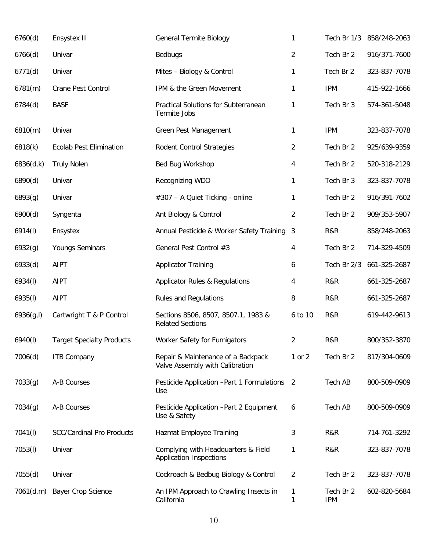| 6760(d)    | Ensystex II                      | <b>General Termite Biology</b>                                        | 1                 |                         | Tech Br 1/3 858/248-2063 |
|------------|----------------------------------|-----------------------------------------------------------------------|-------------------|-------------------------|--------------------------|
| 6766(d)    | Univar                           | Bedbugs                                                               | $\overline{2}$    | Tech Br 2               | 916/371-7600             |
| 6771(d)    | Univar                           | Mites - Biology & Control                                             | 1                 | Tech Br 2               | 323-837-7078             |
| 6781(m)    | Crane Pest Control               | IPM & the Green Movement                                              | 1                 | <b>IPM</b>              | 415-922-1666             |
| 6784(d)    | <b>BASF</b>                      | Practical Solutions for Subterranean<br>Termite Jobs                  | 1                 | Tech Br 3               | 574-361-5048             |
| 6810(m)    | Univar                           | Green Pest Management                                                 | 1                 | <b>IPM</b>              | 323-837-7078             |
| 6818(k)    | <b>Ecolab Pest Elimination</b>   | <b>Rodent Control Strategies</b>                                      | $\overline{2}$    | Tech Br 2               | 925/639-9359             |
| 6836(d,k)  | <b>Truly Nolen</b>               | Bed Bug Workshop                                                      | 4                 | Tech Br 2               | 520-318-2129             |
| 6890(d)    | Univar                           | Recognizing WDO                                                       | 1                 | Tech Br 3               | 323-837-7078             |
| 6893(g)    | Univar                           | #307 - A Quiet Ticking - online                                       | 1                 | Tech Br 2               | 916/391-7602             |
| 6900(d)    | Syngenta                         | Ant Biology & Control                                                 | $\overline{c}$    | Tech Br 2               | 909/353-5907             |
| 6914(l)    | Ensystex                         | Annual Pesticide & Worker Safety Training                             | 3                 | R&R                     | 858/248-2063             |
| 6932(g)    | Youngs Seminars                  | General Pest Control #3                                               | 4                 | Tech Br 2               | 714-329-4509             |
| 6933(d)    | <b>AIPT</b>                      | <b>Applicator Training</b>                                            | 6                 | Tech Br 2/3             | 661-325-2687             |
| 6934(I)    | <b>AIPT</b>                      | Applicator Rules & Regulations                                        | 4                 | R&R                     | 661-325-2687             |
| 6935(l)    | <b>AIPT</b>                      | <b>Rules and Regulations</b>                                          | 8                 | R&R                     | 661-325-2687             |
| 6936(g, I) | Cartwright T & P Control         | Sections 8506, 8507, 8507.1, 1983 &<br><b>Related Sections</b>        | 6 to 10           | R&R                     | 619-442-9613             |
| 6940(l)    | <b>Target Specialty Products</b> | Worker Safety for Fumigators                                          | $\overline{2}$    | R&R                     | 800/352-3870             |
| 7006(d)    | <b>ITB Company</b>               | Repair & Maintenance of a Backpack<br>Valve Assembly with Calibration | 1 or 2            | Tech Br 2               | 817/304-0609             |
| 7033(g)    | A-B Courses                      | Pesticide Application - Part 1 Formulations<br>Use                    | 2                 | <b>Tech AB</b>          | 800-509-0909             |
| 7034(g)    | A-B Courses                      | Pesticide Application - Part 2 Equipment<br>Use & Safety              | 6                 | Tech AB                 | 800-509-0909             |
| 7041(I)    | <b>SCC/Cardinal Pro Products</b> | Hazmat Employee Training                                              | 3                 | R&R                     | 714-761-3292             |
| 7053(l)    | Univar                           | Complying with Headquarters & Field<br><b>Application Inspections</b> | 1                 | R&R                     | 323-837-7078             |
| 7055(d)    | Univar                           | Cockroach & Bedbug Biology & Control                                  | 2                 | Tech Br 2               | 323-837-7078             |
| 7061(d,m)  | <b>Bayer Crop Science</b>        | An IPM Approach to Crawling Insects in<br>California                  | $\mathbf{1}$<br>1 | Tech Br 2<br><b>IPM</b> | 602-820-5684             |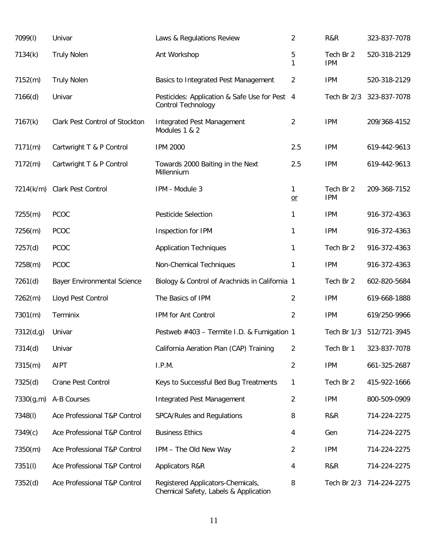| 7099(I)   | Univar                             | Laws & Regulations Review                                                  | $\overline{2}$ | R&R                     | 323-837-7078 |
|-----------|------------------------------------|----------------------------------------------------------------------------|----------------|-------------------------|--------------|
| 7134(k)   | <b>Truly Nolen</b>                 | Ant Workshop                                                               | 5<br>1         | Tech Br 2<br><b>IPM</b> | 520-318-2129 |
| 7152(m)   | <b>Truly Nolen</b>                 | Basics to Integrated Pest Management                                       | $\overline{2}$ | <b>IPM</b>              | 520-318-2129 |
| 7166(d)   | Univar                             | Pesticides: Application & Safe Use for Pest 4<br>Control Technology        |                | Tech Br 2/3             | 323-837-7078 |
| 7167(k)   | Clark Pest Control of Stockton     | <b>Integrated Pest Management</b><br>Modules 1 & 2                         | $\overline{2}$ | <b>IPM</b>              | 209/368-4152 |
| 7171(m)   | Cartwright T & P Control           | <b>IPM 2000</b>                                                            | 2.5            | <b>IPM</b>              | 619-442-9613 |
| 7172(m)   | Cartwright T & P Control           | Towards 2000 Baiting in the Next<br>Millennium                             | 2.5            | <b>IPM</b>              | 619-442-9613 |
|           | 7214(k/m) Clark Pest Control       | IPM - Module 3                                                             | 1<br>$or$      | Tech Br 2<br><b>IPM</b> | 209-368-7152 |
| 7255(m)   | PCOC                               | Pesticide Selection                                                        | $\mathbf{1}$   | <b>IPM</b>              | 916-372-4363 |
| 7256(m)   | <b>PCOC</b>                        | Inspection for IPM                                                         | $\mathbf{1}$   | <b>IPM</b>              | 916-372-4363 |
| 7257(d)   | <b>PCOC</b>                        | <b>Application Techniques</b>                                              | $\mathbf{1}$   | Tech Br 2               | 916-372-4363 |
| 7258(m)   | PCOC                               | Non-Chemical Techniques                                                    | 1              | <b>IPM</b>              | 916-372-4363 |
| 7261(d)   | <b>Bayer Environmental Science</b> | Biology & Control of Arachnids in California 1                             |                | Tech Br 2               | 602-820-5684 |
| 7262(m)   | Lloyd Pest Control                 | The Basics of IPM                                                          | $\overline{2}$ | <b>IPM</b>              | 619-668-1888 |
| 7301(m)   | Terminix                           | IPM for Ant Control                                                        | $\overline{2}$ | <b>IPM</b>              | 619/250-9966 |
| 7312(d,g) | Univar                             | Pestweb #403 - Termite I.D. & Fumigation 1                                 |                | Tech Br 1/3             | 512/721-3945 |
| 7314(d)   | Univar                             | California Aeration Plan (CAP) Training                                    | $\overline{2}$ | Tech Br 1               | 323-837-7078 |
| 7315(m)   | <b>AIPT</b>                        | I.P.M.                                                                     | $\overline{2}$ | <b>IPM</b>              | 661-325-2687 |
| 7325(d)   | Crane Pest Control                 | Keys to Successful Bed Bug Treatments                                      | 1              | Tech Br 2               | 415-922-1666 |
| 7330(g,m) | A-B Courses                        | <b>Integrated Pest Management</b>                                          | $\overline{2}$ | <b>IPM</b>              | 800-509-0909 |
| 7348(I)   | Ace Professional T&P Control       | SPCA/Rules and Regulations                                                 | 8              | R&R                     | 714-224-2275 |
| 7349(c)   | Ace Professional T&P Control       | <b>Business Ethics</b>                                                     | 4              | Gen                     | 714-224-2275 |
| 7350(m)   | Ace Professional T&P Control       | IPM - The Old New Way                                                      | 2              | <b>IPM</b>              | 714-224-2275 |
| 7351(l)   | Ace Professional T&P Control       | Applicators R&R                                                            | 4              | R&R                     | 714-224-2275 |
| 7352(d)   | Ace Professional T&P Control       | Registered Applicators-Chemicals,<br>Chemical Safety, Labels & Application | 8              | Tech Br 2/3             | 714-224-2275 |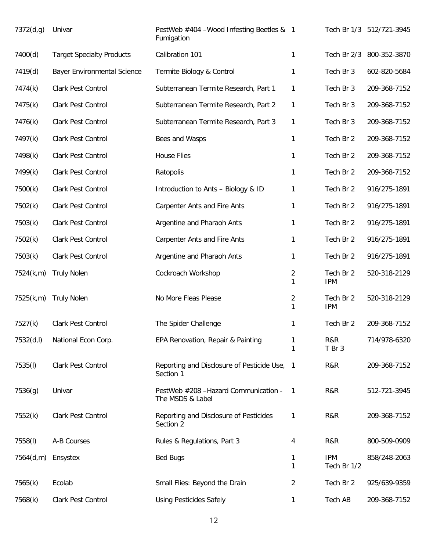| 7372(d,g) | Univar                             | PestWeb #404 -Wood Infesting Beetles & 1<br>Fumigation    |        |                           | Tech Br 1/3 512/721-3945 |
|-----------|------------------------------------|-----------------------------------------------------------|--------|---------------------------|--------------------------|
| 7400(d)   | <b>Target Specialty Products</b>   | Calibration 101                                           | 1      | Tech Br 2/3               | 800-352-3870             |
| 7419(d)   | <b>Bayer Environmental Science</b> | Termite Biology & Control                                 | 1      | Tech Br 3                 | 602-820-5684             |
| 7474(k)   | Clark Pest Control                 | Subterranean Termite Research, Part 1                     | 1      | Tech Br 3                 | 209-368-7152             |
| 7475(k)   | Clark Pest Control                 | Subterranean Termite Research, Part 2                     | 1      | Tech Br 3                 | 209-368-7152             |
| 7476(k)   | Clark Pest Control                 | Subterranean Termite Research, Part 3                     | 1      | Tech Br 3                 | 209-368-7152             |
| 7497(k)   | Clark Pest Control                 | Bees and Wasps                                            | 1      | Tech Br 2                 | 209-368-7152             |
| 7498(k)   | Clark Pest Control                 | <b>House Flies</b>                                        | 1      | Tech Br 2                 | 209-368-7152             |
| 7499(k)   | Clark Pest Control                 | Ratopolis                                                 | 1      | Tech Br 2                 | 209-368-7152             |
| 7500(k)   | Clark Pest Control                 | Introduction to Ants - Biology & ID                       | 1      | Tech Br 2                 | 916/275-1891             |
| 7502(k)   | Clark Pest Control                 | <b>Carpenter Ants and Fire Ants</b>                       | 1      | Tech Br 2                 | 916/275-1891             |
| 7503(k)   | Clark Pest Control                 | Argentine and Pharaoh Ants                                | 1      | Tech Br 2                 | 916/275-1891             |
| 7502(k)   | Clark Pest Control                 | <b>Carpenter Ants and Fire Ants</b>                       | 1      | Tech Br 2                 | 916/275-1891             |
| 7503(k)   | Clark Pest Control                 | Argentine and Pharaoh Ants                                | 1      | Tech Br 2                 | 916/275-1891             |
| 7524(k,m) | <b>Truly Nolen</b>                 | Cockroach Workshop                                        | 2<br>1 | Tech Br 2<br><b>IPM</b>   | 520-318-2129             |
| 7525(k,m) | <b>Truly Nolen</b>                 | No More Fleas Please                                      | 2<br>1 | Tech Br 2<br><b>IPM</b>   | 520-318-2129             |
| 7527(k)   | Clark Pest Control                 | The Spider Challenge                                      | 1      | Tech Br 2                 | 209-368-7152             |
| 7532(d,l) | National Econ Corp.                | EPA Renovation, Repair & Painting                         | 1<br>1 | R&R<br>T Br 3             | 714/978-6320             |
| 7535(I)   | Clark Pest Control                 | Reporting and Disclosure of Pesticide Use, 1<br>Section 1 |        | R&R                       | 209-368-7152             |
| 7536(g)   | Univar                             | PestWeb #208 - Hazard Communication -<br>The MSDS & Label | -1     | R&R                       | 512-721-3945             |
| 7552(k)   | Clark Pest Control                 | Reporting and Disclosure of Pesticides<br>Section 2       | 1      | R&R                       | 209-368-7152             |
| 7558(I)   | A-B Courses                        | Rules & Regulations, Part 3                               | 4      | R&R                       | 800-509-0909             |
| 7564(d,m) | Ensystex                           | <b>Bed Bugs</b>                                           | 1<br>1 | <b>IPM</b><br>Tech Br 1/2 | 858/248-2063             |
| 7565(k)   | Ecolab                             | Small Flies: Beyond the Drain                             | 2      | Tech Br 2                 | 925/639-9359             |
| 7568(k)   | Clark Pest Control                 | <b>Using Pesticides Safely</b>                            | 1      | Tech AB                   | 209-368-7152             |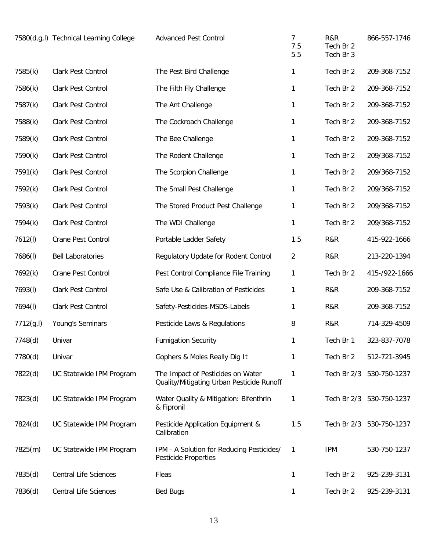|            | 7580(d,g,l) Technical Learning College | <b>Advanced Pest Control</b>                                                   | 7<br>7.5<br>5.5 | R&R<br>Tech Br 2<br>Tech Br 3 | 866-557-1746             |
|------------|----------------------------------------|--------------------------------------------------------------------------------|-----------------|-------------------------------|--------------------------|
| 7585(k)    | Clark Pest Control                     | The Pest Bird Challenge                                                        | 1               | Tech Br 2                     | 209-368-7152             |
| 7586(k)    | Clark Pest Control                     | The Filth Fly Challenge                                                        | 1               | Tech Br 2                     | 209-368-7152             |
| 7587(k)    | Clark Pest Control                     | The Ant Challenge                                                              | 1               | Tech Br 2                     | 209-368-7152             |
| 7588(k)    | Clark Pest Control                     | The Cockroach Challenge                                                        | 1               | Tech Br 2                     | 209-368-7152             |
| 7589(k)    | Clark Pest Control                     | The Bee Challenge                                                              | 1               | Tech Br 2                     | 209-368-7152             |
| 7590(k)    | Clark Pest Control                     | The Rodent Challenge                                                           | 1               | Tech Br 2                     | 209/368-7152             |
| 7591(k)    | Clark Pest Control                     | The Scorpion Challenge                                                         | 1               | Tech Br 2                     | 209/368-7152             |
| 7592(k)    | Clark Pest Control                     | The Small Pest Challenge                                                       | 1               | Tech Br 2                     | 209/368-7152             |
| 7593(k)    | Clark Pest Control                     | The Stored Product Pest Challenge                                              | 1               | Tech Br 2                     | 209/368-7152             |
| 7594(k)    | Clark Pest Control                     | The WDI Challenge                                                              | 1               | Tech Br 2                     | 209/368-7152             |
| 7612(I)    | Crane Pest Control                     | Portable Ladder Safety                                                         | 1.5             | R&R                           | 415-922-1666             |
| 7686(I)    | <b>Bell Laboratories</b>               | Regulatory Update for Rodent Control                                           | $\overline{2}$  | R&R                           | 213-220-1394             |
| 7692(k)    | Crane Pest Control                     | Pest Control Compliance File Training                                          | 1               | Tech Br 2                     | 415-/922-1666            |
| 7693(I)    | Clark Pest Control                     | Safe Use & Calibration of Pesticides                                           | 1               | R&R                           | 209-368-7152             |
| 7694(I)    | Clark Pest Control                     | Safety-Pesticides-MSDS-Labels                                                  | 1               | R&R                           | 209-368-7152             |
| 7712(g, I) | Young's Seminars                       | Pesticide Laws & Regulations                                                   | 8               | R&R                           | 714-329-4509             |
| 7748(d)    | Univar                                 | <b>Fumigation Security</b>                                                     | 1               | Tech Br 1                     | 323-837-7078             |
| 7780(d)    | Univar                                 | Gophers & Moles Really Dig It                                                  | 1               | Tech Br 2                     | 512-721-3945             |
| 7822(d)    | UC Statewide IPM Program               | The Impact of Pesticides on Water<br>Quality/Mitigating Urban Pesticide Runoff | 1               |                               | Tech Br 2/3 530-750-1237 |
| 7823(d)    | UC Statewide IPM Program               | Water Quality & Mitigation: Bifenthrin<br>& Fipronil                           | 1               |                               | Tech Br 2/3 530-750-1237 |
| 7824(d)    | UC Statewide IPM Program               | Pesticide Application Equipment &<br>Calibration                               | 1.5             |                               | Tech Br 2/3 530-750-1237 |
| 7825(m)    | UC Statewide IPM Program               | IPM - A Solution for Reducing Pesticides/<br><b>Pesticide Properties</b>       | 1               | <b>IPM</b>                    | 530-750-1237             |
| 7835(d)    | <b>Central Life Sciences</b>           | Fleas                                                                          | 1               | Tech Br 2                     | 925-239-3131             |
| 7836(d)    | <b>Central Life Sciences</b>           | <b>Bed Bugs</b>                                                                | 1               | Tech Br 2                     | 925-239-3131             |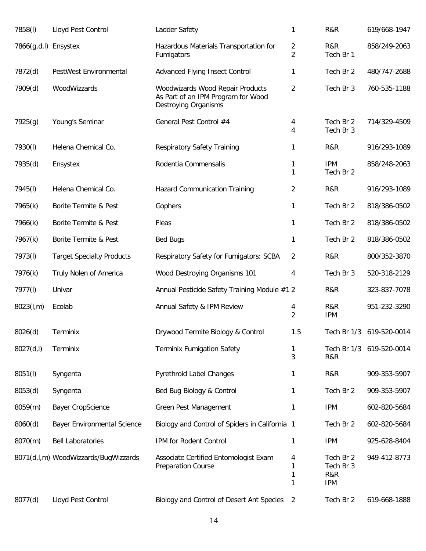| 7858(I)              | Lloyd Pest Control                   | Ladder Safety                                                                                  | $\mathbf{1}$        | R&R                                         | 619/668-1947 |
|----------------------|--------------------------------------|------------------------------------------------------------------------------------------------|---------------------|---------------------------------------------|--------------|
| 7866(g,d,l) Ensystex |                                      | Hazardous Materials Transportation for<br>Fumigators                                           | 2<br>$\overline{2}$ | R&R<br>Tech Br 1                            | 858/249-2063 |
| 7872(d)              | PestWest Environmental               | Advanced Flying Insect Control                                                                 | 1                   | Tech Br 2                                   | 480/747-2688 |
| 7909(d)              | WoodWizzards                         | Woodwizards Wood Repair Products<br>As Part of an IPM Program for Wood<br>Destroying Organisms | $\overline{2}$      | Tech Br 3                                   | 760-535-1188 |
| 7925(g)              | Young's Seminar                      | General Pest Control #4                                                                        | 4<br>4              | Tech Br 2<br>Tech Br 3                      | 714/329-4509 |
| 7930(I)              | Helena Chemical Co.                  | <b>Respiratory Safety Training</b>                                                             | 1                   | R&R                                         | 916/293-1089 |
| 7935(d)              | Ensystex                             | Rodentia Commensalis                                                                           | 1<br>1              | <b>IPM</b><br>Tech Br 2                     | 858/248-2063 |
| 7945(I)              | Helena Chemical Co.                  | <b>Hazard Communication Training</b>                                                           | $\overline{2}$      | R&R                                         | 916/293-1089 |
| 7965(k)              | Borite Termite & Pest                | Gophers                                                                                        | 1                   | Tech Br 2                                   | 818/386-0502 |
| 7966(k)              | Borite Termite & Pest                | Fleas                                                                                          | 1                   | Tech Br 2                                   | 818/386-0502 |
| 7967(k)              | Borite Termite & Pest                | <b>Bed Bugs</b>                                                                                | 1                   | Tech Br 2                                   | 818/386-0502 |
| 7973(I)              | <b>Target Specialty Products</b>     | Respiratory Safety for Fumigators: SCBA                                                        | $\overline{2}$      | R&R                                         | 800/352-3870 |
| 7976(k)              | Truly Nolen of America               | Wood Destroying Organisms 101                                                                  | 4                   | Tech Br 3                                   | 520-318-2129 |
| 7977(I)              | Univar                               | Annual Pesticide Safety Training Module #1 2                                                   |                     | R&R                                         | 323-837-7078 |
| 8023(l,m)            | Ecolab                               | Annual Safety & IPM Review                                                                     | 4<br>$\overline{2}$ | R&R<br><b>IPM</b>                           | 951-232-3290 |
| 8026(d)              | Terminix                             | Drywood Termite Biology & Control                                                              | 1.5                 | Tech Br 1/3                                 | 619-520-0014 |
| 8027(d, I)           | Terminix                             | Terminix Fumigation Safety                                                                     | 1<br>3              | Tech Br 1/3<br>R&R                          | 619-520-0014 |
| 8051(I)              | Syngenta                             | Pyrethroid Label Changes                                                                       | 1                   | R&R                                         | 909-353-5907 |
| 8053(d)              | Syngenta                             | Bed Bug Biology & Control                                                                      | 1                   | Tech Br 2                                   | 909-353-5907 |
| 8059(m)              | <b>Bayer CropScience</b>             | <b>Green Pest Management</b>                                                                   | 1                   | <b>IPM</b>                                  | 602-820-5684 |
| 8060(d)              | <b>Bayer Environmental Science</b>   | Biology and Control of Spiders in California 1                                                 |                     | Tech Br 2                                   | 602-820-5684 |
| 8070(m)              | <b>Bell Laboratories</b>             | IPM for Rodent Control                                                                         | 1                   | <b>IPM</b>                                  | 925-628-8404 |
|                      | 8071(d,l,m) WoodWizzards/BugWizzards | Associate Certified Entomologist Exam<br><b>Preparation Course</b>                             | 4<br>1<br>1<br>1    | Tech Br 2<br>Tech Br 3<br>R&R<br><b>IPM</b> | 949-412-8773 |
| 8077(d)              | Lloyd Pest Control                   | Biology and Control of Desert Ant Species                                                      | 2                   | Tech Br 2                                   | 619-668-1888 |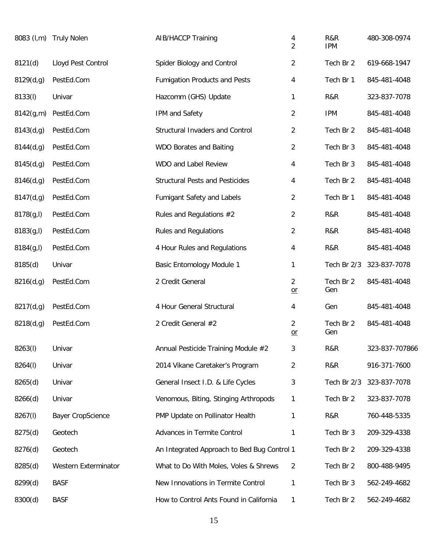|            | 8083 (I,m) Truly Nolen   | <b>AIB/HACCP Training</b>                   | 4<br>$\overline{2}$    | R&R<br><b>IPM</b> | 480-308-0974   |
|------------|--------------------------|---------------------------------------------|------------------------|-------------------|----------------|
| 8121(d)    | Lloyd Pest Control       | Spider Biology and Control                  | $\overline{c}$         | Tech Br 2         | 619-668-1947   |
| 8129(d,g)  | PestEd.Com               | <b>Fumigation Products and Pests</b>        | 4                      | Tech Br 1         | 845-481-4048   |
| 8133(I)    | Univar                   | Hazcomm (GHS) Update                        | 1                      | R&R               | 323-837-7078   |
| 8142(g,m)  | PestEd.Com               | IPM and Safety                              | 2                      | <b>IPM</b>        | 845-481-4048   |
| 8143(d,g)  | PestEd.Com               | Structural Invaders and Control             | $\overline{a}$         | Tech Br 2         | 845-481-4048   |
| 8144(d,g)  | PestEd.Com               | WDO Borates and Baiting                     | $\overline{c}$         | Tech Br 3         | 845-481-4048   |
| 8145(d,g)  | PestEd.Com               | WDO and Label Review                        | 4                      | Tech Br 3         | 845-481-4048   |
| 8146(d,g)  | PestEd.Com               | <b>Structural Pests and Pesticides</b>      | 4                      | Tech Br 2         | 845-481-4048   |
| 8147(d,g)  | PestEd.Com               | Fumigant Safety and Labels                  | 2                      | Tech Br 1         | 845-481-4048   |
| 8178(g, I) | PestEd.Com               | Rules and Regulations #2                    | $\overline{c}$         | R&R               | 845-481-4048   |
| 8183(g, I) | PestEd.Com               | <b>Rules and Regulations</b>                | $\overline{c}$         | R&R               | 845-481-4048   |
| 8184(g, I) | PestEd.Com               | 4 Hour Rules and Regulations                | 4                      | R&R               | 845-481-4048   |
| 8185(d)    | Univar                   | <b>Basic Entomology Module 1</b>            | 1                      | Tech Br 2/3       | 323-837-7078   |
| 8216(d,g)  | PestEd.Com               | 2 Credit General                            | $\overline{2}$<br>$or$ | Tech Br 2<br>Gen  | 845-481-4048   |
| 8217(d,g)  | PestEd.Com               | 4 Hour General Structural                   | 4                      | Gen               | 845-481-4048   |
| 8218(d,g)  | PestEd.Com               | 2 Credit General #2                         | $\overline{2}$<br>$or$ | Tech Br 2<br>Gen  | 845-481-4048   |
| 8263(I)    | Univar                   | Annual Pesticide Training Module #2         | 3                      | R&R               | 323-837-707866 |
| 8264(I)    | Univar                   | 2014 Vikane Caretaker's Program             | $\overline{2}$         | R&R               | 916-371-7600   |
| 8265(d)    | Univar                   | General Insect I.D. & Life Cycles           | 3                      | Tech Br 2/3       | 323-837-7078   |
| 8266(d)    | Univar                   | Venomous, Biting, Stinging Arthropods       | 1                      | Tech Br 2         | 323-837-7078   |
| 8267(I)    | <b>Bayer CropScience</b> | PMP Update on Pollinator Health             | 1                      | R&R               | 760-448-5335   |
| 8275(d)    | Geotech                  | Advances in Termite Control                 | 1                      | Tech Br 3         | 209-329-4338   |
| 8276(d)    | Geotech                  | An Integrated Approach to Bed Bug Control 1 |                        | Tech Br 2         | 209-329-4338   |
| 8285(d)    | Western Exterminator     | What to Do With Moles, Voles & Shrews       | $\overline{2}$         | Tech Br 2         | 800-488-9495   |
| 8299(d)    | <b>BASF</b>              | New Innovations in Termite Control          | 1                      | Tech Br 3         | 562-249-4682   |
| 8300(d)    | <b>BASF</b>              | How to Control Ants Found in California     | 1                      | Tech Br 2         | 562-249-4682   |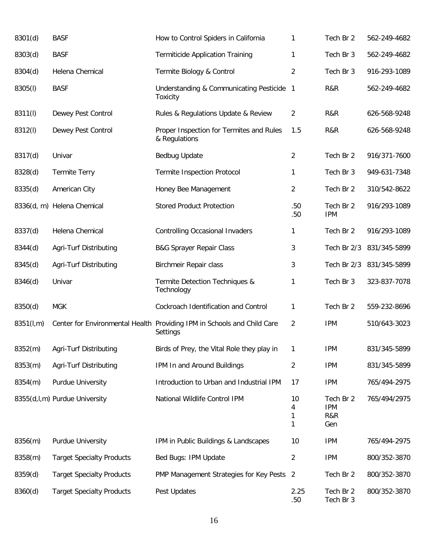| 8301(d)   | <b>BASF</b>                      | How to Control Spiders in California                                                | 1                 | Tech Br 2                             | 562-249-4682 |
|-----------|----------------------------------|-------------------------------------------------------------------------------------|-------------------|---------------------------------------|--------------|
| 8303(d)   | <b>BASF</b>                      | <b>Termiticide Application Training</b>                                             | 1                 | Tech Br 3                             | 562-249-4682 |
| 8304(d)   | Helena Chemical                  | Termite Biology & Control                                                           | $\overline{2}$    | Tech Br 3                             | 916-293-1089 |
| 8305(I)   | <b>BASF</b>                      | Understanding & Communicating Pesticide 1<br><b>Toxicity</b>                        |                   | R&R                                   | 562-249-4682 |
| 8311(I)   | Dewey Pest Control               | Rules & Regulations Update & Review                                                 | $\overline{2}$    | R&R                                   | 626-568-9248 |
| 8312(l)   | Dewey Pest Control               | Proper Inspection for Termites and Rules<br>& Regulations                           | 1.5               | R&R                                   | 626-568-9248 |
| 8317(d)   | Univar                           | Bedbug Update                                                                       | $\overline{2}$    | Tech Br 2                             | 916/371-7600 |
| 8328(d)   | <b>Termite Terry</b>             | <b>Termite Inspection Protocol</b>                                                  | 1                 | Tech Br 3                             | 949-631-7348 |
| 8335(d)   | American City                    | Honey Bee Management                                                                | $\overline{2}$    | Tech Br 2                             | 310/542-8622 |
|           | 8336(d, m) Helena Chemical       | <b>Stored Product Protection</b>                                                    | .50<br>.50        | Tech Br 2<br><b>IPM</b>               | 916/293-1089 |
| 8337(d)   | Helena Chemical                  | <b>Controlling Occasional Invaders</b>                                              | 1                 | Tech Br 2                             | 916/293-1089 |
| 8344(d)   | Agri-Turf Distributing           | <b>B&amp;G Sprayer Repair Class</b>                                                 | 3                 | Tech Br 2/3                           | 831/345-5899 |
| 8345(d)   | Agri-Turf Distributing           | Birchmeir Repair class                                                              | 3                 | Tech Br 2/3                           | 831/345-5899 |
| 8346(d)   | Univar                           | Termite Detection Techniques &<br>Technology                                        | 1                 | Tech Br 3                             | 323-837-7078 |
| 8350(d)   | <b>MGK</b>                       | Cockroach Identification and Control                                                | 1                 | Tech Br 2                             | 559-232-8696 |
| 8351(l,m) |                                  | Center for Environmental Health Providing IPM in Schools and Child Care<br>Settings | $\overline{2}$    | <b>IPM</b>                            | 510/643-3023 |
| 8352(m)   | Agri-Turf Distributing           | Birds of Prey, the Vital Role they play in                                          | 1                 | <b>IPM</b>                            | 831/345-5899 |
| 8353(m)   | Agri-Turf Distributing           | IPM In and Around Buildings                                                         | $\sqrt{2}$        | <b>IPM</b>                            | 831/345-5899 |
| 8354(m)   | Purdue University                | Introduction to Urban and Industrial IPM                                            | 17                | <b>IPM</b>                            | 765/494-2975 |
|           | 8355(d,l,m) Purdue University    | National Wildlife Control IPM                                                       | 10<br>4<br>1<br>1 | Tech Br 2<br><b>IPM</b><br>R&R<br>Gen | 765/494/2975 |
| 8356(m)   | Purdue University                | IPM in Public Buildings & Landscapes                                                | 10                | <b>IPM</b>                            | 765/494-2975 |
| 8358(m)   | <b>Target Specialty Products</b> | Bed Bugs: IPM Update                                                                | $\overline{2}$    | <b>IPM</b>                            | 800/352-3870 |
| 8359(d)   | <b>Target Specialty Products</b> | PMP Management Strategies for Key Pests 2                                           |                   | Tech Br 2                             | 800/352-3870 |
| 8360(d)   | <b>Target Specialty Products</b> | Pest Updates                                                                        | 2.25<br>.50       | Tech Br 2<br>Tech Br 3                | 800/352-3870 |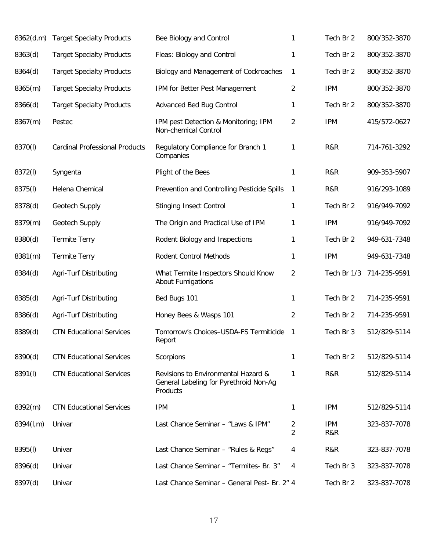| 8362(d,m) | <b>Target Specialty Products</b>      | Bee Biology and Control                                                                   | 1              | Tech Br 2         | 800/352-3870 |
|-----------|---------------------------------------|-------------------------------------------------------------------------------------------|----------------|-------------------|--------------|
| 8363(d)   | <b>Target Specialty Products</b>      | Fleas: Biology and Control                                                                | 1              | Tech Br 2         | 800/352-3870 |
| 8364(d)   | <b>Target Specialty Products</b>      | Biology and Management of Cockroaches                                                     | 1              | Tech Br 2         | 800/352-3870 |
| 8365(m)   | <b>Target Specialty Products</b>      | IPM for Better Pest Management                                                            | 2              | <b>IPM</b>        | 800/352-3870 |
| 8366(d)   | <b>Target Specialty Products</b>      | <b>Advanced Bed Bug Control</b>                                                           | 1              | Tech Br 2         | 800/352-3870 |
| 8367(m)   | Pestec                                | IPM pest Detection & Monitoring; IPM<br>Non-chemical Control                              | 2              | <b>IPM</b>        | 415/572-0627 |
| 8370(l)   | <b>Cardinal Professional Products</b> | Regulatory Compliance for Branch 1<br>Companies                                           | 1              | R&R               | 714-761-3292 |
| 8372(l)   | Syngenta                              | Plight of the Bees                                                                        | 1              | R&R               | 909-353-5907 |
| 8375(I)   | Helena Chemical                       | Prevention and Controlling Pesticide Spills                                               | $\mathbf{1}$   | R&R               | 916/293-1089 |
| 8378(d)   | Geotech Supply                        | <b>Stinging Insect Control</b>                                                            | 1              | Tech Br 2         | 916/949-7092 |
| 8379(m)   | Geotech Supply                        | The Origin and Practical Use of IPM                                                       | 1              | <b>IPM</b>        | 916/949-7092 |
| 8380(d)   | <b>Termite Terry</b>                  | Rodent Biology and Inspections                                                            | 1              | Tech Br 2         | 949-631-7348 |
| 8381(m)   | <b>Termite Terry</b>                  | Rodent Control Methods                                                                    | 1              | <b>IPM</b>        | 949-631-7348 |
| 8384(d)   | Agri-Turf Distributing                | What Termite Inspectors Should Know<br><b>About Fumigations</b>                           | 2              | Tech Br 1/3       | 714-235-9591 |
| 8385(d)   | Agri-Turf Distributing                | Bed Bugs 101                                                                              | 1              | Tech Br 2         | 714-235-9591 |
| 8386(d)   | Agri-Turf Distributing                | Honey Bees & Wasps 101                                                                    | $\overline{c}$ | Tech Br 2         | 714-235-9591 |
| 8389(d)   | <b>CTN Educational Services</b>       | Tomorrow's Choices-USDA-FS Termiticide<br>Report                                          | 1              | Tech Br 3         | 512/829-5114 |
| 8390(d)   | <b>CTN Educational Services</b>       | Scorpions                                                                                 | 1              | Tech Br 2         | 512/829-5114 |
| 8391(I)   | <b>CTN Educational Services</b>       | Revisions to Environmental Hazard &<br>General Labeling for Pyrethroid Non-Ag<br>Products | 1              | R&R               | 512/829-5114 |
| 8392(m)   | <b>CTN Educational Services</b>       | <b>IPM</b>                                                                                | 1              | <b>IPM</b>        | 512/829-5114 |
| 8394(l,m) | Univar                                | Last Chance Seminar - "Laws & IPM"                                                        | 2<br>2         | <b>IPM</b><br>R&R | 323-837-7078 |
| 8395(I)   | Univar                                | Last Chance Seminar - "Rules & Regs"                                                      | 4              | R&R               | 323-837-7078 |
| 8396(d)   | Univar                                | Last Chance Seminar - "Termites- Br. 3"                                                   | 4              | Tech Br 3         | 323-837-7078 |
| 8397(d)   | Univar                                | Last Chance Seminar - General Pest- Br. 2" 4                                              |                | Tech Br 2         | 323-837-7078 |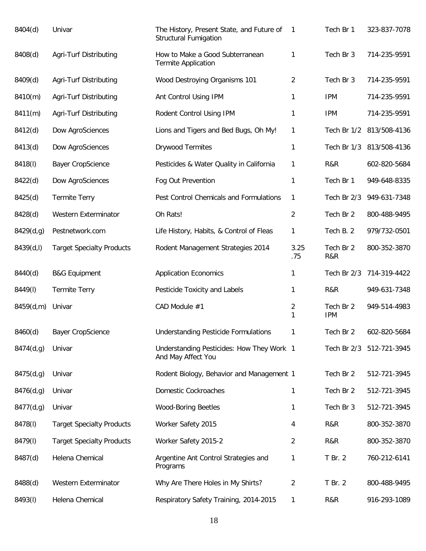| 8404(d)   | Univar                           | The History, Present State, and Future of<br><b>Structural Fumigation</b> | $\mathbf{1}$   | Tech Br 1               | 323-837-7078             |
|-----------|----------------------------------|---------------------------------------------------------------------------|----------------|-------------------------|--------------------------|
| 8408(d)   | Agri-Turf Distributing           | How to Make a Good Subterranean<br><b>Termite Application</b>             | 1              | Tech Br 3               | 714-235-9591             |
| 8409(d)   | Agri-Turf Distributing           | Wood Destroying Organisms 101                                             | 2              | Tech Br 3               | 714-235-9591             |
| 8410(m)   | Agri-Turf Distributing           | Ant Control Using IPM                                                     | 1              | <b>IPM</b>              | 714-235-9591             |
| 8411(m)   | Agri-Turf Distributing           | Rodent Control Using IPM                                                  | 1              | <b>IPM</b>              | 714-235-9591             |
| 8412(d)   | Dow AgroSciences                 | Lions and Tigers and Bed Bugs, Oh My!                                     | 1              |                         | Tech Br 1/2 813/508-4136 |
| 8413(d)   | Dow AgroSciences                 | <b>Drywood Termites</b>                                                   | 1              |                         | Tech Br 1/3 813/508-4136 |
| 8418(I)   | <b>Bayer CropScience</b>         | Pesticides & Water Quality in California                                  | 1              | R&R                     | 602-820-5684             |
| 8422(d)   | Dow AgroSciences                 | Fog Out Prevention                                                        | $\mathbf{1}$   | Tech Br 1               | 949-648-8335             |
| 8425(d)   | <b>Termite Terry</b>             | Pest Control Chemicals and Formulations                                   | 1              | Tech Br 2/3             | 949-631-7348             |
| 8428(d)   | Western Exterminator             | Oh Rats!                                                                  | $\overline{2}$ | Tech Br 2               | 800-488-9495             |
| 8429(d,g) | Pestnetwork.com                  | Life History, Habits, & Control of Fleas                                  | 1              | Tech B. 2               | 979/732-0501             |
| 8439(d,l) | <b>Target Specialty Products</b> | Rodent Management Strategies 2014                                         | 3.25<br>.75    | Tech Br 2<br>R&R        | 800-352-3870             |
| 8440(d)   | <b>B&amp;G Equipment</b>         | <b>Application Economics</b>                                              | 1              | Tech Br 2/3             | 714-319-4422             |
| 8449(I)   | <b>Termite Terry</b>             | Pesticide Toxicity and Labels                                             | 1              | R&R                     | 949-631-7348             |
| 8459(d,m) | Univar                           | CAD Module #1                                                             | 2<br>1         | Tech Br 2<br><b>IPM</b> | 949-514-4983             |
| 8460(d)   | <b>Bayer CropScience</b>         | <b>Understanding Pesticide Formulations</b>                               | 1              | Tech Br 2               | 602-820-5684             |
| 8474(d,g) | Univar                           | Understanding Pesticides: How They Work 1<br>And May Affect You           |                |                         | Tech Br 2/3 512-721-3945 |
| 8475(d,g) | Univar                           | Rodent Biology, Behavior and Management 1                                 |                | Tech Br 2               | 512-721-3945             |
| 8476(d,g) | Univar                           | Domestic Cockroaches                                                      | 1              | Tech Br 2               | 512-721-3945             |
| 8477(d,g) | Univar                           | <b>Wood-Boring Beetles</b>                                                | 1              | Tech Br 3               | 512-721-3945             |
| 8478(I)   | <b>Target Specialty Products</b> | Worker Safety 2015                                                        | 4              | R&R                     | 800-352-3870             |
| 8479(I)   | <b>Target Specialty Products</b> | Worker Safety 2015-2                                                      | $\overline{2}$ | R&R                     | 800-352-3870             |
| 8487(d)   | Helena Chemical                  | Argentine Ant Control Strategies and<br>Programs                          | 1              | T Br. 2                 | 760-212-6141             |
| 8488(d)   | Western Exterminator             | Why Are There Holes in My Shirts?                                         | 2              | T Br. 2                 | 800-488-9495             |
| 8493(I)   | Helena Chemical                  | Respiratory Safety Training, 2014-2015                                    | 1              | R&R                     | 916-293-1089             |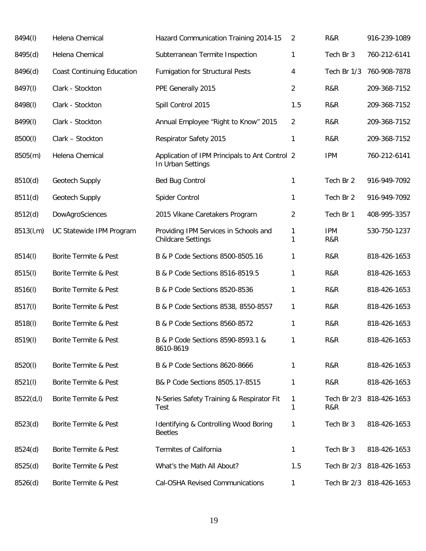| 8494(I)    | Helena Chemical                   | Hazard Communication Training 2014-15                               | 2              | R&R                | 916-239-1089             |
|------------|-----------------------------------|---------------------------------------------------------------------|----------------|--------------------|--------------------------|
| 8495(d)    | Helena Chemical                   | Subterranean Termite Inspection                                     | 1              | Tech Br 3          | 760-212-6141             |
| 8496(d)    | <b>Coast Continuing Education</b> | <b>Fumigation for Structural Pests</b>                              | 4              | Tech Br 1/3        | 760-908-7878             |
| 8497(I)    | Clark - Stockton                  | PPE Generally 2015                                                  | 2              | R&R                | 209-368-7152             |
| 8498(I)    | Clark - Stockton                  | Spill Control 2015                                                  | 1.5            | R&R                | 209-368-7152             |
| 8499(I)    | Clark - Stockton                  | Annual Employee "Right to Know" 2015                                | 2              | R&R                | 209-368-7152             |
| 8500(l)    | Clark - Stockton                  | Respirator Safety 2015                                              | 1              | R&R                | 209-368-7152             |
| 8505(m)    | Helena Chemical                   | Application of IPM Principals to Ant Control 2<br>In Urban Settings |                | <b>IPM</b>         | 760-212-6141             |
| 8510(d)    | Geotech Supply                    | Bed Bug Control                                                     | 1              | Tech Br 2          | 916-949-7092             |
| 8511(d)    | Geotech Supply                    | Spider Control                                                      | 1              | Tech Br 2          | 916-949-7092             |
| 8512(d)    | DowAgroSciences                   | 2015 Vikane Caretakers Program                                      | $\overline{2}$ | Tech Br 1          | 408-995-3357             |
| 8513(l,m)  | UC Statewide IPM Program          | Providing IPM Services in Schools and<br><b>Childcare Settings</b>  | 1<br>1         | <b>IPM</b><br>R&R  | 530-750-1237             |
| 8514(I)    | Borite Termite & Pest             | B & P Code Sections 8500-8505.16                                    | 1              | R&R                | 818-426-1653             |
| 8515(I)    | Borite Termite & Pest             | B & P Code Sections 8516-8519.5                                     | 1              | R&R                | 818-426-1653             |
| 8516(I)    | Borite Termite & Pest             | B & P Code Sections 8520-8536                                       | 1              | R&R                | 818-426-1653             |
| 8517(I)    | Borite Termite & Pest             | B & P Code Sections 8538, 8550-8557                                 | 1              | R&R                | 818-426-1653             |
| 8518(I)    | Borite Termite & Pest             | B & P Code Sections 8560-8572                                       | 1              | R&R                | 818-426-1653             |
| 8519(I)    | Borite Termite & Pest             | B & P Code Sections 8590-8593.1 &<br>8610-8619                      | 1              | R&R                | 818-426-1653             |
| 8520(l)    | Borite Termite & Pest             | B & P Code Sections 8620-8666                                       | 1              | R&R                | 818-426-1653             |
| 8521(I)    | Borite Termite & Pest             | B& P Code Sections 8505.17-8515                                     | 1              | R&R                | 818-426-1653             |
| 8522(d, I) | Borite Termite & Pest             | N-Series Safety Training & Respirator Fit<br>Test                   | 1<br>1         | Tech Br 2/3<br>R&R | 818-426-1653             |
| 8523(d)    | Borite Termite & Pest             | Identifying & Controlling Wood Boring<br><b>Beetles</b>             | 1              | Tech Br 3          | 818-426-1653             |
| 8524(d)    | Borite Termite & Pest             | Termites of California                                              | 1              | Tech Br 3          | 818-426-1653             |
| 8525(d)    | Borite Termite & Pest             | What's the Math All About?                                          | 1.5            |                    | Tech Br 2/3 818-426-1653 |
| 8526(d)    | Borite Termite & Pest             | Cal-OSHA Revised Communications                                     | 1              |                    | Tech Br 2/3 818-426-1653 |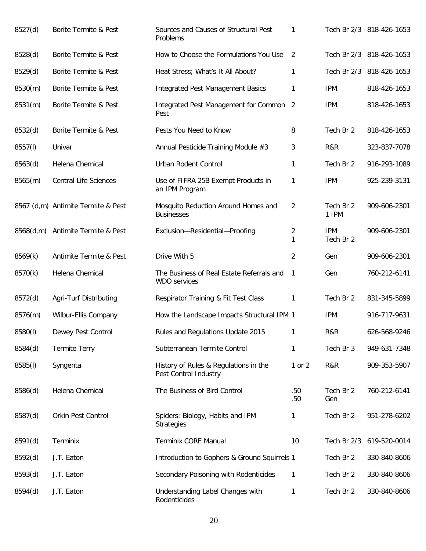| 8527(d) | Borite Termite & Pest              | Sources and Causes of Structural Pest<br>Problems                | 1                   |                         | Tech Br 2/3 818-426-1653 |
|---------|------------------------------------|------------------------------------------------------------------|---------------------|-------------------------|--------------------------|
| 8528(d) | Borite Termite & Pest              | How to Choose the Formulations You Use                           | 2                   |                         | Tech Br 2/3 818-426-1653 |
| 8529(d) | Borite Termite & Pest              | Heat Stress; What's It All About?                                | 1                   |                         | Tech Br 2/3 818-426-1653 |
| 8530(m) | Borite Termite & Pest              | <b>Integrated Pest Management Basics</b>                         | 1                   | <b>IPM</b>              | 818-426-1653             |
| 8531(m) | Borite Termite & Pest              | Integrated Pest Management for Common 2<br>Pest                  |                     | <b>IPM</b>              | 818-426-1653             |
| 8532(d) | Borite Termite & Pest              | Pests You Need to Know                                           | 8                   | Tech Br 2               | 818-426-1653             |
| 8557(l) | Univar                             | Annual Pesticide Training Module #3                              | 3                   | R&R                     | 323-837-7078             |
| 8563(d) | Helena Chemical                    | Urban Rodent Control                                             | 1                   | Tech Br 2               | 916-293-1089             |
| 8565(m) | <b>Central Life Sciences</b>       | Use of FIFRA 25B Exempt Products in<br>an IPM Program            | 1                   | <b>IPM</b>              | 925-239-3131             |
|         | 8567 (d,m) Antimite Termite & Pest | Mosquito Reduction Around Homes and<br><b>Businesses</b>         | $\overline{2}$      | Tech Br 2<br>1 IPM      | 909-606-2301             |
|         | 8568(d,m) Antimite Termite & Pest  | Exclusion-Residential-Proofing                                   | $\overline{2}$<br>1 | <b>IPM</b><br>Tech Br 2 | 909-606-2301             |
| 8569(k) | Antimite Termite & Pest            | Drive With 5                                                     | $\overline{2}$      | Gen                     | 909-606-2301             |
| 8570(k) | Helena Chemical                    | The Business of Real Estate Referrals and<br><b>WDO</b> services | 1                   | Gen                     | 760-212-6141             |
| 8572(d) | Agri-Turf Distributing             | Respirator Training & Fit Test Class                             | 1                   | Tech Br 2               | 831-345-5899             |
| 8576(m) | Wilbur-Ellis Company               | How the Landscape Impacts Structural IPM 1                       |                     | <b>IPM</b>              | 916-717-9631             |
| 8580(I) | Dewey Pest Control                 | Rules and Regulations Update 2015                                | 1                   | R&R                     | 626-568-9246             |
| 8584(d) | <b>Termite Terry</b>               | Subterranean Termite Control                                     | 1                   | Tech Br 3               | 949-631-7348             |
| 8585(l) | Syngenta                           | History of Rules & Regulations in the<br>Pest Control Industry   | 1 or 2              | R&R                     | 909-353-5907             |
| 8586(d) | Helena Chemical                    | The Business of Bird Control                                     | .50<br>.50          | Tech Br 2<br>Gen        | 760-212-6141             |
| 8587(d) | Orkin Pest Control                 | Spiders: Biology, Habits and IPM<br><b>Strategies</b>            | 1                   | Tech Br 2               | 951-278-6202             |
| 8591(d) | Terminix                           | Terminix CORE Manual                                             | 10                  | Tech Br 2/3             | 619-520-0014             |
| 8592(d) | J.T. Eaton                         | Introduction to Gophers & Ground Squirrels 1                     |                     | Tech Br 2               | 330-840-8606             |
| 8593(d) | J.T. Eaton                         | Secondary Poisoning with Rodenticides                            | 1                   | Tech Br 2               | 330-840-8606             |
| 8594(d) | J.T. Eaton                         | Understanding Label Changes with<br>Rodenticides                 | 1                   | Tech Br 2               | 330-840-8606             |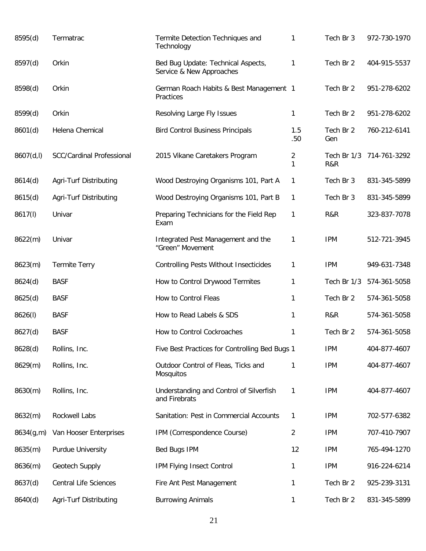| 8595(d)    | Termatrac                    | Termite Detection Techniques and<br>Technology                 | 1                   | Tech Br 3          | 972-730-1970 |
|------------|------------------------------|----------------------------------------------------------------|---------------------|--------------------|--------------|
| 8597(d)    | Orkin                        | Bed Bug Update: Technical Aspects,<br>Service & New Approaches | 1                   | Tech Br 2          | 404-915-5537 |
| 8598(d)    | Orkin                        | German Roach Habits & Best Management 1<br>Practices           |                     | Tech Br 2          | 951-278-6202 |
| 8599(d)    | Orkin                        | Resolving Large Fly Issues                                     | 1                   | Tech Br 2          | 951-278-6202 |
| 8601(d)    | Helena Chemical              | <b>Bird Control Business Principals</b>                        | 1.5<br>.50          | Tech Br 2<br>Gen   | 760-212-6141 |
| 8607(d, I) | SCC/Cardinal Professional    | 2015 Vikane Caretakers Program                                 | $\overline{2}$<br>1 | Tech Br 1/3<br>R&R | 714-761-3292 |
| 8614(d)    | Agri-Turf Distributing       | Wood Destroying Organisms 101, Part A                          | 1                   | Tech Br 3          | 831-345-5899 |
| 8615(d)    | Agri-Turf Distributing       | Wood Destroying Organisms 101, Part B                          | 1                   | Tech Br 3          | 831-345-5899 |
| 8617(l)    | Univar                       | Preparing Technicians for the Field Rep<br>Exam                | $\mathbf{1}$        | R&R                | 323-837-7078 |
| 8622(m)    | Univar                       | Integrated Pest Management and the<br>"Green" Movement         | 1                   | <b>IPM</b>         | 512-721-3945 |
| 8623(m)    | <b>Termite Terry</b>         | <b>Controlling Pests Without Insecticides</b>                  | 1                   | <b>IPM</b>         | 949-631-7348 |
| 8624(d)    | <b>BASF</b>                  | How to Control Drywood Termites                                | 1                   | Tech Br 1/3        | 574-361-5058 |
| 8625(d)    | <b>BASF</b>                  | How to Control Fleas                                           | 1                   | Tech Br 2          | 574-361-5058 |
| 8626(I)    | <b>BASF</b>                  | How to Read Labels & SDS                                       | 1                   | R&R                | 574-361-5058 |
| 8627(d)    | <b>BASF</b>                  | How to Control Cockroaches                                     | 1                   | Tech Br 2          | 574-361-5058 |
| 8628(d)    | Rollins, Inc.                | Five Best Practices for Controlling Bed Bugs 1                 |                     | <b>IPM</b>         | 404-877-4607 |
| 8629(m)    | Rollins, Inc.                | Outdoor Control of Fleas, Ticks and<br><b>Mosquitos</b>        | 1                   | <b>IPM</b>         | 404-877-4607 |
| 8630(m)    | Rollins, Inc.                | Understanding and Control of Silverfish<br>and Firebrats       | 1                   | <b>IPM</b>         | 404-877-4607 |
| 8632(m)    | Rockwell Labs                | Sanitation: Pest in Commercial Accounts                        | 1                   | <b>IPM</b>         | 702-577-6382 |
| 8634(g,m)  | Van Hooser Enterprises       | IPM (Correspondence Course)                                    | $\overline{2}$      | <b>IPM</b>         | 707-410-7907 |
| 8635(m)    | Purdue University            | Bed Bugs IPM                                                   | 12                  | <b>IPM</b>         | 765-494-1270 |
| 8636(m)    | Geotech Supply               | IPM Flying Insect Control                                      | 1                   | <b>IPM</b>         | 916-224-6214 |
| 8637(d)    | <b>Central Life Sciences</b> | Fire Ant Pest Management                                       | 1                   | Tech Br 2          | 925-239-3131 |
| 8640(d)    | Agri-Turf Distributing       | <b>Burrowing Animals</b>                                       | 1                   | Tech Br 2          | 831-345-5899 |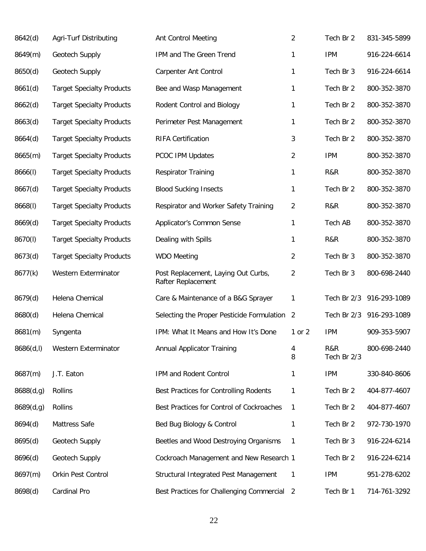| 8642(d)    | Agri-Turf Distributing           | <b>Ant Control Meeting</b>                                | 2      | Tech Br 2          | 831-345-5899 |
|------------|----------------------------------|-----------------------------------------------------------|--------|--------------------|--------------|
| 8649(m)    | Geotech Supply                   | IPM and The Green Trend                                   | 1      | <b>IPM</b>         | 916-224-6614 |
| 8650(d)    | Geotech Supply                   | <b>Carpenter Ant Control</b>                              | 1      | Tech Br 3          | 916-224-6614 |
| 8661(d)    | <b>Target Specialty Products</b> | Bee and Wasp Management                                   | 1      | Tech Br 2          | 800-352-3870 |
| 8662(d)    | <b>Target Specialty Products</b> | Rodent Control and Biology                                | 1      | Tech Br 2          | 800-352-3870 |
| 8663(d)    | <b>Target Specialty Products</b> | Perimeter Pest Management                                 | 1      | Tech Br 2          | 800-352-3870 |
| 8664(d)    | <b>Target Specialty Products</b> | <b>RIFA Certification</b>                                 | 3      | Tech Br 2          | 800-352-3870 |
| 8665(m)    | <b>Target Specialty Products</b> | PCOC IPM Updates                                          | 2      | <b>IPM</b>         | 800-352-3870 |
| 8666(1)    | <b>Target Specialty Products</b> | <b>Respirator Training</b>                                | 1      | R&R                | 800-352-3870 |
| 8667(d)    | <b>Target Specialty Products</b> | <b>Blood Sucking Insects</b>                              | 1      | Tech Br 2          | 800-352-3870 |
| 8668(I)    | <b>Target Specialty Products</b> | Respirator and Worker Safety Training                     | 2      | R&R                | 800-352-3870 |
| 8669(d)    | <b>Target Specialty Products</b> | Applicator's Common Sense                                 | 1      | Tech AB            | 800-352-3870 |
| 8670(I)    | <b>Target Specialty Products</b> | Dealing with Spills                                       | 1      | R&R                | 800-352-3870 |
| 8673(d)    | <b>Target Specialty Products</b> | <b>WDO Meeting</b>                                        | 2      | Tech Br 3          | 800-352-3870 |
| 8677(k)    | Western Exterminator             | Post Replacement, Laying Out Curbs,<br>Rafter Replacement | 2      | Tech Br 3          | 800-698-2440 |
| 8679(d)    | Helena Chemical                  | Care & Maintenance of a B&G Sprayer                       | 1      | Tech Br 2/3        | 916-293-1089 |
| 8680(d)    | Helena Chemical                  | Selecting the Proper Pesticide Formulation 2              |        | Tech Br 2/3        | 916-293-1089 |
| 8681(m)    | Syngenta                         | IPM: What It Means and How It's Done                      | 1 or 2 | <b>IPM</b>         | 909-353-5907 |
| 8686(d, I) | Western Exterminator             | Annual Applicator Training                                | 4<br>8 | R&R<br>Tech Br 2/3 | 800-698-2440 |
| 8687(m)    | J.T. Eaton                       | IPM and Rodent Control                                    | 1      | <b>IPM</b>         | 330-840-8606 |
| 8688(d,g)  | Rollins                          | Best Practices for Controlling Rodents                    | 1      | Tech Br 2          | 404-877-4607 |
| 8689(d,g)  | Rollins                          | Best Practices for Control of Cockroaches                 | 1      | Tech Br 2          | 404-877-4607 |
| 8694(d)    | Mattress Safe                    | Bed Bug Biology & Control                                 | 1      | Tech Br 2          | 972-730-1970 |
| 8695(d)    | Geotech Supply                   | Beetles and Wood Destroying Organisms                     | 1      | Tech Br 3          | 916-224-6214 |
| 8696(d)    | Geotech Supply                   | Cockroach Management and New Research 1                   |        | Tech Br 2          | 916-224-6214 |
| 8697(m)    | Orkin Pest Control               | Structural Integrated Pest Management                     | 1      | <b>IPM</b>         | 951-278-6202 |
| 8698(d)    | Cardinal Pro                     | Best Practices for Challenging Commercial 2               |        | Tech Br 1          | 714-761-3292 |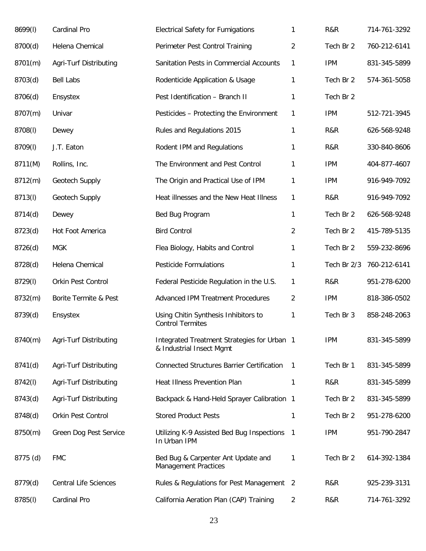| 8699(I)  | Cardinal Pro                 | <b>Electrical Safety for Fumigations</b>                                | 1              | R&R         | 714-761-3292 |
|----------|------------------------------|-------------------------------------------------------------------------|----------------|-------------|--------------|
| 8700(d)  | Helena Chemical              | Perimeter Pest Control Training                                         | 2              | Tech Br 2   | 760-212-6141 |
| 8701(m)  | Agri-Turf Distributing       | Sanitation Pests in Commercial Accounts                                 | 1              | <b>IPM</b>  | 831-345-5899 |
| 8703(d)  | <b>Bell Labs</b>             | Rodenticide Application & Usage                                         | 1              | Tech Br 2   | 574-361-5058 |
| 8706(d)  | Ensystex                     | Pest Identification - Branch II                                         | 1              | Tech Br 2   |              |
| 8707(m)  | Univar                       | Pesticides - Protecting the Environment                                 | 1              | <b>IPM</b>  | 512-721-3945 |
| 8708(I)  | Dewey                        | Rules and Regulations 2015                                              | 1              | R&R         | 626-568-9248 |
| 8709(I)  | J.T. Eaton                   | Rodent IPM and Regulations                                              | 1              | R&R         | 330-840-8606 |
| 8711(M)  | Rollins, Inc.                | The Environment and Pest Control                                        | 1              | <b>IPM</b>  | 404-877-4607 |
| 8712(m)  | Geotech Supply               | The Origin and Practical Use of IPM                                     | 1              | <b>IPM</b>  | 916-949-7092 |
| 8713(I)  | Geotech Supply               | Heat illnesses and the New Heat Illness                                 | $\mathbf{1}$   | R&R         | 916-949-7092 |
| 8714(d)  | Dewey                        | Bed Bug Program                                                         | $\mathbf{1}$   | Tech Br 2   | 626-568-9248 |
| 8723(d)  | Hot Foot America             | <b>Bird Control</b>                                                     | $\overline{2}$ | Tech Br 2   | 415-789-5135 |
| 8726(d)  | <b>MGK</b>                   | Flea Biology, Habits and Control                                        | 1              | Tech Br 2   | 559-232-8696 |
| 8728(d)  | Helena Chemical              | <b>Pesticide Formulations</b>                                           | $\mathbf{1}$   | Tech Br 2/3 | 760-212-6141 |
| 8729(I)  | Orkin Pest Control           | Federal Pesticide Regulation in the U.S.                                | 1              | R&R         | 951-278-6200 |
| 8732(m)  | Borite Termite & Pest        | <b>Advanced IPM Treatment Procedures</b>                                | $\overline{2}$ | <b>IPM</b>  | 818-386-0502 |
| 8739(d)  | Ensystex                     | Using Chitin Synthesis Inhibitors to<br><b>Control Termites</b>         | 1              | Tech Br 3   | 858-248-2063 |
| 8740(m)  | Agri-Turf Distributing       | Integrated Treatment Strategies for Urban 1<br>& Industrial Insect Mgmt |                | <b>IPM</b>  | 831-345-5899 |
| 8741(d)  | Agri-Turf Distributing       | <b>Connected Structures Barrier Certification</b>                       | $\mathbf{1}$   | Tech Br 1   | 831-345-5899 |
| 8742(I)  | Agri-Turf Distributing       | Heat Illness Prevention Plan                                            | 1              | R&R         | 831-345-5899 |
| 8743(d)  | Agri-Turf Distributing       | Backpack & Hand-Held Sprayer Calibration 1                              |                | Tech Br 2   | 831-345-5899 |
| 8748(d)  | Orkin Pest Control           | <b>Stored Product Pests</b>                                             | 1              | Tech Br 2   | 951-278-6200 |
| 8750(m)  | Green Dog Pest Service       | Utilizing K-9 Assisted Bed Bug Inspections<br>In Urban IPM              | -1             | <b>IPM</b>  | 951-790-2847 |
| 8775 (d) | <b>FMC</b>                   | Bed Bug & Carpenter Ant Update and<br><b>Management Practices</b>       | 1              | Tech Br 2   | 614-392-1384 |
| 8779(d)  | <b>Central Life Sciences</b> | Rules & Regulations for Pest Management 2                               |                | R&R         | 925-239-3131 |
| 8785(I)  | Cardinal Pro                 | California Aeration Plan (CAP) Training                                 | 2              | R&R         | 714-761-3292 |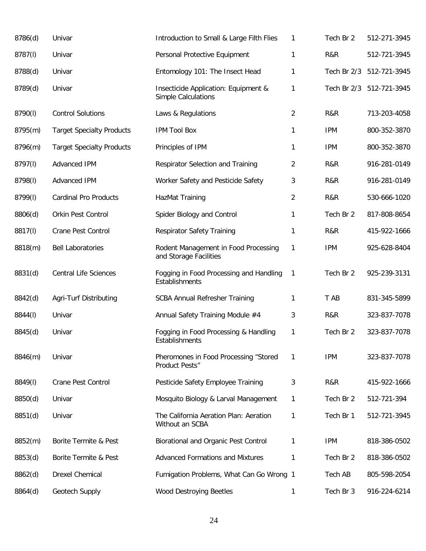| 8786(d) | Univar                           | Introduction to Small & Large Filth Flies                      | 1              | Tech Br 2   | 512-271-3945             |
|---------|----------------------------------|----------------------------------------------------------------|----------------|-------------|--------------------------|
| 8787(I) | Univar                           | Personal Protective Equipment                                  | 1              | R&R         | 512-721-3945             |
| 8788(d) | Univar                           | Entomology 101: The Insect Head                                | 1              | Tech Br 2/3 | 512-721-3945             |
| 8789(d) | Univar                           | Insecticide Application: Equipment &<br>Simple Calculations    | 1              |             | Tech Br 2/3 512-721-3945 |
| 8790(l) | <b>Control Solutions</b>         | Laws & Regulations                                             | $\overline{2}$ | R&R         | 713-203-4058             |
| 8795(m) | <b>Target Specialty Products</b> | <b>IPM Tool Box</b>                                            | $\mathbf{1}$   | <b>IPM</b>  | 800-352-3870             |
| 8796(m) | <b>Target Specialty Products</b> | Principles of IPM                                              | $\mathbf{1}$   | <b>IPM</b>  | 800-352-3870             |
| 8797(I) | Advanced IPM                     | Respirator Selection and Training                              | $\overline{2}$ | R&R         | 916-281-0149             |
| 8798(I) | Advanced IPM                     | Worker Safety and Pesticide Safety                             | 3              | R&R         | 916-281-0149             |
| 8799(I) | <b>Cardinal Pro Products</b>     | HazMat Training                                                | $\overline{2}$ | R&R         | 530-666-1020             |
| 8806(d) | Orkin Pest Control               | Spider Biology and Control                                     | 1              | Tech Br 2   | 817-808-8654             |
| 8817(I) | Crane Pest Control               | <b>Respirator Safety Training</b>                              | $\mathbf{1}$   | R&R         | 415-922-1666             |
| 8818(m) | <b>Bell Laboratories</b>         | Rodent Management in Food Processing<br>and Storage Facilities | $\mathbf{1}$   | <b>IPM</b>  | 925-628-8404             |
| 8831(d) | <b>Central Life Sciences</b>     | Fogging in Food Processing and Handling<br>Establishments      | $\mathbf{1}$   | Tech Br 2   | 925-239-3131             |
| 8842(d) | Agri-Turf Distributing           | <b>SCBA Annual Refresher Training</b>                          | 1              | T AB        | 831-345-5899             |
| 8844(I) | Univar                           | Annual Safety Training Module #4                               | 3              | R&R         | 323-837-7078             |
| 8845(d) | Univar                           | Fogging in Food Processing & Handling<br>Establishments        | 1              | Tech Br 2   | 323-837-7078             |
| 8846(m) | Univar                           | Pheromones in Food Processing "Stored<br>Product Pests"        | 1              | <b>IPM</b>  | 323-837-7078             |
| 8849(I) | Crane Pest Control               | Pesticide Safety Employee Training                             | 3              | R&R         | 415-922-1666             |
| 8850(d) | Univar                           | Mosquito Biology & Larval Management                           | 1              | Tech Br 2   | 512-721-394              |
| 8851(d) | Univar                           | The California Aeration Plan: Aeration<br>Without an SCBA      | 1              | Tech Br 1   | 512-721-3945             |
| 8852(m) | Borite Termite & Pest            | Biorational and Organic Pest Control                           | 1              | <b>IPM</b>  | 818-386-0502             |
| 8853(d) | Borite Termite & Pest            | <b>Advanced Formations and Mixtures</b>                        | 1              | Tech Br 2   | 818-386-0502             |
| 8862(d) | <b>Drexel Chemical</b>           | Fumigation Problems, What Can Go Wrong 1                       |                | Tech AB     | 805-598-2054             |
| 8864(d) | Geotech Supply                   | <b>Wood Destroying Beetles</b>                                 | $\mathbf{1}$   | Tech Br 3   | 916-224-6214             |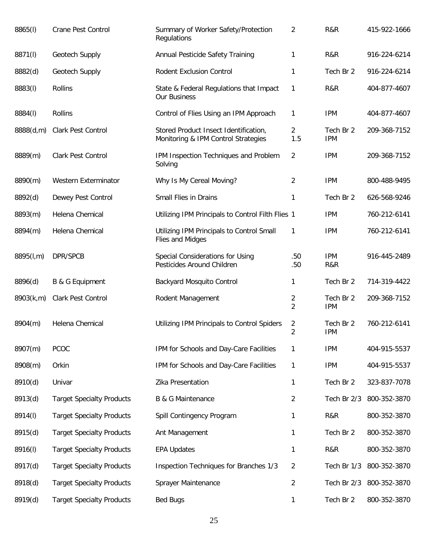| 8865(I)   | Crane Pest Control               | Summary of Worker Safety/Protection<br>Regulations                           | 2                                | R&R                     | 415-922-1666             |
|-----------|----------------------------------|------------------------------------------------------------------------------|----------------------------------|-------------------------|--------------------------|
| 8871(I)   | Geotech Supply                   | Annual Pesticide Safety Training                                             | 1                                | R&R                     | 916-224-6214             |
| 8882(d)   | Geotech Supply                   | <b>Rodent Exclusion Control</b>                                              | 1                                | Tech Br 2               | 916-224-6214             |
| 8883(I)   | <b>Rollins</b>                   | State & Federal Regulations that Impact<br>Our Business                      | $\mathbf{1}$                     | R&R                     | 404-877-4607             |
| 8884(I)   | <b>Rollins</b>                   | Control of Flies Using an IPM Approach                                       | 1                                | <b>IPM</b>              | 404-877-4607             |
| 8888(d,m) | Clark Pest Control               | Stored Product Insect Identification,<br>Monitoring & IPM Control Strategies | $\overline{a}$<br>1.5            | Tech Br 2<br><b>IPM</b> | 209-368-7152             |
| 8889(m)   | <b>Clark Pest Control</b>        | IPM Inspection Techniques and Problem<br>Solving                             | $\overline{2}$                   | <b>IPM</b>              | 209-368-7152             |
| 8890(m)   | <b>Western Exterminator</b>      | Why Is My Cereal Moving?                                                     | 2                                | <b>IPM</b>              | 800-488-9495             |
| 8892(d)   | Dewey Pest Control               | Small Flies in Drains                                                        | 1                                | Tech Br 2               | 626-568-9246             |
| 8893(m)   | Helena Chemical                  | Utilizing IPM Principals to Control Filth Flies 1                            |                                  | <b>IPM</b>              | 760-212-6141             |
| 8894(m)   | Helena Chemical                  | Utilizing IPM Principals to Control Small<br>Flies and Midges                | 1                                | <b>IPM</b>              | 760-212-6141             |
| 8895(l,m) | DPR/SPCB                         | Special Considerations for Using<br>Pesticides Around Children               | .50<br>.50                       | <b>IPM</b><br>R&R       | 916-445-2489             |
| 8896(d)   | B & G Equipment                  | Backyard Mosquito Control                                                    | 1                                | Tech Br 2               | 714-319-4422             |
| 8903(k,m) | Clark Pest Control               | Rodent Management                                                            | $\overline{2}$<br>$\overline{2}$ | Tech Br 2<br><b>IPM</b> | 209-368-7152             |
| 8904(m)   | Helena Chemical                  | Utilizing IPM Principals to Control Spiders                                  | 2<br>2                           | Tech Br 2<br><b>IPM</b> | 760-212-6141             |
| 8907(m)   | <b>PCOC</b>                      | IPM for Schools and Day-Care Facilities                                      | 1                                | <b>IPM</b>              | 404-915-5537             |
| 8908(m)   | Orkin                            | IPM for Schools and Day-Care Facilities                                      | $\mathbf{1}$                     | <b>IPM</b>              | 404-915-5537             |
| 8910(d)   | Univar                           | Zika Presentation                                                            | 1                                | Tech Br 2               | 323-837-7078             |
| 8913(d)   | <b>Target Specialty Products</b> | <b>B &amp; G Maintenance</b>                                                 | 2                                | Tech Br 2/3             | 800-352-3870             |
| 8914(I)   | <b>Target Specialty Products</b> | Spill Contingency Program                                                    | 1                                | R&R                     | 800-352-3870             |
| 8915(d)   | <b>Target Specialty Products</b> | Ant Management                                                               | 1                                | Tech Br 2               | 800-352-3870             |
| 8916(I)   | <b>Target Specialty Products</b> | <b>EPA Updates</b>                                                           | 1                                | R&R                     | 800-352-3870             |
| 8917(d)   | <b>Target Specialty Products</b> | Inspection Techniques for Branches 1/3                                       | $\overline{2}$                   | Tech Br 1/3             | 800-352-3870             |
| 8918(d)   | <b>Target Specialty Products</b> | Sprayer Maintenance                                                          | $\overline{2}$                   |                         | Tech Br 2/3 800-352-3870 |
| 8919(d)   | <b>Target Specialty Products</b> | <b>Bed Bugs</b>                                                              | 1                                | Tech Br 2               | 800-352-3870             |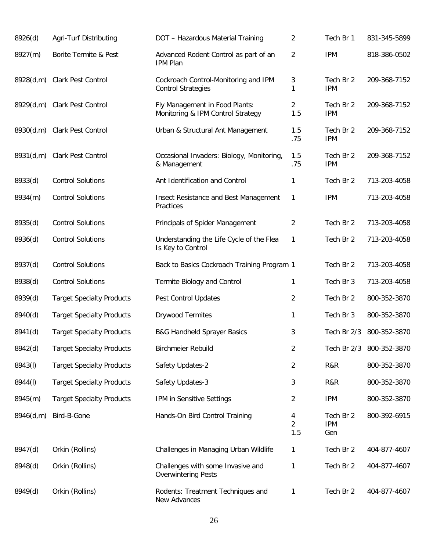| 8926(d)   | Agri-Turf Distributing           | DOT - Hazardous Material Training                                   | $\overline{2}$             | Tech Br 1                      | 831-345-5899 |
|-----------|----------------------------------|---------------------------------------------------------------------|----------------------------|--------------------------------|--------------|
| 8927(m)   | Borite Termite & Pest            | Advanced Rodent Control as part of an<br><b>IPM Plan</b>            | $\overline{2}$             | <b>IPM</b>                     | 818-386-0502 |
| 8928(d,m) | Clark Pest Control               | Cockroach Control-Monitoring and IPM<br><b>Control Strategies</b>   | 3<br>1                     | Tech Br 2<br><b>IPM</b>        | 209-368-7152 |
| 8929(d,m) | Clark Pest Control               | Fly Management in Food Plants:<br>Monitoring & IPM Control Strategy | 2<br>1.5                   | Tech Br 2<br><b>IPM</b>        | 209-368-7152 |
| 8930(d,m) | Clark Pest Control               | Urban & Structural Ant Management                                   | 1.5<br>.75                 | Tech Br 2<br><b>IPM</b>        | 209-368-7152 |
| 8931(d,m) | Clark Pest Control               | Occasional Invaders: Biology, Monitoring,<br>& Management           | 1.5<br>.75                 | Tech Br 2<br><b>IPM</b>        | 209-368-7152 |
| 8933(d)   | <b>Control Solutions</b>         | Ant Identification and Control                                      | 1                          | Tech Br 2                      | 713-203-4058 |
| 8934(m)   | <b>Control Solutions</b>         | Insect Resistance and Best Management<br>Practices                  | 1                          | <b>IPM</b>                     | 713-203-4058 |
| 8935(d)   | <b>Control Solutions</b>         | Principals of Spider Management                                     | $\overline{2}$             | Tech Br 2                      | 713-203-4058 |
| 8936(d)   | <b>Control Solutions</b>         | Understanding the Life Cycle of the Flea<br>Is Key to Control       | 1                          | Tech Br 2                      | 713-203-4058 |
| 8937(d)   | <b>Control Solutions</b>         | Back to Basics Cockroach Training Program 1                         |                            | Tech Br 2                      | 713-203-4058 |
| 8938(d)   | <b>Control Solutions</b>         | Termite Biology and Control                                         | 1                          | Tech Br 3                      | 713-203-4058 |
| 8939(d)   | <b>Target Specialty Products</b> | Pest Control Updates                                                | $\overline{2}$             | Tech Br 2                      | 800-352-3870 |
| 8940(d)   | <b>Target Specialty Products</b> | Drywood Termites                                                    | 1                          | Tech Br 3                      | 800-352-3870 |
| 8941(d)   | <b>Target Specialty Products</b> | <b>B&amp;G Handheld Sprayer Basics</b>                              | 3                          | Tech Br 2/3                    | 800-352-3870 |
| 8942(d)   | <b>Target Specialty Products</b> | <b>Birchmeier Rebuild</b>                                           | $\overline{2}$             | Tech Br 2/3                    | 800-352-3870 |
| 8943(I)   | <b>Target Specialty Products</b> | Safety Updates-2                                                    | $\overline{2}$             | R&R                            | 800-352-3870 |
| 8944(I)   | <b>Target Specialty Products</b> | Safety Updates-3                                                    | 3                          | R&R                            | 800-352-3870 |
| 8945(m)   | <b>Target Specialty Products</b> | IPM in Sensitive Settings                                           | $\overline{2}$             | <b>IPM</b>                     | 800-352-3870 |
| 8946(d,m) | Bird-B-Gone                      | Hands-On Bird Control Training                                      | 4<br>$\overline{2}$<br>1.5 | Tech Br 2<br><b>IPM</b><br>Gen | 800-392-6915 |
| 8947(d)   | Orkin (Rollins)                  | Challenges in Managing Urban Wildlife                               | 1                          | Tech Br 2                      | 404-877-4607 |
| 8948(d)   | Orkin (Rollins)                  | Challenges with some Invasive and<br><b>Overwintering Pests</b>     | 1                          | Tech Br 2                      | 404-877-4607 |
| 8949(d)   | Orkin (Rollins)                  | Rodents: Treatment Techniques and<br>New Advances                   | 1                          | Tech Br 2                      | 404-877-4607 |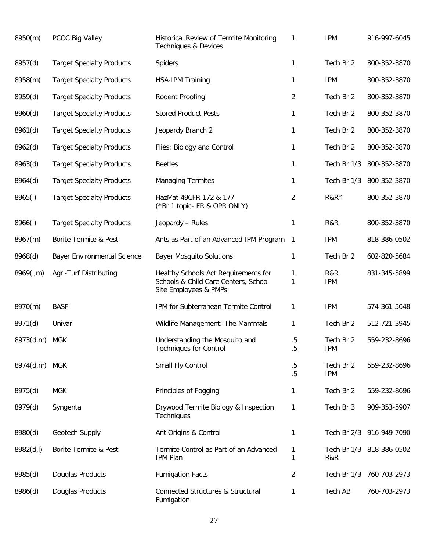| 8950(m)       | PCOC Big Valley                    | Historical Review of Termite Monitoring<br><b>Techniques &amp; Devices</b>                            | 1              | <b>IPM</b>              | 916-997-6045             |
|---------------|------------------------------------|-------------------------------------------------------------------------------------------------------|----------------|-------------------------|--------------------------|
| 8957(d)       | <b>Target Specialty Products</b>   | Spiders                                                                                               | 1              | Tech Br 2               | 800-352-3870             |
| 8958(m)       | <b>Target Specialty Products</b>   | <b>HSA-IPM Training</b>                                                                               | $\mathbf{1}$   | <b>IPM</b>              | 800-352-3870             |
| 8959(d)       | <b>Target Specialty Products</b>   | Rodent Proofing                                                                                       | $\overline{2}$ | Tech Br 2               | 800-352-3870             |
| 8960(d)       | <b>Target Specialty Products</b>   | <b>Stored Product Pests</b>                                                                           | $\mathbf{1}$   | Tech Br 2               | 800-352-3870             |
| 8961(d)       | <b>Target Specialty Products</b>   | Jeopardy Branch 2                                                                                     | 1              | Tech Br 2               | 800-352-3870             |
| 8962(d)       | <b>Target Specialty Products</b>   | Flies: Biology and Control                                                                            | $\mathbf{1}$   | Tech Br 2               | 800-352-3870             |
| 8963(d)       | <b>Target Specialty Products</b>   | <b>Beetles</b>                                                                                        | 1              | Tech Br 1/3             | 800-352-3870             |
| 8964(d)       | <b>Target Specialty Products</b>   | <b>Managing Termites</b>                                                                              | 1              | Tech Br 1/3             | 800-352-3870             |
| 8965(I)       | <b>Target Specialty Products</b>   | HazMat 49CFR 172 & 177<br>(*Br 1 topic- FR & OPR ONLY)                                                | $\overline{2}$ | $R&R*$                  | 800-352-3870             |
| 8966(I)       | <b>Target Specialty Products</b>   | Jeopardy - Rules                                                                                      | 1              | R&R                     | 800-352-3870             |
| 8967(m)       | Borite Termite & Pest              | Ants as Part of an Advanced IPM Program                                                               | $\mathbf{1}$   | <b>IPM</b>              | 818-386-0502             |
| 8968(d)       | <b>Bayer Environmental Science</b> | <b>Bayer Mosquito Solutions</b>                                                                       | 1              | Tech Br 2               | 602-820-5684             |
| 8969(l,m)     | Agri-Turf Distributing             | Healthy Schools Act Requirements for<br>Schools & Child Care Centers, School<br>Site Employees & PMPs | 1<br>1         | R&R<br><b>IPM</b>       | 831-345-5899             |
| 8970(m)       | <b>BASF</b>                        | IPM for Subterranean Termite Control                                                                  | $\mathbf{1}$   | <b>IPM</b>              | 574-361-5048             |
| 8971(d)       | Univar                             | Wildlife Management: The Mammals                                                                      | $\mathbf{1}$   | Tech Br 2               | 512-721-3945             |
| 8973(d,m) MGK |                                    | Understanding the Mosquito and<br><b>Techniques for Control</b>                                       | .5<br>$.5\,$   | Tech Br 2<br><b>IPM</b> | 559-232-8696             |
| 8974(d,m)     | <b>MGK</b>                         | Small Fly Control                                                                                     | $.5\,$<br>.5   | Tech Br 2<br><b>IPM</b> | 559-232-8696             |
| 8975(d)       | <b>MGK</b>                         | Principles of Fogging                                                                                 | 1              | Tech Br 2               | 559-232-8696             |
| 8979(d)       | Syngenta                           | Drywood Termite Biology & Inspection<br>Techniques                                                    | 1              | Tech Br 3               | 909-353-5907             |
| 8980(d)       | Geotech Supply                     | Ant Origins & Control                                                                                 | 1              |                         | Tech Br 2/3 916-949-7090 |
| 8982(d, I)    | Borite Termite & Pest              | Termite Control as Part of an Advanced<br><b>IPM Plan</b>                                             | 1<br>1         | R&R                     | Tech Br 1/3 818-386-0502 |
| 8985(d)       | Douglas Products                   | <b>Fumigation Facts</b>                                                                               | 2              |                         | Tech Br 1/3 760-703-2973 |
| 8986(d)       | Douglas Products                   | Connected Structures & Structural<br>Fumigation                                                       | 1              | <b>Tech AB</b>          | 760-703-2973             |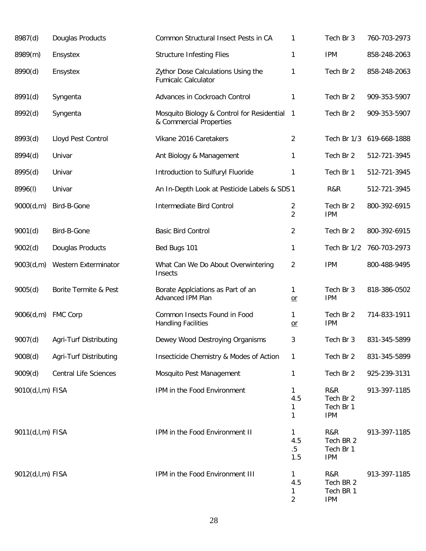| 8987(d)          | Douglas Products             | Common Structural Insect Pests in CA                                    | 1                          | Tech Br 3                                   | 760-703-2973 |
|------------------|------------------------------|-------------------------------------------------------------------------|----------------------------|---------------------------------------------|--------------|
| 8989(m)          | Ensystex                     | <b>Structure Infesting Flies</b>                                        | 1                          | <b>IPM</b>                                  | 858-248-2063 |
| 8990(d)          | Ensystex                     | Zythor Dose Calculations Using the<br><b>Fumicalc Calculator</b>        | 1                          | Tech Br 2                                   | 858-248-2063 |
| 8991(d)          | Syngenta                     | Advances in Cockroach Control                                           | 1                          | Tech Br 2                                   | 909-353-5907 |
| 8992(d)          | Syngenta                     | Mosquito Biology & Control for Residential 1<br>& Commercial Properties |                            | Tech Br 2                                   | 909-353-5907 |
| 8993(d)          | Lloyd Pest Control           | Vikane 2016 Caretakers                                                  | $\overline{2}$             | Tech Br 1/3                                 | 619-668-1888 |
| 8994(d)          | Univar                       | Ant Biology & Management                                                | 1                          | Tech Br 2                                   | 512-721-3945 |
| 8995(d)          | Univar                       | Introduction to Sulfuryl Fluoride                                       | 1                          | Tech Br 1                                   | 512-721-3945 |
| 8996(I)          | Univar                       | An In-Depth Look at Pesticide Labels & SDS 1                            |                            | R&R                                         | 512-721-3945 |
| 9000(d,m)        | Bird-B-Gone                  | Intermediate Bird Control                                               | 2<br>$\overline{2}$        | Tech Br 2<br><b>IPM</b>                     | 800-392-6915 |
| 9001(d)          | Bird-B-Gone                  | <b>Basic Bird Control</b>                                               | 2                          | Tech Br 2                                   | 800-392-6915 |
| 9002(d)          | Douglas Products             | Bed Bugs 101                                                            | 1                          | Tech Br 1/2                                 | 760-703-2973 |
| 9003(d,m)        | Western Exterminator         | What Can We Do About Overwintering<br>Insects                           | 2                          | <b>IPM</b>                                  | 800-488-9495 |
| 9005(d)          | Borite Termite & Pest        | Borate Applciations as Part of an<br>Advanced IPM Plan                  | 1<br>$or$                  | Tech Br 3<br><b>IPM</b>                     | 818-386-0502 |
| 9006(d,m)        | <b>FMC Corp</b>              | Common Insects Found in Food<br><b>Handling Facilities</b>              | 1<br>$or$                  | Tech Br 2<br><b>IPM</b>                     | 714-833-1911 |
| 9007(d)          | Agri-Turf Distributing       | Dewey Wood Destroying Organisms                                         | 3                          | Tech Br 3                                   | 831-345-5899 |
| 9008(d)          | Agri-Turf Distributing       | Insecticide Chemistry & Modes of Action                                 | 1                          | Tech Br 2                                   | 831-345-5899 |
| 9009(d)          | <b>Central Life Sciences</b> | Mosquito Pest Management                                                | 1                          | Tech Br 2                                   | 925-239-3131 |
| 9010(d,l,m) FISA |                              | IPM in the Food Environment                                             | 1<br>4.5<br>1<br>1         | R&R<br>Tech Br 2<br>Tech Br 1<br><b>IPM</b> | 913-397-1185 |
| 9011(d,l,m) FISA |                              | IPM in the Food Environment II                                          | 1<br>4.5<br>$.5\,$<br>1.5  | R&R<br>Tech BR 2<br>Tech Br 1<br><b>IPM</b> | 913-397-1185 |
| 9012(d,l,m) FISA |                              | IPM in the Food Environment III                                         | 1<br>4.5<br>$\overline{2}$ | R&R<br>Tech BR 2<br>Tech BR 1<br><b>IPM</b> | 913-397-1185 |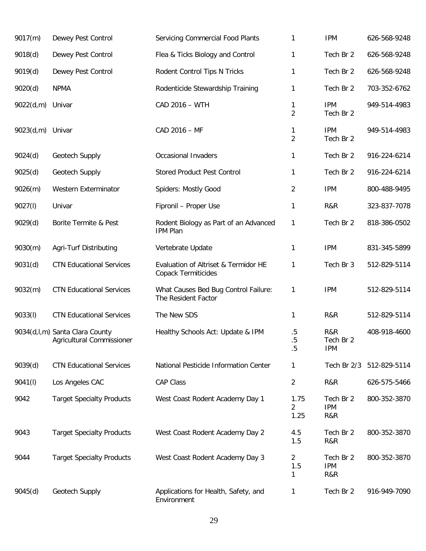| 9017(m)   | Dewey Pest Control                                          | <b>Servicing Commercial Food Plants</b>                            | 1                          | <b>IPM</b>                     | 626-568-9248 |
|-----------|-------------------------------------------------------------|--------------------------------------------------------------------|----------------------------|--------------------------------|--------------|
| 9018(d)   | Dewey Pest Control                                          | Flea & Ticks Biology and Control                                   | 1                          | Tech Br 2                      | 626-568-9248 |
| 9019(d)   | Dewey Pest Control                                          | Rodent Control Tips N Tricks                                       | $\mathbf{1}$               | Tech Br 2                      | 626-568-9248 |
| 9020(d)   | <b>NPMA</b>                                                 | Rodenticide Stewardship Training                                   | 1                          | Tech Br 2                      | 703-352-6762 |
| 9022(d,m) | Univar                                                      | CAD 2016 - WTH                                                     | 1<br>$\overline{2}$        | <b>IPM</b><br>Tech Br 2        | 949-514-4983 |
| 9023(d,m) | Univar                                                      | CAD 2016 - MF                                                      | 1<br>$\overline{2}$        | <b>IPM</b><br>Tech Br 2        | 949-514-4983 |
| 9024(d)   | Geotech Supply                                              | Occasional Invaders                                                | $\mathbf{1}$               | Tech Br 2                      | 916-224-6214 |
| 9025(d)   | Geotech Supply                                              | <b>Stored Product Pest Control</b>                                 | $\mathbf{1}$               | Tech Br 2                      | 916-224-6214 |
| 9026(m)   | Western Exterminator                                        | Spiders: Mostly Good                                               | $\overline{2}$             | <b>IPM</b>                     | 800-488-9495 |
| 9027(l)   | Univar                                                      | Fipronil - Proper Use                                              | $\mathbf{1}$               | R&R                            | 323-837-7078 |
| 9029(d)   | Borite Termite & Pest                                       | Rodent Biology as Part of an Advanced<br><b>IPM Plan</b>           | 1                          | Tech Br 2                      | 818-386-0502 |
| 9030(m)   | Agri-Turf Distributing                                      | Vertebrate Update                                                  | $\mathbf{1}$               | <b>IPM</b>                     | 831-345-5899 |
| 9031(d)   | <b>CTN Educational Services</b>                             | Evaluation of Altriset & Termidor HE<br><b>Copack Termiticides</b> | 1                          | Tech Br 3                      | 512-829-5114 |
| 9032(m)   | <b>CTN Educational Services</b>                             | What Causes Bed Bug Control Failure:<br>The Resident Factor        | 1                          | <b>IPM</b>                     | 512-829-5114 |
| 9033(l)   | <b>CTN Educational Services</b>                             | The New SDS                                                        | 1                          | R&R                            | 512-829-5114 |
|           | 9034(d,l,m) Santa Clara County<br>Agricultural Commissioner | Healthy Schools Act: Update & IPM                                  | $.5\,$<br>$.5\,$<br>.5     | R&R<br>Tech Br 2<br><b>IPM</b> | 408-918-4600 |
| 9039(d)   | <b>CTN Educational Services</b>                             | National Pesticide Information Center                              | 1                          | Tech Br 2/3                    | 512-829-5114 |
| 9041(l)   | Los Angeles CAC                                             | <b>CAP Class</b>                                                   | $\overline{2}$             | R&R                            | 626-575-5466 |
| 9042      | <b>Target Specialty Products</b>                            | West Coast Rodent Academy Day 1                                    | 1.75<br>2<br>1.25          | Tech Br 2<br><b>IPM</b><br>R&R | 800-352-3870 |
| 9043      | <b>Target Specialty Products</b>                            | West Coast Rodent Academy Day 2                                    | 4.5<br>1.5                 | Tech Br 2<br>R&R               | 800-352-3870 |
| 9044      | <b>Target Specialty Products</b>                            | West Coast Rodent Academy Day 3                                    | $\overline{2}$<br>1.5<br>1 | Tech Br 2<br><b>IPM</b><br>R&R | 800-352-3870 |
| 9045(d)   | Geotech Supply                                              | Applications for Health, Safety, and<br>Environment                | 1                          | Tech Br 2                      | 916-949-7090 |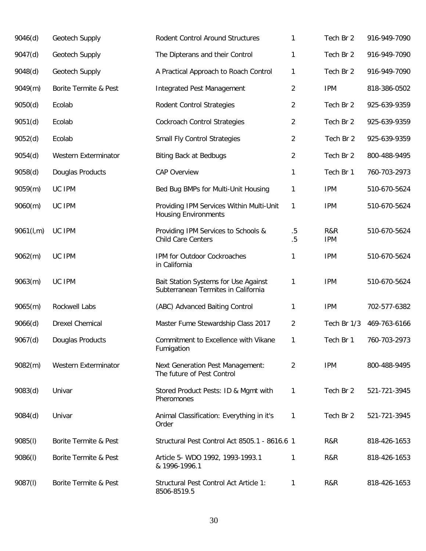| 9046(d)   | Geotech Supply         | Rodent Control Around Structures                                            | 1                | Tech Br 2         | 916-949-7090 |
|-----------|------------------------|-----------------------------------------------------------------------------|------------------|-------------------|--------------|
| 9047(d)   | Geotech Supply         | The Dipterans and their Control                                             | 1                | Tech Br 2         | 916-949-7090 |
| 9048(d)   | Geotech Supply         | A Practical Approach to Roach Control                                       | 1                | Tech Br 2         | 916-949-7090 |
| 9049(m)   | Borite Termite & Pest  | <b>Integrated Pest Management</b>                                           | 2                | <b>IPM</b>        | 818-386-0502 |
| 9050(d)   | Ecolab                 | Rodent Control Strategies                                                   | 2                | Tech Br 2         | 925-639-9359 |
| 9051(d)   | Ecolab                 | <b>Cockroach Control Strategies</b>                                         | 2                | Tech Br 2         | 925-639-9359 |
| 9052(d)   | Ecolab                 | Small Fly Control Strategies                                                | 2                | Tech Br 2         | 925-639-9359 |
| 9054(d)   | Western Exterminator   | <b>Biting Back at Bedbugs</b>                                               | 2                | Tech Br 2         | 800-488-9495 |
| 9058(d)   | Douglas Products       | <b>CAP Overview</b>                                                         | 1                | Tech Br 1         | 760-703-2973 |
| 9059(m)   | UC IPM                 | Bed Bug BMPs for Multi-Unit Housing                                         | 1                | <b>IPM</b>        | 510-670-5624 |
| 9060(m)   | UC IPM                 | Providing IPM Services Within Multi-Unit<br><b>Housing Environments</b>     | 1                | <b>IPM</b>        | 510-670-5624 |
| 9061(l,m) | UC IPM                 | Providing IPM Services to Schools &<br><b>Child Care Centers</b>            | $.5\,$<br>$.5\,$ | R&R<br><b>IPM</b> | 510-670-5624 |
| 9062(m)   | UC IPM                 | IPM for Outdoor Cockroaches<br>in California                                | 1                | <b>IPM</b>        | 510-670-5624 |
| 9063(m)   | UC IPM                 | Bait Station Systems for Use Against<br>Subterranean Termites in California | 1                | <b>IPM</b>        | 510-670-5624 |
| 9065(m)   | Rockwell Labs          | (ABC) Advanced Baiting Control                                              | 1                | <b>IPM</b>        | 702-577-6382 |
| 9066(d)   | <b>Drexel Chemical</b> | Master Fume Stewardship Class 2017                                          | $\overline{2}$   | Tech Br 1/3       | 469-763-6166 |
| 9067(d)   | Douglas Products       | Commitment to Excellence with Vikane<br>Fumigation                          | 1                | Tech Br 1         | 760-703-2973 |
| 9082(m)   | Western Exterminator   | <b>Next Generation Pest Management:</b><br>The future of Pest Control       | 2                | <b>IPM</b>        | 800-488-9495 |
| 9083(d)   | Univar                 | Stored Product Pests: ID & Mgmt with<br>Pheromones                          | 1                | Tech Br 2         | 521-721-3945 |
| 9084(d)   | Univar                 | Animal Classification: Everything in it's<br>Order                          | $\mathbf{1}$     | Tech Br 2         | 521-721-3945 |
| 9085(l)   | Borite Termite & Pest  | Structural Pest Control Act 8505.1 - 8616.6 1                               |                  | R&R               | 818-426-1653 |
| 9086(l)   | Borite Termite & Pest  | Article 5- WDO 1992, 1993-1993.1<br>& 1996-1996.1                           | 1                | R&R               | 818-426-1653 |
| 9087(l)   | Borite Termite & Pest  | Structural Pest Control Act Article 1:<br>8506-8519.5                       | 1                | R&R               | 818-426-1653 |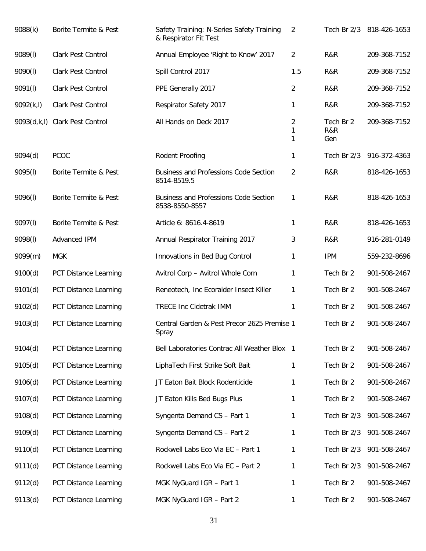| 9088(k)    | Borite Termite & Pest          | Safety Training: N-Series Safety Training<br>& Respirator Fit Test | 2              |                         | Tech Br 2/3 818-426-1653 |
|------------|--------------------------------|--------------------------------------------------------------------|----------------|-------------------------|--------------------------|
| 9089(I)    | Clark Pest Control             | Annual Employee 'Right to Know' 2017                               | $\overline{2}$ | R&R                     | 209-368-7152             |
| 9090(l)    | Clark Pest Control             | Spill Control 2017                                                 | 1.5            | R&R                     | 209-368-7152             |
| 9091(I)    | Clark Pest Control             | PPE Generally 2017                                                 | 2              | R&R                     | 209-368-7152             |
| 9092(k, l) | Clark Pest Control             | Respirator Safety 2017                                             | 1              | R&R                     | 209-368-7152             |
|            | 9093(d,k,l) Clark Pest Control | All Hands on Deck 2017                                             | 2<br>1<br>1    | Tech Br 2<br>R&R<br>Gen | 209-368-7152             |
| 9094(d)    | PCOC                           | Rodent Proofing                                                    | 1              | Tech Br 2/3             | 916-372-4363             |
| 9095(l)    | Borite Termite & Pest          | <b>Business and Professions Code Section</b><br>8514-8519.5        | $\overline{2}$ | R&R                     | 818-426-1653             |
| 9096(l)    | Borite Termite & Pest          | <b>Business and Professions Code Section</b><br>8538-8550-8557     | 1              | R&R                     | 818-426-1653             |
| 9097(I)    | Borite Termite & Pest          | Article 6: 8616.4-8619                                             | 1              | R&R                     | 818-426-1653             |
| 9098(I)    | Advanced IPM                   | Annual Respirator Training 2017                                    | 3              | R&R                     | 916-281-0149             |
| 9099(m)    | <b>MGK</b>                     | Innovations in Bed Bug Control                                     | 1              | <b>IPM</b>              | 559-232-8696             |
| 9100(d)    | PCT Distance Learning          | Avitrol Corp - Avitrol Whole Corn                                  | 1              | Tech Br 2               | 901-508-2467             |
| 9101(d)    | PCT Distance Learning          | Reneotech, Inc Ecoraider Insect Killer                             | 1              | Tech Br 2               | 901-508-2467             |
| 9102(d)    | PCT Distance Learning          | <b>TRECE Inc Cidetrak IMM</b>                                      | 1              | Tech Br 2               | 901-508-2467             |
| 9103(d)    | PCT Distance Learning          | Central Garden & Pest Precor 2625 Premise 1<br>Spray               |                | Tech Br 2               | 901-508-2467             |
| 9104(d)    | PCT Distance Learning          | Bell Laboratories Contrac All Weather Blox 1                       |                | Tech Br 2               | 901-508-2467             |
| 9105(d)    | PCT Distance Learning          | LiphaTech First Strike Soft Bait                                   | 1              | Tech Br 2               | 901-508-2467             |
| 9106(d)    | <b>PCT Distance Learning</b>   | JT Eaton Bait Block Rodenticide                                    | 1              | Tech Br 2               | 901-508-2467             |
| 9107(d)    | PCT Distance Learning          | JT Eaton Kills Bed Bugs Plus                                       | 1              | Tech Br 2               | 901-508-2467             |
| 9108(d)    | PCT Distance Learning          | Syngenta Demand CS - Part 1                                        | 1              | Tech Br 2/3             | 901-508-2467             |
| 9109(d)    | PCT Distance Learning          | Syngenta Demand CS - Part 2                                        | 1              | Tech Br 2/3             | 901-508-2467             |
| 9110(d)    | PCT Distance Learning          | Rockwell Labs Eco Via EC - Part 1                                  | 1              | Tech Br 2/3             | 901-508-2467             |
| 9111(d)    | PCT Distance Learning          | Rockwell Labs Eco Via EC - Part 2                                  | 1              | Tech Br 2/3             | 901-508-2467             |
| 9112(d)    | PCT Distance Learning          | MGK NyGuard IGR - Part 1                                           | 1              | Tech Br 2               | 901-508-2467             |
| 9113(d)    | PCT Distance Learning          | MGK NyGuard IGR - Part 2                                           | 1              | Tech Br 2               | 901-508-2467             |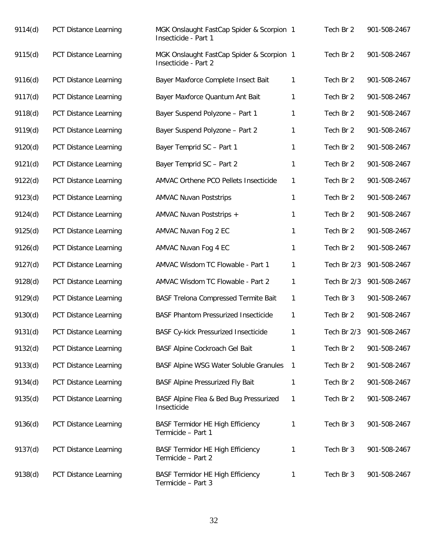| 9114(d) | <b>PCT Distance Learning</b> | MGK Onslaught FastCap Spider & Scorpion 1<br>Insecticide - Part 1 |                | Tech Br 2   | 901-508-2467 |
|---------|------------------------------|-------------------------------------------------------------------|----------------|-------------|--------------|
| 9115(d) | PCT Distance Learning        | MGK Onslaught FastCap Spider & Scorpion 1<br>Insecticide - Part 2 |                | Tech Br 2   | 901-508-2467 |
| 9116(d) | PCT Distance Learning        | Bayer Maxforce Complete Insect Bait                               | 1              | Tech Br 2   | 901-508-2467 |
| 9117(d) | PCT Distance Learning        | Bayer Maxforce Quantum Ant Bait                                   | 1              | Tech Br 2   | 901-508-2467 |
| 9118(d) | PCT Distance Learning        | Bayer Suspend Polyzone - Part 1                                   | 1              | Tech Br 2   | 901-508-2467 |
| 9119(d) | PCT Distance Learning        | Bayer Suspend Polyzone - Part 2                                   | 1              | Tech Br 2   | 901-508-2467 |
| 9120(d) | PCT Distance Learning        | Bayer Temprid SC - Part 1                                         | 1              | Tech Br 2   | 901-508-2467 |
| 9121(d) | PCT Distance Learning        | Bayer Temprid SC - Part 2                                         | 1              | Tech Br 2   | 901-508-2467 |
| 9122(d) | PCT Distance Learning        | AMVAC Orthene PCO Pellets Insecticide                             | 1              | Tech Br 2   | 901-508-2467 |
| 9123(d) | PCT Distance Learning        | <b>AMVAC Nuvan Poststrips</b>                                     | 1              | Tech Br 2   | 901-508-2467 |
| 9124(d) | PCT Distance Learning        | AMVAC Nuvan Poststrips +                                          | 1              | Tech Br 2   | 901-508-2467 |
| 9125(d) | PCT Distance Learning        | AMVAC Nuvan Fog 2 EC                                              | 1              | Tech Br 2   | 901-508-2467 |
| 9126(d) | PCT Distance Learning        | AMVAC Nuvan Fog 4 EC                                              | 1              | Tech Br 2   | 901-508-2467 |
| 9127(d) | PCT Distance Learning        | AMVAC Wisdom TC Flowable - Part 1                                 | 1              | Tech Br 2/3 | 901-508-2467 |
| 9128(d) | PCT Distance Learning        | AMVAC Wisdom TC Flowable - Part 2                                 | 1              | Tech Br 2/3 | 901-508-2467 |
| 9129(d) | PCT Distance Learning        | <b>BASF Trelona Compressed Termite Bait</b>                       | 1              | Tech Br 3   | 901-508-2467 |
| 9130(d) | PCT Distance Learning        | <b>BASF Phantom Pressurized Insecticide</b>                       | 1              | Tech Br 2   | 901-508-2467 |
| 9131(d) | <b>PCT Distance Learning</b> | <b>BASF Cy-kick Pressurized Insecticide</b>                       | 1              | Tech Br 2/3 | 901-508-2467 |
| 9132(d) | PCT Distance Learning        | BASF Alpine Cockroach Gel Bait                                    | 1              | Tech Br 2   | 901-508-2467 |
| 9133(d) | PCT Distance Learning        | <b>BASF Alpine WSG Water Soluble Granules</b>                     | $\overline{1}$ | Tech Br 2   | 901-508-2467 |
| 9134(d) | <b>PCT Distance Learning</b> | <b>BASF Alpine Pressurized Fly Bait</b>                           | 1              | Tech Br 2   | 901-508-2467 |
| 9135(d) | PCT Distance Learning        | BASF Alpine Flea & Bed Bug Pressurized<br>Insecticide             | 1              | Tech Br 2   | 901-508-2467 |
| 9136(d) | PCT Distance Learning        | <b>BASF Termidor HE High Efficiency</b><br>Termicide - Part 1     | 1              | Tech Br 3   | 901-508-2467 |
| 9137(d) | PCT Distance Learning        | <b>BASF Termidor HE High Efficiency</b><br>Termicide - Part 2     | 1              | Tech Br 3   | 901-508-2467 |
| 9138(d) | PCT Distance Learning        | BASF Termidor HE High Efficiency<br>Termicide - Part 3            | 1              | Tech Br 3   | 901-508-2467 |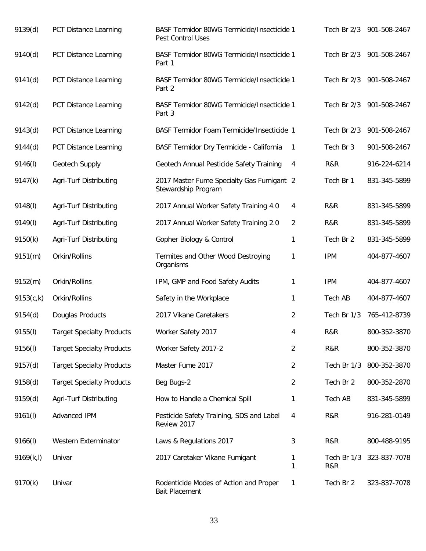| 9139(d)    | PCT Distance Learning            | BASF Termidor 80WG Termicide/Insecticide 1<br>Pest Control Uses  |                |                    | Tech Br 2/3 901-508-2467 |
|------------|----------------------------------|------------------------------------------------------------------|----------------|--------------------|--------------------------|
| 9140(d)    | PCT Distance Learning            | BASF Termidor 80WG Termicide/Insecticide 1<br>Part 1             |                |                    | Tech Br 2/3 901-508-2467 |
| 9141(d)    | PCT Distance Learning            | BASF Termidor 80WG Termicide/Insecticide 1<br>Part 2             |                |                    | Tech Br 2/3 901-508-2467 |
| 9142(d)    | PCT Distance Learning            | BASF Termidor 80WG Termicide/Insecticide 1<br>Part 3             |                | Tech Br 2/3        | 901-508-2467             |
| 9143(d)    | PCT Distance Learning            | BASF Termidor Foam Termicide/Insecticide 1                       |                | Tech Br 2/3        | 901-508-2467             |
| 9144(d)    | PCT Distance Learning            | BASF Termidor Dry Termicide - California                         | 1              | Tech Br 3          | 901-508-2467             |
| 9146(I)    | Geotech Supply                   | Geotech Annual Pesticide Safety Training                         | 4              | R&R                | 916-224-6214             |
| 9147(k)    | Agri-Turf Distributing           | 2017 Master Fume Specialty Gas Fumigant 2<br>Stewardship Program |                | Tech Br 1          | 831-345-5899             |
| 9148(l)    | Agri-Turf Distributing           | 2017 Annual Worker Safety Training 4.0                           | 4              | R&R                | 831-345-5899             |
| 9149(I)    | Agri-Turf Distributing           | 2017 Annual Worker Safety Training 2.0                           | $\overline{2}$ | R&R                | 831-345-5899             |
| 9150(k)    | Agri-Turf Distributing           | Gopher Biology & Control                                         | 1              | Tech Br 2          | 831-345-5899             |
| 9151(m)    | Orkin/Rollins                    | Termites and Other Wood Destroying<br>Organisms                  | 1              | <b>IPM</b>         | 404-877-4607             |
| 9152(m)    | Orkin/Rollins                    | IPM, GMP and Food Safety Audits                                  | 1              | <b>IPM</b>         | 404-877-4607             |
| 9153(c,k)  | Orkin/Rollins                    | Safety in the Workplace                                          | 1              | Tech AB            | 404-877-4607             |
| 9154(d)    | Douglas Products                 | 2017 Vikane Caretakers                                           | $\overline{2}$ | Tech Br 1/3        | 765-412-8739             |
| 9155(l)    | <b>Target Specialty Products</b> | Worker Safety 2017                                               | 4              | R&R                | 800-352-3870             |
| 9156(l)    | <b>Target Specialty Products</b> | Worker Safety 2017-2                                             | $\overline{2}$ | R&R                | 800-352-3870             |
| 9157(d)    | <b>Target Specialty Products</b> | Master Fume 2017                                                 | $\overline{2}$ | Tech Br 1/3        | 800-352-3870             |
| 9158(d)    | <b>Target Specialty Products</b> | Beg Bugs-2                                                       | $\overline{2}$ | Tech Br 2          | 800-352-2870             |
| 9159(d)    | Agri-Turf Distributing           | How to Handle a Chemical Spill                                   | 1              | <b>Tech AB</b>     | 831-345-5899             |
| 9161(l)    | Advanced IPM                     | Pesticide Safety Training, SDS and Label<br>Review 2017          | 4              | R&R                | 916-281-0149             |
| 9166(l)    | Western Exterminator             | Laws & Regulations 2017                                          | 3              | R&R                | 800-488-9195             |
| 9169(k, l) | Univar                           | 2017 Caretaker Vikane Fumigant                                   | 1<br>1         | Tech Br 1/3<br>R&R | 323-837-7078             |
| 9170(k)    | Univar                           | Rodenticide Modes of Action and Proper<br><b>Bait Placement</b>  | 1              | Tech Br 2          | 323-837-7078             |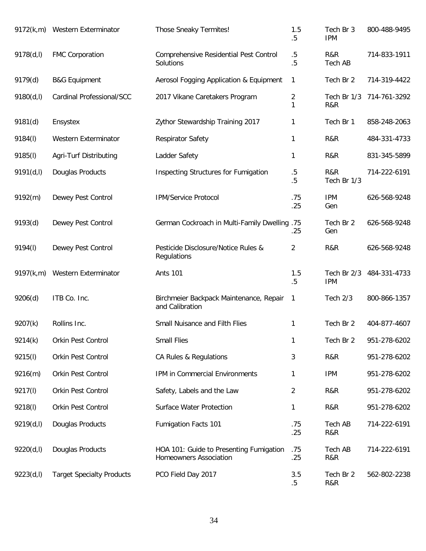|            | 9172(k,m) Western Exterminator   | Those Sneaky Termites!                                                   | 1.5<br>$.5\,$    | Tech Br 3<br><b>IPM</b>   | 800-488-9495 |
|------------|----------------------------------|--------------------------------------------------------------------------|------------------|---------------------------|--------------|
| 9178(d, I) | <b>FMC Corporation</b>           | Comprehensive Residential Pest Control<br>Solutions                      | $.5\,$<br>.5     | R&R<br><b>Tech AB</b>     | 714-833-1911 |
| 9179(d)    | <b>B&amp;G Equipment</b>         | Aerosol Fogging Application & Equipment                                  | 1                | Tech Br 2                 | 714-319-4422 |
| 9180(d, I) | Cardinal Professional/SCC        | 2017 Vikane Caretakers Program                                           | 2<br>1           | Tech Br 1/3<br>R&R        | 714-761-3292 |
| 9181(d)    | Ensystex                         | Zythor Stewardship Training 2017                                         | 1                | Tech Br 1                 | 858-248-2063 |
| 9184(I)    | Western Exterminator             | Respirator Safety                                                        | 1                | R&R                       | 484-331-4733 |
| 9185(I)    | Agri-Turf Distributing           | Ladder Safety                                                            | 1                | R&R                       | 831-345-5899 |
| 9191(d, I) | Douglas Products                 | Inspecting Structures for Fumigation                                     | $.5\,$<br>$.5\,$ | R&R<br>Tech Br 1/3        | 714-222-6191 |
| 9192(m)    | Dewey Pest Control               | <b>IPM/Service Protocol</b>                                              | .75<br>.25       | <b>IPM</b><br>Gen         | 626-568-9248 |
| 9193(d)    | Dewey Pest Control               | German Cockroach in Multi-Family Dwelling .75                            | .25              | Tech Br 2<br>Gen          | 626-568-9248 |
| 9194(I)    | Dewey Pest Control               | Pesticide Disclosure/Notice Rules &<br>Regulations                       | 2                | R&R                       | 626-568-9248 |
| 9197(k,m)  | Western Exterminator             | <b>Ants 101</b>                                                          | 1.5<br>$.5\,$    | Tech Br 2/3<br><b>IPM</b> | 484-331-4733 |
| 9206(d)    | ITB Co. Inc.                     | Birchmeier Backpack Maintenance, Repair<br>and Calibration               | 1                | Tech 2/3                  | 800-866-1357 |
| 9207(k)    | Rollins Inc.                     | Small Nuisance and Filth Flies                                           | 1                | Tech Br 2                 | 404-877-4607 |
| 9214(k)    | Orkin Pest Control               | <b>Small Flies</b>                                                       | 1                | Tech Br 2                 | 951-278-6202 |
| 9215(I)    | Orkin Pest Control               | CA Rules & Regulations                                                   | 3                | R&R                       | 951-278-6202 |
| 9216(m)    | Orkin Pest Control               | IPM in Commercial Environments                                           | 1                | <b>IPM</b>                | 951-278-6202 |
| 9217(I)    | Orkin Pest Control               | Safety, Labels and the Law                                               | 2                | R&R                       | 951-278-6202 |
| 9218(I)    | Orkin Pest Control               | Surface Water Protection                                                 | 1                | R&R                       | 951-278-6202 |
| 9219(d, I) | Douglas Products                 | Fumigation Facts 101                                                     | .75<br>.25       | Tech AB<br>R&R            | 714-222-6191 |
| 9220(d, I) | Douglas Products                 | HOA 101: Guide to Presenting Fumigation<br><b>Homeowners Association</b> | .75<br>.25       | Tech AB<br>R&R            | 714-222-6191 |
| 9223(d, I) | <b>Target Specialty Products</b> | PCO Field Day 2017                                                       | 3.5<br>$.5\,$    | Tech Br 2<br>R&R          | 562-802-2238 |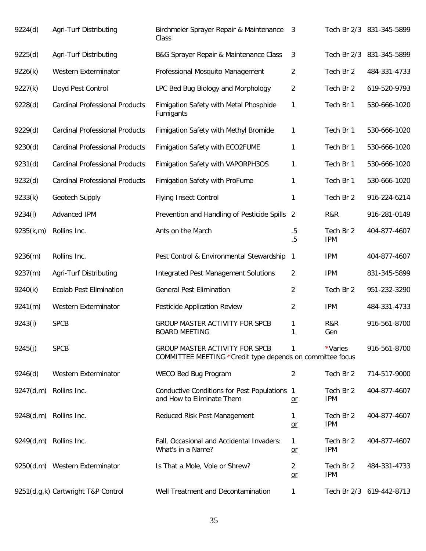| 9224(d)   | Agri-Turf Distributing                | Birchmeier Sprayer Repair & Maintenance<br>Class                                                   | 3              |                         | Tech Br 2/3 831-345-5899 |
|-----------|---------------------------------------|----------------------------------------------------------------------------------------------------|----------------|-------------------------|--------------------------|
| 9225(d)   | Agri-Turf Distributing                | B&G Sprayer Repair & Maintenance Class                                                             | 3              | Tech Br 2/3             | 831-345-5899             |
| 9226(k)   | Western Exterminator                  | Professional Mosquito Management                                                                   | 2              | Tech Br 2               | 484-331-4733             |
| 9227(k)   | Lloyd Pest Control                    | LPC Bed Bug Biology and Morphology                                                                 | 2              | Tech Br 2               | 619-520-9793             |
| 9228(d)   | <b>Cardinal Professional Products</b> | Fimigation Safety with Metal Phosphide<br>Fumigants                                                | 1              | Tech Br 1               | 530-666-1020             |
| 9229(d)   | <b>Cardinal Professional Products</b> | Fimigation Safety with Methyl Bromide                                                              | 1              | Tech Br 1               | 530-666-1020             |
| 9230(d)   | <b>Cardinal Professional Products</b> | Fimigation Safety with ECO2FUME                                                                    | 1              | Tech Br 1               | 530-666-1020             |
| 9231(d)   | <b>Cardinal Professional Products</b> | Fimigation Safety with VAPORPH3OS                                                                  | 1              | Tech Br 1               | 530-666-1020             |
| 9232(d)   | <b>Cardinal Professional Products</b> | Fimigation Safety with ProFume                                                                     | 1              | Tech Br 1               | 530-666-1020             |
| 9233(k)   | Geotech Supply                        | <b>Flying Insect Control</b>                                                                       | 1              | Tech Br 2               | 916-224-6214             |
| 9234(I)   | Advanced IPM                          | Prevention and Handling of Pesticide Spills 2                                                      |                | R&R                     | 916-281-0149             |
| 9235(k,m) | Rollins Inc.                          | Ants on the March                                                                                  | $.5\,$<br>.5   | Tech Br 2<br><b>IPM</b> | 404-877-4607             |
| 9236(m)   | Rollins Inc.                          | Pest Control & Environmental Stewardship                                                           | $\mathbf{1}$   | <b>IPM</b>              | 404-877-4607             |
| 9237(m)   | Agri-Turf Distributing                | <b>Integrated Pest Management Solutions</b>                                                        | 2              | <b>IPM</b>              | 831-345-5899             |
| 9240(k)   | <b>Ecolab Pest Elimination</b>        | <b>General Pest Elimination</b>                                                                    | $\overline{2}$ | Tech Br 2               | 951-232-3290             |
| 9241(m)   | Western Exterminator                  | <b>Pesticide Application Review</b>                                                                | 2              | <b>IPM</b>              | 484-331-4733             |
| 9243(i)   | <b>SPCB</b>                           | GROUP MASTER ACTIVITY FOR SPCB<br><b>BOARD MEETING</b>                                             | 1<br>1         | R&R<br>Gen              | 916-561-8700             |
| 9245(j)   | <b>SPCB</b>                           | <b>GROUP MASTER ACTIVITY FOR SPCB</b><br>COMMITTEE MEETING *Credit type depends on committee focus | 1              | *Varies                 | 916-561-8700             |
| 9246(d)   | Western Exterminator                  | WECO Bed Bug Program                                                                               | 2              | Tech Br 2               | 714-517-9000             |
| 9247(d,m) | Rollins Inc.                          | Conductive Conditions for Pest Populations 1<br>and How to Eliminate Them                          | $or$           | Tech Br 2<br><b>IPM</b> | 404-877-4607             |
| 9248(d,m) | Rollins Inc.                          | Reduced Risk Pest Management                                                                       | 1<br>$or$      | Tech Br 2<br><b>IPM</b> | 404-877-4607             |
|           | 9249(d,m) Rollins Inc.                | Fall, Occasional and Accidental Invaders:<br>What's in a Name?                                     | 1<br>$or$      | Tech Br 2<br><b>IPM</b> | 404-877-4607             |
|           | 9250(d,m) Western Exterminator        | Is That a Mole, Vole or Shrew?                                                                     | 2<br>$or$      | Tech Br 2<br><b>IPM</b> | 484-331-4733             |
|           | 9251(d,g,k) Cartwright T&P Control    | Well Treatment and Decontamination                                                                 | 1              |                         | Tech Br 2/3 619-442-8713 |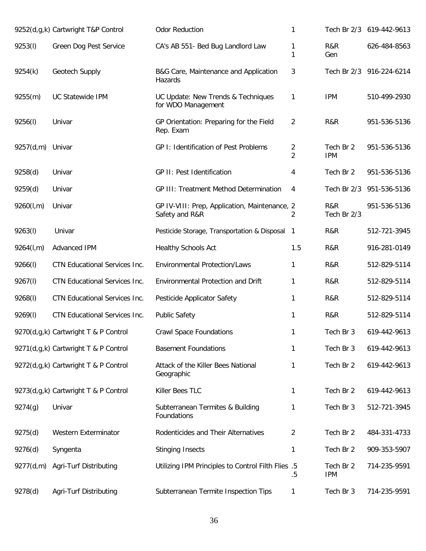|           | 9252(d,g,k) Cartwright T&P Control   | <b>Odor Reduction</b>                                           | 1                   |                         | Tech Br 2/3 619-442-9613 |
|-----------|--------------------------------------|-----------------------------------------------------------------|---------------------|-------------------------|--------------------------|
| 9253(l)   | Green Dog Pest Service               | CA's AB 551- Bed Bug Landlord Law                               | 1<br>1              | R&R<br>Gen              | 626-484-8563             |
| 9254(k)   | Geotech Supply                       | B&G Care, Maintenance and Application<br>Hazards                | 3                   |                         | Tech Br 2/3 916-224-6214 |
| 9255(m)   | <b>UC Statewide IPM</b>              | UC Update: New Trends & Techniques<br>for WDO Management        | 1                   | <b>IPM</b>              | 510-499-2930             |
| 9256(l)   | Univar                               | GP Orientation: Preparing for the Field<br>Rep. Exam            | $\overline{2}$      | R&R                     | 951-536-5136             |
| 9257(d,m) | Univar                               | GP I: Identification of Pest Problems                           | 2<br>$\overline{2}$ | Tech Br 2<br><b>IPM</b> | 951-536-5136             |
| 9258(d)   | Univar                               | GP II: Pest Identification                                      | 4                   | Tech Br 2               | 951-536-5136             |
| 9259(d)   | Univar                               | <b>GP III: Treatment Method Determination</b>                   | 4                   | Tech Br 2/3             | 951-536-5136             |
| 9260(l,m) | Univar                               | GP IV-VIII: Prep, Application, Maintenance, 2<br>Safety and R&R | 2                   | R&R<br>Tech Br 2/3      | 951-536-5136             |
| 9263(l)   | Univar                               | Pesticide Storage, Transportation & Disposal                    | $\overline{1}$      | R&R                     | 512-721-3945             |
| 9264(l,m) | Advanced IPM                         | <b>Healthy Schools Act</b>                                      | 1.5                 | R&R                     | 916-281-0149             |
| 9266(l)   | CTN Educational Services Inc.        | <b>Environmental Protection/Laws</b>                            | 1                   | R&R                     | 512-829-5114             |
| 9267(l)   | CTN Educational Services Inc.        | Environmental Protection and Drift                              | 1                   | R&R                     | 512-829-5114             |
| 9268(I)   | CTN Educational Services Inc.        | Pesticide Applicator Safety                                     | 1                   | R&R                     | 512-829-5114             |
| 9269(l)   | CTN Educational Services Inc.        | <b>Public Safety</b>                                            | 1                   | R&R                     | 512-829-5114             |
|           | 9270(d,g,k) Cartwright T & P Control | <b>Crawl Space Foundations</b>                                  | 1                   | Tech Br 3               | 619-442-9613             |
|           | 9271(d,g,k) Cartwright T & P Control | <b>Basement Foundations</b>                                     | 1                   | Tech Br 3               | 619-442-9613             |
|           | 9272(d,g,k) Cartwright T & P Control | Attack of the Killer Bees National<br>Geographic                | 1                   | Tech Br 2               | 619-442-9613             |
|           | 9273(d,g,k) Cartwright T & P Control | Killer Bees TLC                                                 | 1                   | Tech Br 2               | 619-442-9613             |
| 9274(g)   | Univar                               | Subterranean Termites & Building<br>Foundations                 | 1                   | Tech Br 3               | 512-721-3945             |
| 9275(d)   | Western Exterminator                 | Rodenticides and Their Alternatives                             | 2                   | Tech Br 2               | 484-331-4733             |
| 9276(d)   | Syngenta                             | <b>Stinging Insects</b>                                         | 1                   | Tech Br 2               | 909-353-5907             |
| 9277(d,m) | Agri-Turf Distributing               | Utilizing IPM Principles to Control Filth Flies .5              | .5                  | Tech Br 2<br><b>IPM</b> | 714-235-9591             |
| 9278(d)   | Agri-Turf Distributing               | Subterranean Termite Inspection Tips                            | 1                   | Tech Br 3               | 714-235-9591             |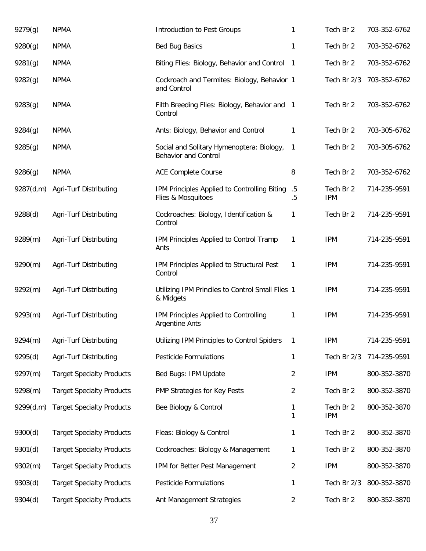| 9279(g)   | <b>NPMA</b>                      | Introduction to Pest Groups                                              | 1                 | Tech Br 2               | 703-352-6762 |
|-----------|----------------------------------|--------------------------------------------------------------------------|-------------------|-------------------------|--------------|
| 9280(g)   | <b>NPMA</b>                      | <b>Bed Bug Basics</b>                                                    | 1                 | Tech Br 2               | 703-352-6762 |
| 9281(g)   | <b>NPMA</b>                      | Biting Flies: Biology, Behavior and Control                              | - 1               | Tech Br 2               | 703-352-6762 |
| 9282(g)   | <b>NPMA</b>                      | Cockroach and Termites: Biology, Behavior 1<br>and Control               |                   | Tech Br 2/3             | 703-352-6762 |
| 9283(g)   | <b>NPMA</b>                      | Filth Breeding Flies: Biology, Behavior and 1<br>Control                 |                   | Tech Br 2               | 703-352-6762 |
| 9284(g)   | <b>NPMA</b>                      | Ants: Biology, Behavior and Control                                      | 1                 | Tech Br 2               | 703-305-6762 |
| 9285(g)   | <b>NPMA</b>                      | Social and Solitary Hymenoptera: Biology,<br><b>Behavior and Control</b> | 1                 | Tech Br 2               | 703-305-6762 |
| 9286(g)   | <b>NPMA</b>                      | <b>ACE Complete Course</b>                                               | 8                 | Tech Br 2               | 703-352-6762 |
| 9287(d,m) | Agri-Turf Distributing           | IPM Principles Applied to Controlling Biting<br>Flies & Mosquitoes       | $.5\,$<br>$.5\,$  | Tech Br 2<br><b>IPM</b> | 714-235-9591 |
| 9288(d)   | Agri-Turf Distributing           | Cockroaches: Biology, Identification &<br>Control                        | 1                 | Tech Br 2               | 714-235-9591 |
| 9289(m)   | Agri-Turf Distributing           | IPM Principles Applied to Control Tramp<br>Ants                          | 1                 | <b>IPM</b>              | 714-235-9591 |
| 9290(m)   | Agri-Turf Distributing           | IPM Principles Applied to Structural Pest<br>Control                     | 1                 | <b>IPM</b>              | 714-235-9591 |
| 9292(m)   | Agri-Turf Distributing           | Utilizing IPM Princiles to Control Small Flies 1<br>& Midgets            |                   | <b>IPM</b>              | 714-235-9591 |
| 9293(m)   | Agri-Turf Distributing           | IPM Principles Applied to Controlling<br><b>Argentine Ants</b>           | 1                 | <b>IPM</b>              | 714-235-9591 |
| 9294(m)   | Agri-Turf Distributing           | Utilizing IPM Principles to Control Spiders                              | 1                 | <b>IPM</b>              | 714-235-9591 |
| 9295(d)   | Agri-Turf Distributing           | <b>Pesticide Formulations</b>                                            | $\mathbf{1}$      | Tech Br 2/3             | 714-235-9591 |
| 9297(m)   | <b>Target Specialty Products</b> | Bed Bugs: IPM Update                                                     | $\overline{2}$    | <b>IPM</b>              | 800-352-3870 |
| 9298(m)   | <b>Target Specialty Products</b> | PMP Strategies for Key Pests                                             | $\overline{2}$    | Tech Br 2               | 800-352-3870 |
| 9299(d,m) | <b>Target Specialty Products</b> | Bee Biology & Control                                                    | $\mathbf{1}$<br>1 | Tech Br 2<br><b>IPM</b> | 800-352-3870 |
| 9300(d)   | <b>Target Specialty Products</b> | Fleas: Biology & Control                                                 | 1                 | Tech Br 2               | 800-352-3870 |
| 9301(d)   | <b>Target Specialty Products</b> | Cockroaches: Biology & Management                                        | 1                 | Tech Br 2               | 800-352-3870 |
| 9302(m)   | <b>Target Specialty Products</b> | IPM for Better Pest Management                                           | $\overline{2}$    | <b>IPM</b>              | 800-352-3870 |
| 9303(d)   | <b>Target Specialty Products</b> | <b>Pesticide Formulations</b>                                            | 1                 | Tech Br 2/3             | 800-352-3870 |
| 9304(d)   | <b>Target Specialty Products</b> | Ant Management Strategies                                                | $\overline{2}$    | Tech Br 2               | 800-352-3870 |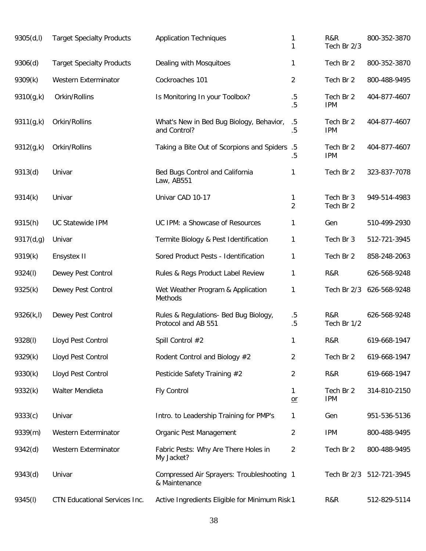| 9305(d, I) | <b>Target Specialty Products</b> | <b>Application Techniques</b>                                | 1<br>1              | R&R<br>Tech Br 2/3      | 800-352-3870             |
|------------|----------------------------------|--------------------------------------------------------------|---------------------|-------------------------|--------------------------|
| 9306(d)    | <b>Target Specialty Products</b> | Dealing with Mosquitoes                                      | 1                   | Tech Br 2               | 800-352-3870             |
| 9309(k)    | Western Exterminator             | Cockroaches 101                                              | 2                   | Tech Br 2               | 800-488-9495             |
| 9310(g,k)  | Orkin/Rollins                    | Is Monitoring In your Toolbox?                               | $.5\,$<br>.5        | Tech Br 2<br><b>IPM</b> | 404-877-4607             |
| 9311(g,k)  | Orkin/Rollins                    | What's New in Bed Bug Biology, Behavior,<br>and Control?     | $.5\,$<br>.5        | Tech Br 2<br><b>IPM</b> | 404-877-4607             |
| 9312(g,k)  | Orkin/Rollins                    | Taking a Bite Out of Scorpions and Spiders .5                | .5                  | Tech Br 2<br><b>IPM</b> | 404-877-4607             |
| 9313(d)    | Univar                           | Bed Bugs Control and California<br>Law, AB551                | 1                   | Tech Br 2               | 323-837-7078             |
| 9314(k)    | Univar                           | Univar CAD 10-17                                             | 1<br>$\overline{2}$ | Tech Br 3<br>Tech Br 2  | 949-514-4983             |
| 9315(h)    | <b>UC Statewide IPM</b>          | UC IPM: a Showcase of Resources                              | 1                   | Gen                     | 510-499-2930             |
| 9317(d,g)  | Univar                           | Termite Biology & Pest Identification                        | 1                   | Tech Br 3               | 512-721-3945             |
| 9319(k)    | Ensystex II                      | Sored Product Pests - Identification                         | 1                   | Tech Br 2               | 858-248-2063             |
| 9324(I)    | Dewey Pest Control               | Rules & Regs Product Label Review                            | 1                   | R&R                     | 626-568-9248             |
| 9325(k)    | Dewey Pest Control               | Wet Weather Program & Application<br>Methods                 | 1                   | Tech Br 2/3             | 626-568-9248             |
| 9326(k, l) | Dewey Pest Control               | Rules & Regulations- Bed Bug Biology,<br>Protocol and AB 551 | $.5\,$<br>$.5\,$    | R&R<br>Tech Br 1/2      | 626-568-9248             |
| 9328(I)    | Lloyd Pest Control               | Spill Control #2                                             | 1                   | R&R                     | 619-668-1947             |
| 9329(k)    | Lloyd Pest Control               | Rodent Control and Biology #2                                | $\overline{2}$      | Tech Br 2               | 619-668-1947             |
| 9330(k)    | Lloyd Pest Control               | Pesticide Safety Training #2                                 | 2                   | R&R                     | 619-668-1947             |
| 9332(k)    | Walter Mendieta                  | <b>Fly Control</b>                                           | 1<br>$or$           | Tech Br 2<br><b>IPM</b> | 314-810-2150             |
| 9333(c)    | Univar                           | Intro. to Leadership Training for PMP's                      | 1                   | Gen                     | 951-536-5136             |
| 9339(m)    | Western Exterminator             | Organic Pest Management                                      | 2                   | <b>IPM</b>              | 800-488-9495             |
| 9342(d)    | Western Exterminator             | Fabric Pests: Why Are There Holes in<br>My Jacket?           | 2                   | Tech Br 2               | 800-488-9495             |
| 9343(d)    | Univar                           | Compressed Air Sprayers: Troubleshooting 1<br>& Maintenance  |                     |                         | Tech Br 2/3 512-721-3945 |
| 9345(I)    | CTN Educational Services Inc.    | Active Ingredients Eligible for Minimum Risk 1               |                     | R&R                     | 512-829-5114             |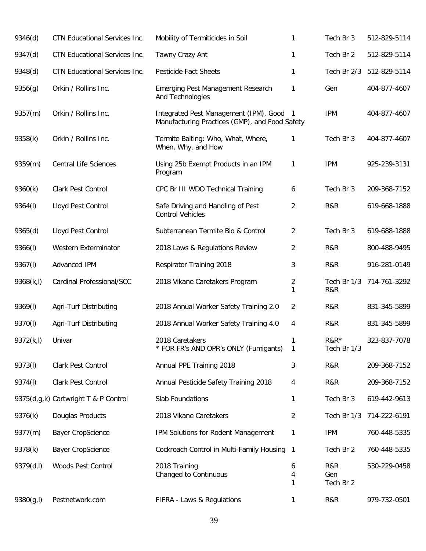| 9346(d)    | CTN Educational Services Inc.        | Mobility of Termiticides in Soil                                                         | 1                              | Tech Br 3               | 512-829-5114 |
|------------|--------------------------------------|------------------------------------------------------------------------------------------|--------------------------------|-------------------------|--------------|
| 9347(d)    | CTN Educational Services Inc.        | Tawny Crazy Ant                                                                          | 1                              | Tech Br 2               | 512-829-5114 |
| 9348(d)    | <b>CTN Educational Services Inc.</b> | <b>Pesticide Fact Sheets</b>                                                             | 1                              | Tech Br 2/3             | 512-829-5114 |
| 9356(g)    | Orkin / Rollins Inc.                 | Emerging Pest Management Research<br>And Technologies                                    | 1                              | Gen                     | 404-877-4607 |
| 9357(m)    | Orkin / Rollins Inc.                 | Integrated Pest Management (IPM), Good<br>Manufacturing Practices (GMP), and Food Safety | - 1                            | <b>IPM</b>              | 404-877-4607 |
| 9358(k)    | Orkin / Rollins Inc.                 | Termite Baiting: Who, What, Where,<br>When, Why, and How                                 | 1                              | Tech Br 3               | 404-877-4607 |
| 9359(m)    | <b>Central Life Sciences</b>         | Using 25b Exempt Products in an IPM<br>Program                                           | 1                              | <b>IPM</b>              | 925-239-3131 |
| 9360(k)    | <b>Clark Pest Control</b>            | CPC Br III WDO Technical Training                                                        | 6                              | Tech Br 3               | 209-368-7152 |
| 9364(I)    | Lloyd Pest Control                   | Safe Driving and Handling of Pest<br><b>Control Vehicles</b>                             | $\overline{2}$                 | R&R                     | 619-668-1888 |
| 9365(d)    | Lloyd Pest Control                   | Subterranean Termite Bio & Control                                                       | $\overline{2}$                 | Tech Br 3               | 619-688-1888 |
| 9366(I)    | Western Exterminator                 | 2018 Laws & Regulations Review                                                           | 2                              | R&R                     | 800-488-9495 |
| 9367(I)    | Advanced IPM                         | <b>Respirator Training 2018</b>                                                          | 3                              | R&R                     | 916-281-0149 |
| 9368(k,l)  | Cardinal Professional/SCC            | 2018 Vikane Caretakers Program                                                           | $\overline{2}$<br>$\mathbf{1}$ | Tech Br 1/3<br>R&R      | 714-761-3292 |
| 9369(I)    | Agri-Turf Distributing               | 2018 Annual Worker Safety Training 2.0                                                   | $\overline{2}$                 | R&R                     | 831-345-5899 |
| 9370(l)    | Agri-Turf Distributing               | 2018 Annual Worker Safety Training 4.0                                                   | 4                              | R&R                     | 831-345-5899 |
| 9372(k,l)  | Univar                               | 2018 Caretakers<br>* FOR FR's AND OPR's ONLY (Fumigants)                                 | 1<br>1                         | $R&R*$<br>Tech Br 1/3   | 323-837-7078 |
| 9373(I)    | Clark Pest Control                   | Annual PPE Training 2018                                                                 | 3                              | R&R                     | 209-368-7152 |
| 9374(I)    | Clark Pest Control                   | Annual Pesticide Safety Training 2018                                                    | 4                              | R&R                     | 209-368-7152 |
|            | 9375(d,g,k) Cartwright T & P Control | Slab Foundations                                                                         | 1                              | Tech Br 3               | 619-442-9613 |
| 9376(k)    | Douglas Products                     | 2018 Vikane Caretakers                                                                   | $\overline{2}$                 | Tech Br 1/3             | 714-222-6191 |
| 9377(m)    | <b>Bayer CropScience</b>             | IPM Solutions for Rodent Management                                                      | 1                              | <b>IPM</b>              | 760-448-5335 |
| 9378(k)    | <b>Bayer CropScience</b>             | Cockroach Control in Multi-Family Housing                                                | $\mathbf{1}$                   | Tech Br 2               | 760-448-5335 |
| 9379(d,l)  | Woods Pest Control                   | 2018 Training<br>Changed to Continuous                                                   | 6<br>4<br>1                    | R&R<br>Gen<br>Tech Br 2 | 530-229-0458 |
| 9380(g, I) | Pestnetwork.com                      | FIFRA - Laws & Regulations                                                               | 1                              | R&R                     | 979-732-0501 |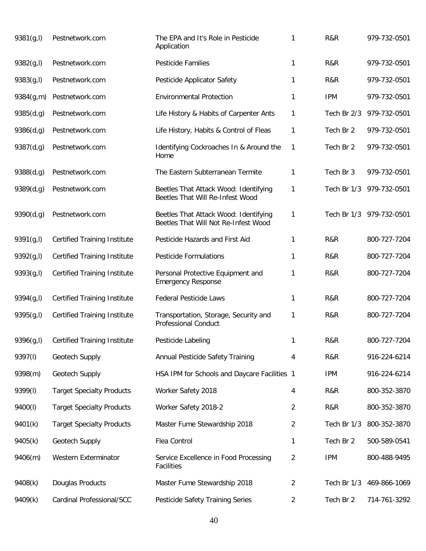| 9381(g, I) | Pestnetwork.com                     | The EPA and It's Role in Pesticide<br>Application                             | 1 | R&R         | 979-732-0501 |
|------------|-------------------------------------|-------------------------------------------------------------------------------|---|-------------|--------------|
| 9382(g, I) | Pestnetwork.com                     | <b>Pesticide Families</b>                                                     | 1 | R&R         | 979-732-0501 |
| 9383(g, I) | Pestnetwork.com                     | Pesticide Applicator Safety                                                   | 1 | R&R         | 979-732-0501 |
| 9384(g,m)  | Pestnetwork.com                     | <b>Environmental Protection</b>                                               | 1 | <b>IPM</b>  | 979-732-0501 |
| 9385(d,g)  | Pestnetwork.com                     | Life History & Habits of Carpenter Ants                                       | 1 | Tech Br 2/3 | 979-732-0501 |
| 9386(d,g)  | Pestnetwork.com                     | Life History, Habits & Control of Fleas                                       | 1 | Tech Br 2   | 979-732-0501 |
| 9387(d,g)  | Pestnetwork.com                     | Identifying Cockroaches In & Around the<br>Home                               | 1 | Tech Br 2   | 979-732-0501 |
| 9388(d,g)  | Pestnetwork.com                     | The Eastern Subterranean Termite                                              | 1 | Tech Br 3   | 979-732-0501 |
| 9389(d,g)  | Pestnetwork.com                     | Beetles That Attack Wood: Identifying<br>Beetles That Will Re-Infest Wood     | 1 | Tech Br 1/3 | 979-732-0501 |
| 9390(d,g)  | Pestnetwork.com                     | Beetles That Attack Wood: Identifying<br>Beetles That Will Not Re-Infest Wood | 1 | Tech Br 1/3 | 979-732-0501 |
| 9391(g, I) | <b>Certified Training Institute</b> | Pesticide Hazards and First Aid                                               | 1 | R&R         | 800-727-7204 |
| 9392(g, I) | <b>Certified Training Institute</b> | <b>Pesticide Formulations</b>                                                 | 1 | R&R         | 800-727-7204 |
| 9393(g, I) | <b>Certified Training Institute</b> | Personal Protective Equipment and<br><b>Emergency Response</b>                | 1 | R&R         | 800-727-7204 |
| 9394(g, I) | <b>Certified Training Institute</b> | <b>Federal Pesticide Laws</b>                                                 | 1 | R&R         | 800-727-7204 |
| 9395(g,l)  | <b>Certified Training Institute</b> | Transportation, Storage, Security and<br><b>Professional Conduct</b>          | 1 | R&R         | 800-727-7204 |
| 9396(g,l)  | <b>Certified Training Institute</b> | Pesticide Labeling                                                            | 1 | R&R         | 800-727-7204 |
| 9397(I)    | Geotech Supply                      | Annual Pesticide Safety Training                                              | 4 | R&R         | 916-224-6214 |
| 9398(m)    | Geotech Supply                      | HSA IPM for Schools and Daycare Facilities 1                                  |   | <b>IPM</b>  | 916-224-6214 |
| 9399(I)    | <b>Target Specialty Products</b>    | Worker Safety 2018                                                            | 4 | R&R         | 800-352-3870 |
| 9400(l)    | <b>Target Specialty Products</b>    | Worker Safety 2018-2                                                          | 2 | R&R         | 800-352-3870 |
| 9401(k)    | <b>Target Specialty Products</b>    | Master Fume Stewardship 2018                                                  | 2 | Tech Br 1/3 | 800-352-3870 |
| 9405(k)    | Geotech Supply                      | Flea Control                                                                  | 1 | Tech Br 2   | 500-589-0541 |
| 9406(m)    | Western Exterminator                | Service Excellence in Food Processing<br><b>Facilities</b>                    | 2 | <b>IPM</b>  | 800-488-9495 |
| 9408(k)    | Douglas Products                    | Master Fume Stewardship 2018                                                  | 2 | Tech Br 1/3 | 469-866-1069 |
| 9409(k)    | Cardinal Professional/SCC           | Pesticide Safety Training Series                                              | 2 | Tech Br 2   | 714-761-3292 |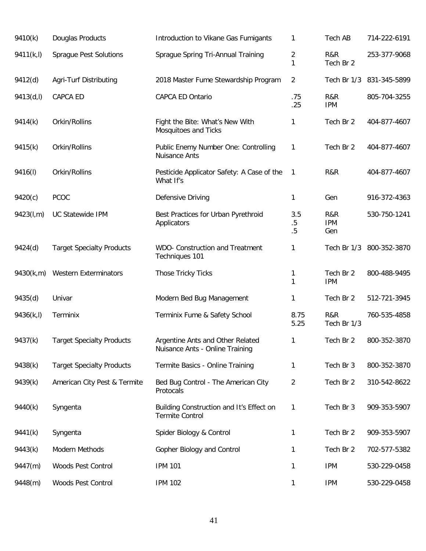| 9410(k)    | Douglas Products                 | Introduction to Vikane Gas Fumigants                                | 1                   | Tech AB                  | 714-222-6191             |
|------------|----------------------------------|---------------------------------------------------------------------|---------------------|--------------------------|--------------------------|
| 9411(k, l) | <b>Sprague Pest Solutions</b>    | Sprague Spring Tri-Annual Training                                  | 2<br>1              | R&R<br>Tech Br 2         | 253-377-9068             |
| 9412(d)    | Agri-Turf Distributing           | 2018 Master Fume Stewardship Program                                | $\overline{2}$      |                          | Tech Br 1/3 831-345-5899 |
| 9413(d, I) | CAPCA ED                         | CAPCA ED Ontario                                                    | .75<br>.25          | R&R<br><b>IPM</b>        | 805-704-3255             |
| 9414(k)    | Orkin/Rollins                    | Fight the Bite: What's New With<br>Mosquitoes and Ticks             | 1                   | Tech Br 2                | 404-877-4607             |
| 9415(k)    | Orkin/Rollins                    | Public Enemy Number One: Controlling<br>Nuisance Ants               | 1                   | Tech Br 2                | 404-877-4607             |
| 9416(I)    | Orkin/Rollins                    | Pesticide Applicator Safety: A Case of the<br>What If's             | 1                   | R&R                      | 404-877-4607             |
| 9420(c)    | PCOC                             | Defensive Driving                                                   | $\mathbf{1}$        | Gen                      | 916-372-4363             |
| 9423(l,m)  | <b>UC Statewide IPM</b>          | Best Practices for Urban Pyrethroid<br>Applicators                  | 3.5<br>$.5\,$<br>.5 | R&R<br><b>IPM</b><br>Gen | 530-750-1241             |
| 9424(d)    | <b>Target Specialty Products</b> | <b>WDO- Construction and Treatment</b><br>Techniques 101            | 1                   | Tech Br 1/3              | 800-352-3870             |
| 9430(k,m)  | <b>Western Exterminators</b>     | Those Tricky Ticks                                                  | 1<br>1              | Tech Br 2<br><b>IPM</b>  | 800-488-9495             |
| 9435(d)    | Univar                           | Modern Bed Bug Management                                           | 1                   | Tech Br 2                | 512-721-3945             |
| 9436(k, l) | Terminix                         | Terminix Fume & Safety School                                       | 8.75<br>5.25        | R&R<br>Tech Br 1/3       | 760-535-4858             |
| 9437(k)    | <b>Target Specialty Products</b> | Argentine Ants and Other Related<br>Nuisance Ants - Online Training | 1                   | Tech Br 2                | 800-352-3870             |
| 9438(k)    | <b>Target Specialty Products</b> | Termite Basics - Online Training                                    | 1                   | Tech Br 3                | 800-352-3870             |
| 9439(k)    | American City Pest & Termite     | Bed Bug Control - The American City<br>Protocals                    | 2                   | Tech Br 2                | 310-542-8622             |
| 9440(k)    | Syngenta                         | Building Construction and It's Effect on<br><b>Termite Control</b>  | 1                   | Tech Br 3                | 909-353-5907             |
| 9441(k)    | Syngenta                         | Spider Biology & Control                                            | 1                   | Tech Br 2                | 909-353-5907             |
| 9443(k)    | Modern Methods                   | Gopher Biology and Control                                          | 1                   | Tech Br 2                | 702-577-5382             |
| 9447(m)    | Woods Pest Control               | <b>IPM 101</b>                                                      | 1                   | <b>IPM</b>               | 530-229-0458             |
| 9448(m)    | Woods Pest Control               | <b>IPM 102</b>                                                      | 1                   | <b>IPM</b>               | 530-229-0458             |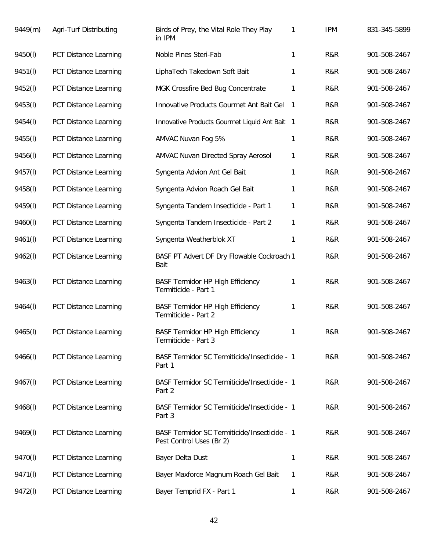| 9449(m) | Agri-Turf Distributing       | Birds of Prey, the Vital Role They Play<br>in IPM                        | 1  | <b>IPM</b> | 831-345-5899 |
|---------|------------------------------|--------------------------------------------------------------------------|----|------------|--------------|
| 9450(l) | PCT Distance Learning        | Noble Pines Steri-Fab                                                    | 1  | R&R        | 901-508-2467 |
| 9451(I) | PCT Distance Learning        | LiphaTech Takedown Soft Bait                                             | 1  | R&R        | 901-508-2467 |
| 9452(l) | PCT Distance Learning        | MGK Crossfire Bed Bug Concentrate                                        | 1  | R&R        | 901-508-2467 |
| 9453(I) | PCT Distance Learning        | Innovative Products Gourmet Ant Bait Gel                                 | -1 | R&R        | 901-508-2467 |
| 9454(I) | PCT Distance Learning        | Innovative Products Gourmet Liquid Ant Bait 1                            |    | R&R        | 901-508-2467 |
| 9455(I) | PCT Distance Learning        | AMVAC Nuvan Fog 5%                                                       | 1  | R&R        | 901-508-2467 |
| 9456(I) | PCT Distance Learning        | AMVAC Nuvan Directed Spray Aerosol                                       | 1  | R&R        | 901-508-2467 |
| 9457(I) | PCT Distance Learning        | Syngenta Advion Ant Gel Bait                                             | 1  | R&R        | 901-508-2467 |
| 9458(I) | PCT Distance Learning        | Syngenta Advion Roach Gel Bait                                           | 1  | R&R        | 901-508-2467 |
| 9459(I) | PCT Distance Learning        | Syngenta Tandem Insecticide - Part 1                                     | 1  | R&R        | 901-508-2467 |
| 9460(l) | <b>PCT Distance Learning</b> | Syngenta Tandem Insecticide - Part 2                                     | 1  | R&R        | 901-508-2467 |
| 9461(I) | PCT Distance Learning        | Syngenta Weatherblok XT                                                  | 1  | R&R        | 901-508-2467 |
| 9462(I) | PCT Distance Learning        | BASF PT Advert DF Dry Flowable Cockroach 1<br>Bait                       |    | R&R        | 901-508-2467 |
| 9463(I) | PCT Distance Learning        | <b>BASF Termidor HP High Efficiency</b><br>Termiticide - Part 1          | 1  | R&R        | 901-508-2467 |
| 9464(I) | PCT Distance Learning        | <b>BASF Termidor HP High Efficiency</b><br>Termiticide - Part 2          | 1  | R&R        | 901-508-2467 |
| 9465(I) | PCT Distance Learning        | <b>BASF Termidor HP High Efficiency</b><br>Termiticide - Part 3          | 1  | R&R        | 901-508-2467 |
| 9466(l) | PCT Distance Learning        | BASF Termidor SC Termiticide/Insecticide - 1<br>Part 1                   |    | R&R        | 901-508-2467 |
| 9467(I) | PCT Distance Learning        | BASF Termidor SC Termiticide/Insecticide - 1<br>Part 2                   |    | R&R        | 901-508-2467 |
| 9468(I) | PCT Distance Learning        | BASF Termidor SC Termiticide/Insecticide - 1<br>Part 3                   |    | R&R        | 901-508-2467 |
| 9469(I) | PCT Distance Learning        | BASF Termidor SC Termiticide/Insecticide - 1<br>Pest Control Uses (Br 2) |    | R&R        | 901-508-2467 |
| 9470(l) | PCT Distance Learning        | Bayer Delta Dust                                                         | 1  | R&R        | 901-508-2467 |
| 9471(I) | PCT Distance Learning        | Bayer Maxforce Magnum Roach Gel Bait                                     | 1  | R&R        | 901-508-2467 |
| 9472(I) | PCT Distance Learning        | Bayer Temprid FX - Part 1                                                | 1  | R&R        | 901-508-2467 |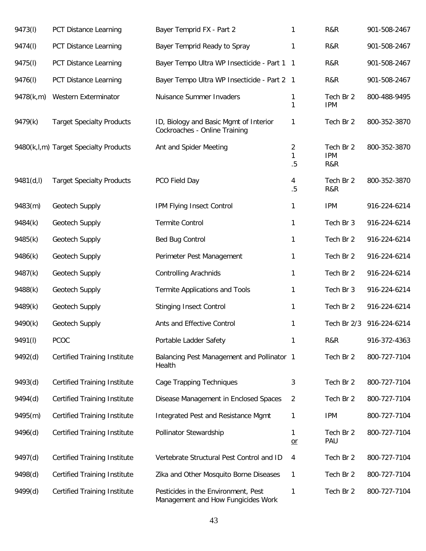| 9473(I)   | PCT Distance Learning                 | Bayer Temprid FX - Part 2                                                 | 1            | R&R                            | 901-508-2467 |
|-----------|---------------------------------------|---------------------------------------------------------------------------|--------------|--------------------------------|--------------|
| 9474(I)   | PCT Distance Learning                 | Bayer Temprid Ready to Spray                                              | 1            | R&R                            | 901-508-2467 |
| 9475(I)   | PCT Distance Learning                 | Bayer Tempo Ultra WP Insecticide - Part 1 1                               |              | R&R                            | 901-508-2467 |
| 9476(I)   | PCT Distance Learning                 | Bayer Tempo Ultra WP Insecticide - Part 2 1                               |              | R&R                            | 901-508-2467 |
| 9478(k,m) | Western Exterminator                  | Nuisance Summer Invaders                                                  | 1<br>1       | Tech Br 2<br><b>IPM</b>        | 800-488-9495 |
| 9479(k)   | <b>Target Specialty Products</b>      | ID, Biology and Basic Mgmt of Interior<br>Cockroaches - Online Training   | 1            | Tech Br 2                      | 800-352-3870 |
|           | 9480(k,l,m) Target Specialty Products | Ant and Spider Meeting                                                    | 2<br>1<br>.5 | Tech Br 2<br><b>IPM</b><br>R&R | 800-352-3870 |
| 9481(d,l) | <b>Target Specialty Products</b>      | PCO Field Day                                                             | 4<br>.5      | Tech Br 2<br>R&R               | 800-352-3870 |
| 9483(m)   | Geotech Supply                        | IPM Flying Insect Control                                                 | 1            | <b>IPM</b>                     | 916-224-6214 |
| 9484(k)   | Geotech Supply                        | <b>Termite Control</b>                                                    | 1            | Tech Br 3                      | 916-224-6214 |
| 9485(k)   | Geotech Supply                        | <b>Bed Bug Control</b>                                                    | 1            | Tech Br 2                      | 916-224-6214 |
| 9486(k)   | Geotech Supply                        | Perimeter Pest Management                                                 | 1            | Tech Br 2                      | 916-224-6214 |
| 9487(k)   | Geotech Supply                        | <b>Controlling Arachnids</b>                                              | 1            | Tech Br 2                      | 916-224-6214 |
| 9488(k)   | Geotech Supply                        | <b>Termite Applications and Tools</b>                                     | 1            | Tech Br 3                      | 916-224-6214 |
| 9489(k)   | Geotech Supply                        | <b>Stinging Insect Control</b>                                            | 1            | Tech Br 2                      | 916-224-6214 |
| 9490(k)   | Geotech Supply                        | Ants and Effective Control                                                | 1            | Tech Br 2/3                    | 916-224-6214 |
| 9491(I)   | PCOC                                  | Portable Ladder Safety                                                    | 1            | R&R                            | 916-372-4363 |
| 9492(d)   | <b>Certified Training Institute</b>   | Balancing Pest Management and Pollinator 1<br>Health                      |              | Tech Br 2                      | 800-727-7104 |
| 9493(d)   | <b>Certified Training Institute</b>   | Cage Trapping Techniques                                                  | 3            | Tech Br 2                      | 800-727-7104 |
| 9494(d)   | <b>Certified Training Institute</b>   | Disease Management in Enclosed Spaces                                     | 2            | Tech Br 2                      | 800-727-7104 |
| 9495(m)   | <b>Certified Training Institute</b>   | Integrated Pest and Resistance Mgmt                                       | 1            | <b>IPM</b>                     | 800-727-7104 |
| 9496(d)   | <b>Certified Training Institute</b>   | Pollinator Stewardship                                                    | 1<br>$or$    | Tech Br 2<br>PAU               | 800-727-7104 |
| 9497(d)   | <b>Certified Training Institute</b>   | Vertebrate Structural Pest Control and ID                                 | 4            | Tech Br 2                      | 800-727-7104 |
| 9498(d)   | <b>Certified Training Institute</b>   | Zika and Other Mosquito Borne Diseases                                    | 1            | Tech Br 2                      | 800-727-7104 |
| 9499(d)   | <b>Certified Training Institute</b>   | Pesticides in the Environment, Pest<br>Management and How Fungicides Work | 1            | Tech Br 2                      | 800-727-7104 |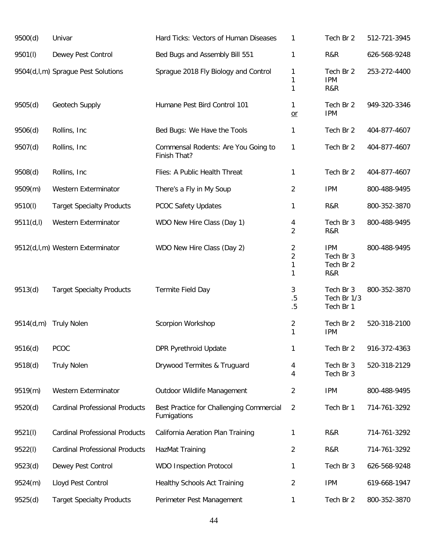| 9500(d)   | Univar                                | Hard Ticks: Vectors of Human Diseases                   | 1                             | Tech Br 2                                   | 512-721-3945 |
|-----------|---------------------------------------|---------------------------------------------------------|-------------------------------|---------------------------------------------|--------------|
| 9501(l)   | Dewey Pest Control                    | Bed Bugs and Assembly Bill 551                          | 1                             | R&R                                         | 626-568-9248 |
|           | 9504(d,l,m) Sprague Pest Solutions    | Sprague 2018 Fly Biology and Control                    | 1<br>1<br>1                   | Tech Br 2<br><b>IPM</b><br>R&R              | 253-272-4400 |
| 9505(d)   | Geotech Supply                        | Humane Pest Bird Control 101                            | 1<br>$or$                     | Tech Br 2<br><b>IPM</b>                     | 949-320-3346 |
| 9506(d)   | Rollins, Inc                          | Bed Bugs: We Have the Tools                             | 1                             | Tech Br 2                                   | 404-877-4607 |
| 9507(d)   | Rollins, Inc.                         | Commensal Rodents: Are You Going to<br>Finish That?     | 1                             | Tech Br 2                                   | 404-877-4607 |
| 9508(d)   | Rollins, Inc.                         | Flies: A Public Health Threat                           | 1                             | Tech Br 2                                   | 404-877-4607 |
| 9509(m)   | Western Exterminator                  | There's a Fly in My Soup                                | 2                             | <b>IPM</b>                                  | 800-488-9495 |
| 9510(l)   | <b>Target Specialty Products</b>      | <b>PCOC Safety Updates</b>                              | 1                             | R&R                                         | 800-352-3870 |
| 9511(d,l) | Western Exterminator                  | WDO New Hire Class (Day 1)                              | 4<br>$\overline{2}$           | Tech Br 3<br>R&R                            | 800-488-9495 |
|           | 9512(d,l,m) Western Exterminator      | WDO New Hire Class (Day 2)                              | 2<br>$\overline{2}$<br>1<br>1 | <b>IPM</b><br>Tech Br 3<br>Tech Br 2<br>R&R | 800-488-9495 |
| 9513(d)   | <b>Target Specialty Products</b>      | Termite Field Day                                       | 3<br>$.5\,$<br>.5             | Tech Br 3<br>Tech Br 1/3<br>Tech Br 1       | 800-352-3870 |
| 9514(d,m) | <b>Truly Nolen</b>                    | Scorpion Workshop                                       | $\overline{c}$<br>1           | Tech Br 2<br><b>IPM</b>                     | 520-318-2100 |
| 9516(d)   | PCOC                                  | <b>DPR Pyrethroid Update</b>                            | 1                             | Tech Br 2                                   | 916-372-4363 |
| 9518(d)   | <b>Truly Nolen</b>                    | Drywood Termites & Truguard                             | 4<br>4                        | Tech Br 3<br>Tech Br 3                      | 520-318-2129 |
| 9519(m)   | Western Exterminator                  | Outdoor Wildlife Management                             | 2                             | <b>IPM</b>                                  | 800-488-9495 |
| 9520(d)   | <b>Cardinal Professional Products</b> | Best Practice for Challenging Commercial<br>Fumigations | $\overline{2}$                | Tech Br 1                                   | 714-761-3292 |
| 9521(l)   | <b>Cardinal Professional Products</b> | California Aeration Plan Training                       | 1                             | R&R                                         | 714-761-3292 |
| 9522(l)   | <b>Cardinal Professional Products</b> | HazMat Training                                         | 2                             | R&R                                         | 714-761-3292 |
| 9523(d)   | Dewey Pest Control                    | <b>WDO Inspection Protocol</b>                          | 1                             | Tech Br 3                                   | 626-568-9248 |
| 9524(m)   | Lloyd Pest Control                    | <b>Healthy Schools Act Training</b>                     | 2                             | <b>IPM</b>                                  | 619-668-1947 |
| 9525(d)   | <b>Target Specialty Products</b>      | Perimeter Pest Management                               | 1                             | Tech Br 2                                   | 800-352-3870 |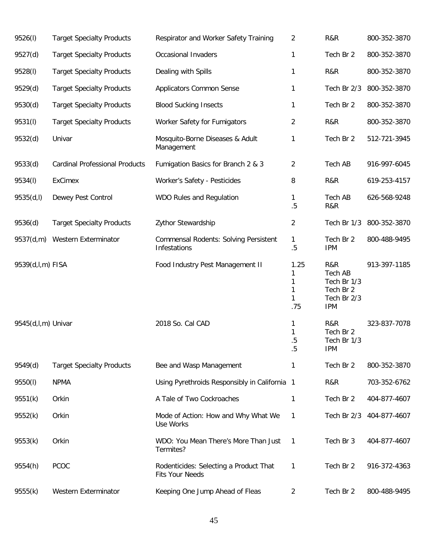| 9526(l)            | <b>Target Specialty Products</b>      | Respirator and Worker Safety Training                            | 2                               | R&R                                                                     | 800-352-3870 |
|--------------------|---------------------------------------|------------------------------------------------------------------|---------------------------------|-------------------------------------------------------------------------|--------------|
| 9527(d)            | <b>Target Specialty Products</b>      | Occasional Invaders                                              | 1                               | Tech Br 2                                                               | 800-352-3870 |
| 9528(I)            | <b>Target Specialty Products</b>      | Dealing with Spills                                              | 1                               | R&R                                                                     | 800-352-3870 |
| 9529(d)            | <b>Target Specialty Products</b>      | <b>Applicators Common Sense</b>                                  | 1                               | Tech Br 2/3                                                             | 800-352-3870 |
| 9530(d)            | <b>Target Specialty Products</b>      | <b>Blood Sucking Insects</b>                                     | 1                               | Tech Br 2                                                               | 800-352-3870 |
| 9531(I)            | <b>Target Specialty Products</b>      | Worker Safety for Fumigators                                     | 2                               | R&R                                                                     | 800-352-3870 |
| 9532(d)            | Univar                                | Mosquito-Borne Diseases & Adult<br>Management                    | 1                               | Tech Br 2                                                               | 512-721-3945 |
| 9533(d)            | <b>Cardinal Professional Products</b> | Fumigation Basics for Branch 2 & 3                               | 2                               | Tech AB                                                                 | 916-997-6045 |
| 9534(I)            | <b>ExCimex</b>                        | Worker's Safety - Pesticides                                     | 8                               | R&R                                                                     | 619-253-4157 |
| 9535(d,l)          | Dewey Pest Control                    | WDO Rules and Regulation                                         | 1<br>.5                         | Tech AB<br>R&R                                                          | 626-568-9248 |
| 9536(d)            | <b>Target Specialty Products</b>      | Zythor Stewardship                                               | 2                               | Tech Br 1/3                                                             | 800-352-3870 |
| 9537(d,m)          | Western Exterminator                  | <b>Commensal Rodents: Solving Persistent</b><br>Infestations     | 1<br>$.5\,$                     | Tech Br 2<br><b>IPM</b>                                                 | 800-488-9495 |
| 9539(d,l,m) FISA   |                                       | Food Industry Pest Management II                                 | 1.25<br>1<br>1<br>1<br>1<br>.75 | R&R<br>Tech AB<br>Tech Br 1/3<br>Tech Br 2<br>Tech Br 2/3<br><b>IPM</b> | 913-397-1185 |
| 9545(d,l,m) Univar |                                       | 2018 So. Cal CAD                                                 | 1<br>1<br>.5<br>.5              | R&R<br>Tech Br 2<br>Tech Br 1/3<br><b>IPM</b>                           | 323-837-7078 |
| 9549(d)            | <b>Target Specialty Products</b>      | Bee and Wasp Management                                          | 1                               | Tech Br 2                                                               | 800-352-3870 |
| 9550(l)            | <b>NPMA</b>                           | Using Pyrethroids Responsibly in California 1                    |                                 | R&R                                                                     | 703-352-6762 |
| 9551(k)            | Orkin                                 | A Tale of Two Cockroaches                                        | 1                               | Tech Br 2                                                               | 404-877-4607 |
| 9552(k)            | Orkin                                 | Mode of Action: How and Why What We<br>Use Works                 | 1                               | Tech Br 2/3                                                             | 404-877-4607 |
| 9553(k)            | Orkin                                 | WDO: You Mean There's More Than Just<br>Termites?                | 1                               | Tech Br 3                                                               | 404-877-4607 |
| 9554(h)            | <b>PCOC</b>                           | Rodenticides: Selecting a Product That<br><b>Fits Your Needs</b> | 1                               | Tech Br 2                                                               | 916-372-4363 |
| 9555(k)            | Western Exterminator                  | Keeping One Jump Ahead of Fleas                                  | 2                               | Tech Br 2                                                               | 800-488-9495 |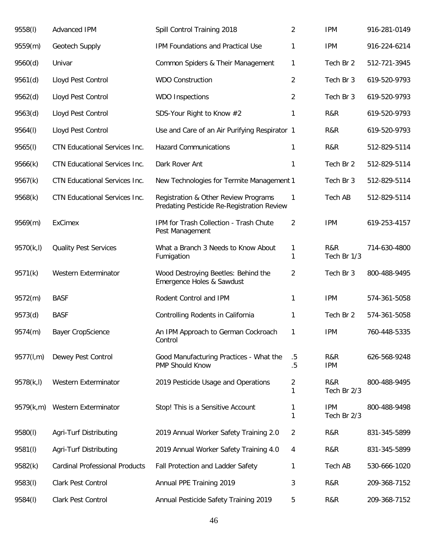| 9558(I)    | Advanced IPM                          | Spill Control Training 2018                                                        | $\overline{2}$ | <b>IPM</b>                | 916-281-0149 |
|------------|---------------------------------------|------------------------------------------------------------------------------------|----------------|---------------------------|--------------|
| 9559(m)    | Geotech Supply                        | IPM Foundations and Practical Use                                                  | 1              | <b>IPM</b>                | 916-224-6214 |
| 9560(d)    | Univar                                | Common Spiders & Their Management                                                  | 1              | Tech Br 2                 | 512-721-3945 |
| 9561(d)    | Lloyd Pest Control                    | <b>WDO Construction</b>                                                            | 2              | Tech Br 3                 | 619-520-9793 |
| 9562(d)    | Lloyd Pest Control                    | <b>WDO Inspections</b>                                                             | 2              | Tech Br 3                 | 619-520-9793 |
| 9563(d)    | Lloyd Pest Control                    | SDS-Your Right to Know #2                                                          | 1              | R&R                       | 619-520-9793 |
| 9564(I)    | Lloyd Pest Control                    | Use and Care of an Air Purifying Respirator 1                                      |                | R&R                       | 619-520-9793 |
| 9565(l)    | CTN Educational Services Inc.         | <b>Hazard Communications</b>                                                       | 1              | R&R                       | 512-829-5114 |
| 9566(k)    | CTN Educational Services Inc.         | Dark Rover Ant                                                                     | 1              | Tech Br 2                 | 512-829-5114 |
| 9567(k)    | CTN Educational Services Inc.         | New Technologies for Termite Management 1                                          |                | Tech Br 3                 | 512-829-5114 |
| 9568(k)    | CTN Educational Services Inc.         | Registration & Other Review Programs<br>Predating Pesticide Re-Registration Review | $\mathbf{1}$   | Tech AB                   | 512-829-5114 |
| 9569(m)    | <b>ExCimex</b>                        | IPM for Trash Collection - Trash Chute<br>Pest Management                          | $\overline{2}$ | <b>IPM</b>                | 619-253-4157 |
| 9570(k,l)  | <b>Quality Pest Services</b>          | What a Branch 3 Needs to Know About<br>Fumigation                                  | 1<br>1         | R&R<br>Tech Br 1/3        | 714-630-4800 |
| 9571(k)    | Western Exterminator                  | Wood Destroying Beetles: Behind the<br>Emergence Holes & Sawdust                   | $\overline{2}$ | Tech Br 3                 | 800-488-9495 |
| 9572(m)    | <b>BASF</b>                           | Rodent Control and IPM                                                             | 1              | <b>IPM</b>                | 574-361-5058 |
| 9573(d)    | <b>BASF</b>                           | Controlling Rodents in California                                                  | 1              | Tech Br 2                 | 574-361-5058 |
| 9574(m)    | <b>Bayer CropScience</b>              | An IPM Approach to German Cockroach<br>Control                                     | 1              | <b>IPM</b>                | 760-448-5335 |
| 9577(l,m)  | Dewey Pest Control                    | Good Manufacturing Practices - What the<br>PMP Should Know                         | $.5\,$<br>.5   | R&R<br><b>IPM</b>         | 626-568-9248 |
| 9578(k, l) | Western Exterminator                  | 2019 Pesticide Usage and Operations                                                | 2<br>1         | R&R<br>Tech Br 2/3        | 800-488-9495 |
| 9579(k,m)  | Western Exterminator                  | Stop! This is a Sensitive Account                                                  | 1<br>1         | <b>IPM</b><br>Tech Br 2/3 | 800-488-9498 |
| 9580(l)    | Agri-Turf Distributing                | 2019 Annual Worker Safety Training 2.0                                             | 2              | R&R                       | 831-345-5899 |
| 9581(l)    | Agri-Turf Distributing                | 2019 Annual Worker Safety Training 4.0                                             | 4              | R&R                       | 831-345-5899 |
| 9582(k)    | <b>Cardinal Professional Products</b> | Fall Protection and Ladder Safety                                                  | 1              | Tech AB                   | 530-666-1020 |
| 9583(I)    | Clark Pest Control                    | Annual PPE Training 2019                                                           | 3              | R&R                       | 209-368-7152 |
| 9584(I)    | Clark Pest Control                    | Annual Pesticide Safety Training 2019                                              | 5              | R&R                       | 209-368-7152 |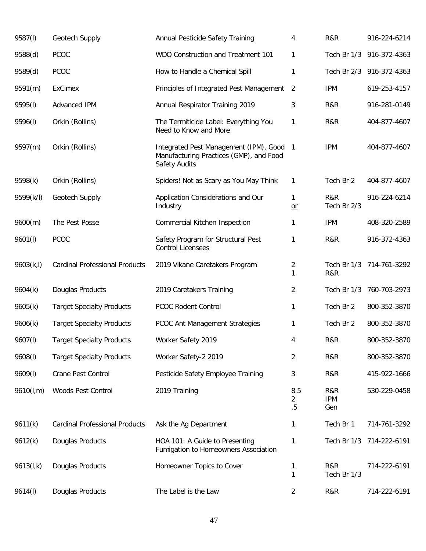| 9587(I)    | Geotech Supply                        | Annual Pesticide Safety Training                                                                   | 4              | R&R                      | 916-224-6214             |
|------------|---------------------------------------|----------------------------------------------------------------------------------------------------|----------------|--------------------------|--------------------------|
| 9588(d)    | <b>PCOC</b>                           | WDO Construction and Treatment 101                                                                 | 1              | Tech Br 1/3              | 916-372-4363             |
| 9589(d)    | <b>PCOC</b>                           | How to Handle a Chemical Spill                                                                     | 1              |                          | Tech Br 2/3 916-372-4363 |
| 9591(m)    | <b>ExCimex</b>                        | Principles of Integrated Pest Management                                                           | $\overline{2}$ | <b>IPM</b>               | 619-253-4157             |
| 9595(I)    | Advanced IPM                          | Annual Respirator Training 2019                                                                    | 3              | R&R                      | 916-281-0149             |
| 9596(I)    | Orkin (Rollins)                       | The Termiticide Label: Everything You<br>Need to Know and More                                     | 1              | R&R                      | 404-877-4607             |
| 9597(m)    | Orkin (Rollins)                       | Integrated Pest Management (IPM), Good<br>Manufacturing Practices (GMP), and Food<br>Safety Audits | $\overline{1}$ | <b>IPM</b>               | 404-877-4607             |
| 9598(k)    | Orkin (Rollins)                       | Spiders! Not as Scary as You May Think                                                             | 1              | Tech Br 2                | 404-877-4607             |
| 9599(k/l)  | Geotech Supply                        | Application Considerations and Our<br>Industry                                                     | 1<br>$or$      | R&R<br>Tech Br 2/3       | 916-224-6214             |
| 9600(m)    | The Pest Posse                        | Commercial Kitchen Inspection                                                                      | 1              | <b>IPM</b>               | 408-320-2589             |
| 9601(1)    | PCOC                                  | Safety Program for Structural Pest<br><b>Control Licensees</b>                                     | 1              | R&R                      | 916-372-4363             |
| 9603(k, l) | <b>Cardinal Professional Products</b> | 2019 Vikane Caretakers Program                                                                     | 2<br>1         | R&R                      | Tech Br 1/3 714-761-3292 |
| 9604(k)    | Douglas Products                      | 2019 Caretakers Training                                                                           | 2              | Tech Br 1/3              | 760-703-2973             |
| 9605(k)    | <b>Target Specialty Products</b>      | PCOC Rodent Control                                                                                | 1              | Tech Br 2                | 800-352-3870             |
| 9606(k)    | <b>Target Specialty Products</b>      | PCOC Ant Management Strategies                                                                     | 1              | Tech Br 2                | 800-352-3870             |
| 9607(1)    | <b>Target Specialty Products</b>      | Worker Safety 2019                                                                                 | 4              | R&R                      | 800-352-3870             |
| 9608(1)    | <b>Target Specialty Products</b>      | Worker Safety-2 2019                                                                               | $\overline{2}$ | R&R                      | 800-352-3870             |
| 9609(1)    | Crane Pest Control                    | Pesticide Safety Employee Training                                                                 | 3              | R&R                      | 415-922-1666             |
| 9610(l,m)  | Woods Pest Control                    | 2019 Training                                                                                      | 8.5<br>2<br>.5 | R&R<br><b>IPM</b><br>Gen | 530-229-0458             |
| 9611(k)    | <b>Cardinal Professional Products</b> | Ask the Ag Department                                                                              | 1              | Tech Br 1                | 714-761-3292             |
| 9612(k)    | Douglas Products                      | HOA 101: A Guide to Presenting<br>Fumigation to Homeowners Association                             | 1              |                          | Tech Br 1/3 714-222-6191 |
| 9613(l,k)  | Douglas Products                      | Homeowner Topics to Cover                                                                          | 1<br>1         | R&R<br>Tech Br 1/3       | 714-222-6191             |
| 9614(l)    | Douglas Products                      | The Label is the Law                                                                               | $\overline{2}$ | R&R                      | 714-222-6191             |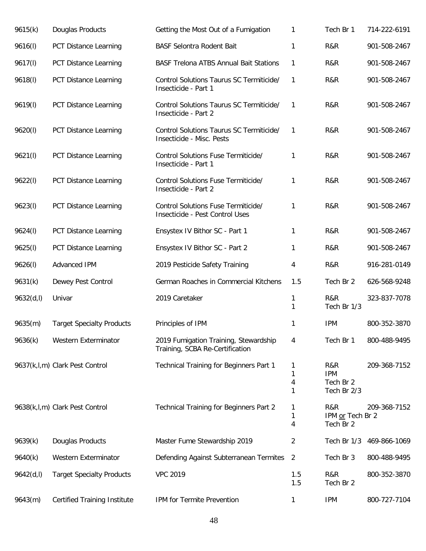| 9615(k)    | Douglas Products                    | Getting the Most Out of a Fumigation                                     | 1                 | Tech Br 1                                     | 714-222-6191 |
|------------|-------------------------------------|--------------------------------------------------------------------------|-------------------|-----------------------------------------------|--------------|
| 9616(1)    | <b>PCT Distance Learning</b>        | <b>BASF Selontra Rodent Bait</b>                                         | 1                 | R&R                                           | 901-508-2467 |
| 9617(l)    | PCT Distance Learning               | <b>BASF Trelona ATBS Annual Bait Stations</b>                            | 1                 | R&R                                           | 901-508-2467 |
| 9618(l)    | PCT Distance Learning               | Control Solutions Taurus SC Termiticide/<br>Insecticide - Part 1         | 1                 | R&R                                           | 901-508-2467 |
| 9619(I)    | PCT Distance Learning               | Control Solutions Taurus SC Termiticide/<br>Insecticide - Part 2         | $\mathbf{1}$      | R&R                                           | 901-508-2467 |
| 9620(l)    | PCT Distance Learning               | Control Solutions Taurus SC Termiticide/<br>Insecticide - Misc. Pests    | 1                 | R&R                                           | 901-508-2467 |
| 9621(l)    | PCT Distance Learning               | Control Solutions Fuse Termiticide/<br>Insecticide - Part 1              | 1                 | R&R                                           | 901-508-2467 |
| 9622(l)    | PCT Distance Learning               | Control Solutions Fuse Termiticide/<br>Insecticide - Part 2              | 1                 | R&R                                           | 901-508-2467 |
| 9623(l)    | PCT Distance Learning               | Control Solutions Fuse Termiticide/<br>Insecticide - Pest Control Uses   | 1                 | R&R                                           | 901-508-2467 |
| 9624(l)    | PCT Distance Learning               | Ensystex IV Bithor SC - Part 1                                           | 1                 | R&R                                           | 901-508-2467 |
| 9625(l)    | PCT Distance Learning               | Ensystex IV Bithor SC - Part 2                                           | 1                 | R&R                                           | 901-508-2467 |
| 9626(l)    | Advanced IPM                        | 2019 Pesticide Safety Training                                           | 4                 | R&R                                           | 916-281-0149 |
| 9631(k)    | Dewey Pest Control                  | German Roaches in Commercial Kitchens                                    | 1.5               | Tech Br 2                                     | 626-568-9248 |
| 9632(d, l) | Univar                              | 2019 Caretaker                                                           | 1<br>$\mathbf{1}$ | R&R<br>Tech Br 1/3                            | 323-837-7078 |
| 9635(m)    | <b>Target Specialty Products</b>    | Principles of IPM                                                        | 1                 | <b>IPM</b>                                    | 800-352-3870 |
| 9636(k)    | Western Exterminator                | 2019 Fumigation Training, Stewardship<br>Training, SCBA Re-Certification | 4                 | Tech Br 1                                     | 800-488-9495 |
|            | 9637(k,l,m) Clark Pest Control      | Technical Training for Beginners Part 1                                  | 1<br>1<br>4<br>1  | R&R<br><b>IPM</b><br>Tech Br 2<br>Tech Br 2/3 | 209-368-7152 |
|            | 9638(k,l,m) Clark Pest Control      | Technical Training for Beginners Part 2                                  | 1<br>1<br>4       | R&R<br>IPM or Tech Br 2<br>Tech Br 2          | 209-368-7152 |
| 9639(k)    | Douglas Products                    | Master Fume Stewardship 2019                                             | 2                 | Tech Br 1/3                                   | 469-866-1069 |
| 9640(k)    | Western Exterminator                | Defending Against Subterranean Termites                                  | 2                 | Tech Br 3                                     | 800-488-9495 |
| 9642(d, l) | <b>Target Specialty Products</b>    | <b>VPC 2019</b>                                                          | 1.5<br>1.5        | R&R<br>Tech Br 2                              | 800-352-3870 |
| 9643(m)    | <b>Certified Training Institute</b> | IPM for Termite Prevention                                               | 1                 | <b>IPM</b>                                    | 800-727-7104 |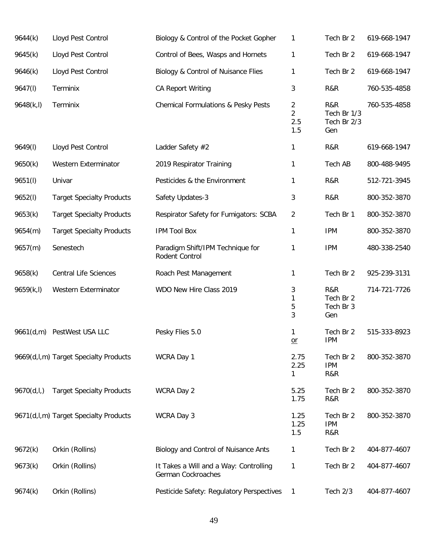| 9644(k)    | Lloyd Pest Control                    | Biology & Control of the Pocket Gopher                       | 1                                 | Tech Br 2                                | 619-668-1947 |
|------------|---------------------------------------|--------------------------------------------------------------|-----------------------------------|------------------------------------------|--------------|
| 9645(k)    | Lloyd Pest Control                    | Control of Bees, Wasps and Hornets                           | 1                                 | Tech Br 2                                | 619-668-1947 |
| 9646(k)    | Lloyd Pest Control                    | Biology & Control of Nuisance Flies                          | 1                                 | Tech Br 2                                | 619-668-1947 |
| 9647(I)    | Terminix                              | <b>CA Report Writing</b>                                     | 3                                 | R&R                                      | 760-535-4858 |
| 9648(k, l) | Terminix                              | <b>Chemical Formulations &amp; Pesky Pests</b>               | 2<br>$\overline{2}$<br>2.5<br>1.5 | R&R<br>Tech Br 1/3<br>Tech Br 2/3<br>Gen | 760-535-4858 |
| 9649(I)    | Lloyd Pest Control                    | Ladder Safety #2                                             | 1                                 | R&R                                      | 619-668-1947 |
| 9650(k)    | Western Exterminator                  | 2019 Respirator Training                                     | 1                                 | Tech AB                                  | 800-488-9495 |
| 9651(l)    | Univar                                | Pesticides & the Environment                                 | 1                                 | R&R                                      | 512-721-3945 |
| 9652(l)    | <b>Target Specialty Products</b>      | Safety Updates-3                                             | 3                                 | R&R                                      | 800-352-3870 |
| 9653(k)    | <b>Target Specialty Products</b>      | Respirator Safety for Fumigators: SCBA                       | $\overline{c}$                    | Tech Br 1                                | 800-352-3870 |
| 9654(m)    | <b>Target Specialty Products</b>      | <b>IPM Tool Box</b>                                          | 1                                 | <b>IPM</b>                               | 800-352-3870 |
| 9657(m)    | Senestech                             | Paradigm Shift/IPM Technique for<br>Rodent Control           | 1                                 | <b>IPM</b>                               | 480-338-2540 |
| 9658(k)    | <b>Central Life Sciences</b>          | Roach Pest Management                                        | 1                                 | Tech Br 2                                | 925-239-3131 |
| 9659(k,l)  | Western Exterminator                  | WDO New Hire Class 2019                                      | 3<br>1<br>5<br>3                  | R&R<br>Tech Br 2<br>Tech Br 3<br>Gen     | 714-721-7726 |
| 9661(d,m)  | PestWest USA LLC                      | Pesky Flies 5.0                                              | 1<br>$or$                         | Tech Br 2<br><b>IPM</b>                  | 515-333-8923 |
|            | 9669(d,l,m) Target Specialty Products | WCRA Day 1                                                   | 2.75<br>2.25<br>1                 | Tech Br 2<br><b>IPM</b><br>R&R           | 800-352-3870 |
| 9670(d, I) | <b>Target Specialty Products</b>      | WCRA Day 2                                                   | 5.25<br>1.75                      | Tech Br 2<br>R&R                         | 800-352-3870 |
|            | 9671(d,l,m) Target Specialty Products | WCRA Day 3                                                   | 1.25<br>1.25<br>1.5               | Tech Br 2<br><b>IPM</b><br>R&R           | 800-352-3870 |
| 9672(k)    | Orkin (Rollins)                       | Biology and Control of Nuisance Ants                         | 1                                 | Tech Br 2                                | 404-877-4607 |
| 9673(k)    | Orkin (Rollins)                       | It Takes a Will and a Way: Controlling<br>German Cockroaches | 1                                 | Tech Br 2                                | 404-877-4607 |
| 9674(k)    | Orkin (Rollins)                       | Pesticide Safety: Regulatory Perspectives                    | 1                                 | Tech 2/3                                 | 404-877-4607 |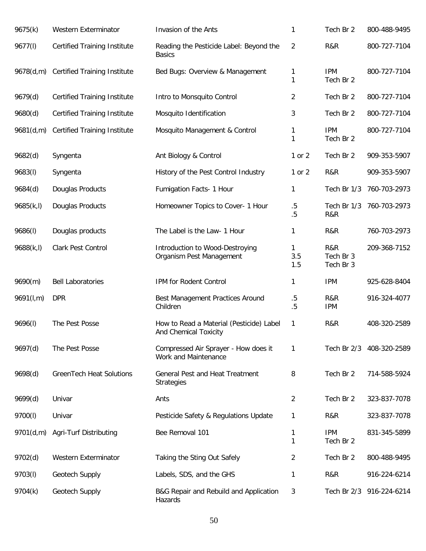| 9675(k)    | Western Exterminator                | Invasion of the Ants                                              | 1                | Tech Br 2                     | 800-488-9495             |
|------------|-------------------------------------|-------------------------------------------------------------------|------------------|-------------------------------|--------------------------|
| 9677(I)    | <b>Certified Training Institute</b> | Reading the Pesticide Label: Beyond the<br><b>Basics</b>          | 2                | R&R                           | 800-727-7104             |
| 9678(d,m)  | <b>Certified Training Institute</b> | Bed Bugs: Overview & Management                                   | 1<br>1           | <b>IPM</b><br>Tech Br 2       | 800-727-7104             |
| 9679(d)    | <b>Certified Training Institute</b> | Intro to Monsquito Control                                        | 2                | Tech Br 2                     | 800-727-7104             |
| 9680(d)    | <b>Certified Training Institute</b> | Mosquito Identification                                           | 3                | Tech Br 2                     | 800-727-7104             |
| 9681(d,m)  | <b>Certified Training Institute</b> | Mosquito Management & Control                                     | 1<br>1           | <b>IPM</b><br>Tech Br 2       | 800-727-7104             |
| 9682(d)    | Syngenta                            | Ant Biology & Control                                             | 1 or 2           | Tech Br 2                     | 909-353-5907             |
| 9683(I)    | Syngenta                            | History of the Pest Control Industry                              | 1 or 2           | R&R                           | 909-353-5907             |
| 9684(d)    | Douglas Products                    | Fumigation Facts- 1 Hour                                          | 1                | Tech Br 1/3                   | 760-703-2973             |
| 9685(k, l) | Douglas Products                    | Homeowner Topics to Cover- 1 Hour                                 | $.5\,$<br>$.5\,$ | Tech Br 1/3<br>R&R            | 760-703-2973             |
| 9686(1)    | Douglas products                    | The Label is the Law- 1 Hour                                      | 1                | R&R                           | 760-703-2973             |
| 9688(k, l) | Clark Pest Control                  | Introduction to Wood-Destroying<br>Organism Pest Management       | 1<br>3.5<br>1.5  | R&R<br>Tech Br 3<br>Tech Br 3 | 209-368-7152             |
| 9690(m)    | <b>Bell Laboratories</b>            | IPM for Rodent Control                                            | 1                | <b>IPM</b>                    | 925-628-8404             |
| 9691(l,m)  | <b>DPR</b>                          | Best Management Practices Around<br>Children                      | $.5\,$<br>.5     | R&R<br><b>IPM</b>             | 916-324-4077             |
| 9696(l)    | The Pest Posse                      | How to Read a Material (Pesticide) Label<br>And Chemical Toxicity | 1                | R&R                           | 408-320-2589             |
| 9697(d)    | The Pest Posse                      | Compressed Air Sprayer - How does it<br>Work and Maintenance      | 1                | Tech Br 2/3                   | 408-320-2589             |
| 9698(d)    | <b>GreenTech Heat Solutions</b>     | General Pest and Heat Treatment<br><b>Strategies</b>              | 8                | Tech Br 2                     | 714-588-5924             |
| 9699(d)    | Univar                              | Ants                                                              | 2                | Tech Br 2                     | 323-837-7078             |
| 9700(l)    | Univar                              | Pesticide Safety & Regulations Update                             | 1                | R&R                           | 323-837-7078             |
| 9701(d,m)  | Agri-Turf Distributing              | Bee Removal 101                                                   | 1<br>1           | <b>IPM</b><br>Tech Br 2       | 831-345-5899             |
| 9702(d)    | Western Exterminator                | Taking the Sting Out Safely                                       | 2                | Tech Br 2                     | 800-488-9495             |
| 9703(l)    | Geotech Supply                      | Labels, SDS, and the GHS                                          | 1                | R&R                           | 916-224-6214             |
| 9704(k)    | Geotech Supply                      | B&G Repair and Rebuild and Application<br>Hazards                 | 3                |                               | Tech Br 2/3 916-224-6214 |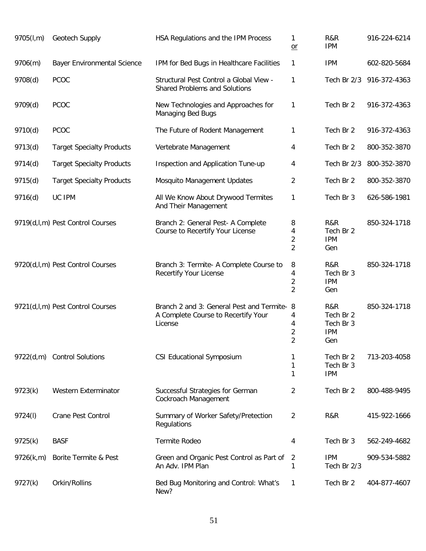| 9705(l,m) | Geotech Supply                     | HSA Regulations and the IPM Process                                                           | $\mathbf{1}$<br>$or$                       | R&R<br><b>IPM</b>                                  | 916-224-6214 |
|-----------|------------------------------------|-----------------------------------------------------------------------------------------------|--------------------------------------------|----------------------------------------------------|--------------|
| 9706(m)   | <b>Bayer Environmental Science</b> | IPM for Bed Bugs in Healthcare Facilities                                                     | 1                                          | <b>IPM</b>                                         | 602-820-5684 |
| 9708(d)   | <b>PCOC</b>                        | Structural Pest Control a Global View -<br><b>Shared Problems and Solutions</b>               | $\mathbf{1}$                               | Tech Br 2/3                                        | 916-372-4363 |
| 9709(d)   | PCOC                               | New Technologies and Approaches for<br>Managing Bed Bugs                                      | 1                                          | Tech Br 2                                          | 916-372-4363 |
| 9710(d)   | <b>PCOC</b>                        | The Future of Rodent Management                                                               | 1                                          | Tech Br 2                                          | 916-372-4363 |
| 9713(d)   | <b>Target Specialty Products</b>   | Vertebrate Management                                                                         | 4                                          | Tech Br 2                                          | 800-352-3870 |
| 9714(d)   | <b>Target Specialty Products</b>   | Inspection and Application Tune-up                                                            | 4                                          | Tech Br 2/3                                        | 800-352-3870 |
| 9715(d)   | <b>Target Specialty Products</b>   | Mosquito Management Updates                                                                   | $\overline{2}$                             | Tech Br 2                                          | 800-352-3870 |
| 9716(d)   | UC IPM                             | All We Know About Drywood Termites<br>And Their Management                                    | 1                                          | Tech Br 3                                          | 626-586-1981 |
|           | 9719(d,l,m) Pest Control Courses   | Branch 2: General Pest- A Complete<br>Course to Recertify Your License                        | 8<br>4<br>$\overline{2}$<br>$\overline{2}$ | R&R<br>Tech Br 2<br><b>IPM</b><br>Gen              | 850-324-1718 |
|           | 9720(d,l,m) Pest Control Courses   | Branch 3: Termite- A Complete Course to<br>Recertify Your License                             | 8<br>4<br>$\overline{2}$<br>$\overline{2}$ | R&R<br>Tech Br 3<br><b>IPM</b><br>Gen              | 850-324-1718 |
|           | 9721(d,l,m) Pest Control Courses   | Branch 2 and 3: General Pest and Termite- 8<br>A Complete Course to Recertify Your<br>License | 4<br>4<br>$\sqrt{2}$<br>$\overline{2}$     | R&R<br>Tech Br 2<br>Tech Br 3<br><b>IPM</b><br>Gen | 850-324-1718 |
| 9722(d,m) | <b>Control Solutions</b>           | <b>CSI Educational Symposium</b>                                                              | 1<br>1<br>1                                | Tech Br 2<br>Tech Br 3<br><b>IPM</b>               | 713-203-4058 |
| 9723(k)   | Western Exterminator               | Successful Strategies for German<br>Cockroach Management                                      | 2                                          | Tech Br 2                                          | 800-488-9495 |
| 9724(I)   | <b>Crane Pest Control</b>          | Summary of Worker Safety/Pretection<br>Regulations                                            | $\overline{2}$                             | R&R                                                | 415-922-1666 |
| 9725(k)   | <b>BASF</b>                        | Termite Rodeo                                                                                 | 4                                          | Tech Br 3                                          | 562-249-4682 |
| 9726(k,m) | Borite Termite & Pest              | Green and Organic Pest Control as Part of<br>An Adv. IPM Plan                                 | 2<br>1                                     | <b>IPM</b><br>Tech Br 2/3                          | 909-534-5882 |
| 9727(k)   | Orkin/Rollins                      | Bed Bug Monitoring and Control: What's<br>New?                                                | $\mathbf{1}$                               | Tech Br 2                                          | 404-877-4607 |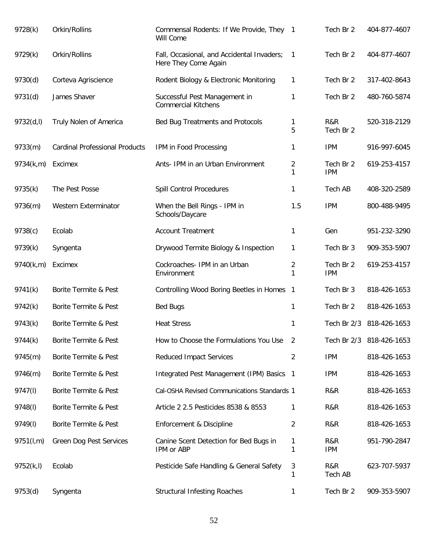| 9728(k)    | Orkin/Rollins                         | Commensal Rodents: If We Provide, They 1<br>Will Come              |                     | Tech Br 2               | 404-877-4607             |
|------------|---------------------------------------|--------------------------------------------------------------------|---------------------|-------------------------|--------------------------|
| 9729(k)    | Orkin/Rollins                         | Fall, Occasional, and Accidental Invaders;<br>Here They Come Again | $\mathbf{1}$        | Tech Br 2               | 404-877-4607             |
| 9730(d)    | Corteva Agriscience                   | Rodent Biology & Electronic Monitoring                             | $\mathbf{1}$        | Tech Br 2               | 317-402-8643             |
| 9731(d)    | James Shaver                          | Successful Pest Management in<br><b>Commercial Kitchens</b>        | 1                   | Tech Br 2               | 480-760-5874             |
| 9732(d, l) | Truly Nolen of America                | Bed Bug Treatments and Protocols                                   | 1<br>5              | R&R<br>Tech Br 2        | 520-318-2129             |
| 9733(m)    | <b>Cardinal Professional Products</b> | IPM in Food Processing                                             | 1                   | <b>IPM</b>              | 916-997-6045             |
| 9734(k,m)  | Excimex                               | Ants- IPM in an Urban Environment                                  | 2<br>1              | Tech Br 2<br><b>IPM</b> | 619-253-4157             |
| 9735(k)    | The Pest Posse                        | Spill Control Procedures                                           | 1                   | Tech AB                 | 408-320-2589             |
| 9736(m)    | <b>Western Exterminator</b>           | When the Bell Rings - IPM in<br>Schools/Daycare                    | 1.5                 | <b>IPM</b>              | 800-488-9495             |
| 9738(c)    | Ecolab                                | <b>Account Treatment</b>                                           | $\mathbf{1}$        | Gen                     | 951-232-3290             |
| 9739(k)    | Syngenta                              | Drywood Termite Biology & Inspection                               | 1                   | Tech Br 3               | 909-353-5907             |
| 9740(k,m)  | Excimex                               | Cockroaches- IPM in an Urban<br>Environment                        | $\overline{2}$<br>1 | Tech Br 2<br><b>IPM</b> | 619-253-4157             |
| 9741(k)    | Borite Termite & Pest                 | Controlling Wood Boring Beetles in Homes                           | $\overline{1}$      | Tech Br 3               | 818-426-1653             |
| 9742(k)    | Borite Termite & Pest                 | <b>Bed Bugs</b>                                                    | $\mathbf{1}$        | Tech Br 2               | 818-426-1653             |
| 9743(k)    | Borite Termite & Pest                 | <b>Heat Stress</b>                                                 | 1                   | Tech Br 2/3             | 818-426-1653             |
| 9744(k)    | Borite Termite & Pest                 | How to Choose the Formulations You Use                             | 2                   |                         | Tech Br 2/3 818-426-1653 |
| 9745(m)    | Borite Termite & Pest                 | <b>Reduced Impact Services</b>                                     | $\overline{2}$      | <b>IPM</b>              | 818-426-1653             |
| 9746(m)    | Borite Termite & Pest                 | Integrated Pest Management (IPM) Basics 1                          |                     | <b>IPM</b>              | 818-426-1653             |
| 9747(I)    | Borite Termite & Pest                 | Cal-OSHA Revised Communications Standards 1                        |                     | R&R                     | 818-426-1653             |
| 9748(I)    | Borite Termite & Pest                 | Article 2 2.5 Pesticides 8538 & 8553                               | 1                   | R&R                     | 818-426-1653             |
| 9749(I)    | Borite Termite & Pest                 | Enforcement & Discipline                                           | 2                   | R&R                     | 818-426-1653             |
| 9751(l,m)  | Green Dog Pest Services               | Canine Scent Detection for Bed Bugs in<br>IPM or ABP               | 1<br>1              | R&R<br><b>IPM</b>       | 951-790-2847             |
| 9752(k,l)  | Ecolab                                | Pesticide Safe Handling & General Safety                           | 3<br>1              | R&R<br>Tech AB          | 623-707-5937             |
| 9753(d)    | Syngenta                              | <b>Structural Infesting Roaches</b>                                | 1                   | Tech Br 2               | 909-353-5907             |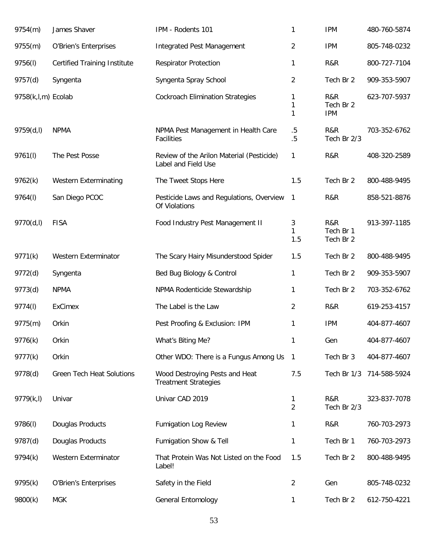| 9754(m)            | James Shaver                        | IPM - Rodents 101                                                | 1                   | <b>IPM</b>                     | 480-760-5874 |
|--------------------|-------------------------------------|------------------------------------------------------------------|---------------------|--------------------------------|--------------|
| 9755(m)            | O'Brien's Enterprises               | <b>Integrated Pest Management</b>                                | 2                   | <b>IPM</b>                     | 805-748-0232 |
| 9756(I)            | <b>Certified Training Institute</b> | <b>Respirator Protection</b>                                     | 1                   | R&R                            | 800-727-7104 |
| 9757(d)            | Syngenta                            | Syngenta Spray School                                            | 2                   | Tech Br 2                      | 909-353-5907 |
| 9758(k,l,m) Ecolab |                                     | <b>Cockroach Elimination Strategies</b>                          | 1<br>1<br>1         | R&R<br>Tech Br 2<br><b>IPM</b> | 623-707-5937 |
| 9759(d, I)         | <b>NPMA</b>                         | NPMA Pest Management in Health Care<br>Facilities                | $.5\,$<br>.5        | R&R<br>Tech Br 2/3             | 703-352-6762 |
| 9761(l)            | The Pest Posse                      | Review of the Arilon Material (Pesticide)<br>Label and Field Use | 1                   | R&R                            | 408-320-2589 |
| 9762(k)            | Western Exterminating               | The Tweet Stops Here                                             | 1.5                 | Tech Br 2                      | 800-488-9495 |
| 9764(I)            | San Diego PCOC                      | Pesticide Laws and Regulations, Overview<br>Of Violations        | 1                   | R&R                            | 858-521-8876 |
| 9770(d,l)          | <b>FISA</b>                         | Food Industry Pest Management II                                 | 3<br>1<br>1.5       | R&R<br>Tech Br 1<br>Tech Br 2  | 913-397-1185 |
| 9771(k)            | Western Exterminator                | The Scary Hairy Misunderstood Spider                             | 1.5                 | Tech Br 2                      | 800-488-9495 |
| 9772(d)            | Syngenta                            | Bed Bug Biology & Control                                        | 1                   | Tech Br 2                      | 909-353-5907 |
| 9773(d)            | <b>NPMA</b>                         | NPMA Rodenticide Stewardship                                     | 1                   | Tech Br 2                      | 703-352-6762 |
| 9774(I)            | <b>ExCimex</b>                      | The Label is the Law                                             | 2                   | R&R                            | 619-253-4157 |
| 9775(m)            | Orkin                               | Pest Proofing & Exclusion: IPM                                   | 1                   | <b>IPM</b>                     | 404-877-4607 |
| 9776(k)            | Orkin                               | What's Biting Me?                                                | 1                   | Gen                            | 404-877-4607 |
| 9777(k)            | Orkin                               | Other WDO: There is a Fungus Among Us                            | $\mathbf{1}$        | Tech Br 3                      | 404-877-4607 |
| 9778(d)            | <b>Green Tech Heat Solutions</b>    | Wood Destroying Pests and Heat<br><b>Treatment Strategies</b>    | 7.5                 | Tech Br 1/3                    | 714-588-5924 |
| 9779(k, l)         | Univar                              | Univar CAD 2019                                                  | 1<br>$\overline{2}$ | R&R<br>Tech Br 2/3             | 323-837-7078 |
| 9786(I)            | Douglas Products                    | <b>Fumigation Log Review</b>                                     | 1                   | R&R                            | 760-703-2973 |
| 9787(d)            | Douglas Products                    | Fumigation Show & Tell                                           | 1                   | Tech Br 1                      | 760-703-2973 |
| 9794(k)            | Western Exterminator                | That Protein Was Not Listed on the Food<br>Label!                | 1.5                 | Tech Br 2                      | 800-488-9495 |
| 9795(k)            | O'Brien's Enterprises               | Safety in the Field                                              | 2                   | Gen                            | 805-748-0232 |
| 9800(k)            | <b>MGK</b>                          | <b>General Entomology</b>                                        | 1                   | Tech Br 2                      | 612-750-4221 |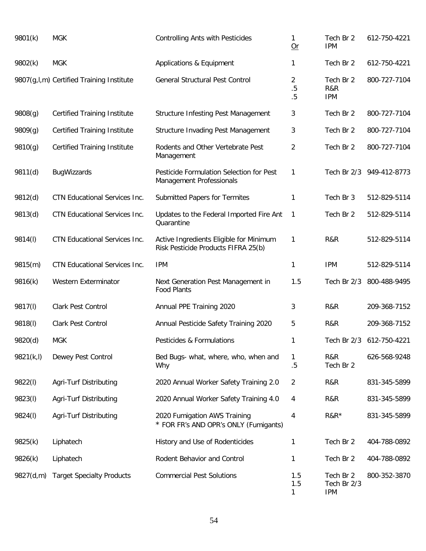| 9801(k)    | <b>MGK</b>                               | <b>Controlling Ants with Pesticides</b>                                        | 1<br>Qr         | Tech Br 2<br><b>IPM</b>                | 612-750-4221             |
|------------|------------------------------------------|--------------------------------------------------------------------------------|-----------------|----------------------------------------|--------------------------|
| 9802(k)    | <b>MGK</b>                               | Applications & Equipment                                                       | 1               | Tech Br 2                              | 612-750-4221             |
|            | 9807(g,l,m) Certified Training Institute | <b>General Structural Pest Control</b>                                         | 2<br>.5<br>.5   | Tech Br 2<br>R&R<br><b>IPM</b>         | 800-727-7104             |
| 9808(g)    | <b>Certified Training Institute</b>      | <b>Structure Infesting Pest Management</b>                                     | 3               | Tech Br 2                              | 800-727-7104             |
| 9809(g)    | <b>Certified Training Institute</b>      | <b>Structure Invading Pest Management</b>                                      | 3               | Tech Br 2                              | 800-727-7104             |
| 9810(g)    | <b>Certified Training Institute</b>      | Rodents and Other Vertebrate Pest<br>Management                                | $\overline{2}$  | Tech Br 2                              | 800-727-7104             |
| 9811(d)    | <b>BugWizzards</b>                       | Pesticide Formulation Selection for Pest<br>Management Professionals           | 1               |                                        | Tech Br 2/3 949-412-8773 |
| 9812(d)    | CTN Educational Services Inc.            | Submitted Papers for Termites                                                  | 1               | Tech Br 3                              | 512-829-5114             |
| 9813(d)    | CTN Educational Services Inc.            | Updates to the Federal Imported Fire Ant<br>Quarantine                         | 1               | Tech Br 2                              | 512-829-5114             |
| 9814(I)    | CTN Educational Services Inc.            | Active Ingredients Eligible for Minimum<br>Risk Pesticide Products FIFRA 25(b) | 1               | R&R                                    | 512-829-5114             |
| 9815(m)    | CTN Educational Services Inc.            | <b>IPM</b>                                                                     | 1               | <b>IPM</b>                             | 512-829-5114             |
| 9816(k)    | Western Exterminator                     | Next Generation Pest Management in<br><b>Food Plants</b>                       | 1.5             | Tech Br 2/3                            | 800-488-9495             |
| 9817(I)    | Clark Pest Control                       | Annual PPE Training 2020                                                       | 3               | R&R                                    | 209-368-7152             |
| 9818(I)    | Clark Pest Control                       | Annual Pesticide Safety Training 2020                                          | 5               | R&R                                    | 209-368-7152             |
| 9820(d)    | <b>MGK</b>                               | Pesticides & Formulations                                                      | 1               |                                        | Tech Br 2/3 612-750-4221 |
| 9821(k, l) | Dewey Pest Control                       | Bed Bugs- what, where, who, when and<br>Why                                    | 1<br>.5         | R&R<br>Tech Br 2                       | 626-568-9248             |
| 9822(l)    | Agri-Turf Distributing                   | 2020 Annual Worker Safety Training 2.0                                         | $\overline{2}$  | R&R                                    | 831-345-5899             |
| 9823(I)    | Agri-Turf Distributing                   | 2020 Annual Worker Safety Training 4.0                                         | 4               | R&R                                    | 831-345-5899             |
| 9824(I)    | Agri-Turf Distributing                   | 2020 Fumigation AWS Training<br>* FOR FR's AND OPR's ONLY (Fumigants)          | 4               | $R&R*$                                 | 831-345-5899             |
| 9825(k)    | Liphatech                                | History and Use of Rodenticides                                                | 1               | Tech Br 2                              | 404-788-0892             |
| 9826(k)    | Liphatech                                | Rodent Behavior and Control                                                    | 1               | Tech Br 2                              | 404-788-0892             |
| 9827(d,m)  | <b>Target Specialty Products</b>         | <b>Commercial Pest Solutions</b>                                               | 1.5<br>1.5<br>1 | Tech Br 2<br>Tech Br 2/3<br><b>IPM</b> | 800-352-3870             |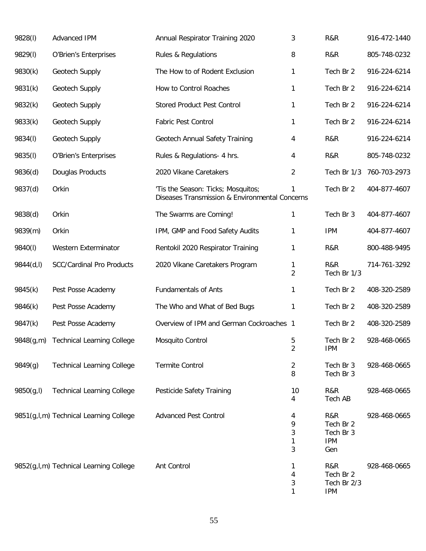| 9828(I)    | Advanced IPM                           | Annual Respirator Training 2020                                                      | 3                                | R&R                                                | 916-472-1440 |
|------------|----------------------------------------|--------------------------------------------------------------------------------------|----------------------------------|----------------------------------------------------|--------------|
| 9829(I)    | O'Brien's Enterprises                  | Rules & Regulations                                                                  | 8                                | R&R                                                | 805-748-0232 |
| 9830(k)    | Geotech Supply                         | The How to of Rodent Exclusion                                                       | 1                                | Tech Br 2                                          | 916-224-6214 |
| 9831(k)    | Geotech Supply                         | How to Control Roaches                                                               | 1                                | Tech Br 2                                          | 916-224-6214 |
| 9832(k)    | Geotech Supply                         | <b>Stored Product Pest Control</b>                                                   | 1                                | Tech Br 2                                          | 916-224-6214 |
| 9833(k)    | Geotech Supply                         | Fabric Pest Control                                                                  | 1                                | Tech Br 2                                          | 916-224-6214 |
| 9834(I)    | Geotech Supply                         | Geotech Annual Safety Training                                                       | 4                                | R&R                                                | 916-224-6214 |
| 9835(I)    | O'Brien's Enterprises                  | Rules & Regulations- 4 hrs.                                                          | 4                                | R&R                                                | 805-748-0232 |
| 9836(d)    | Douglas Products                       | 2020 Vikane Caretakers                                                               | 2                                | Tech Br 1/3                                        | 760-703-2973 |
| 9837(d)    | Orkin                                  | 'Tis the Season: Ticks; Mosquitos;<br>Diseases Transmission & Environmental Concerns | 1                                | Tech Br 2                                          | 404-877-4607 |
| 9838(d)    | Orkin                                  | The Swarms are Coming!                                                               | 1                                | Tech Br 3                                          | 404-877-4607 |
| 9839(m)    | Orkin                                  | IPM, GMP and Food Safety Audits                                                      | 1                                | <b>IPM</b>                                         | 404-877-4607 |
| 9840(I)    | Western Exterminator                   | Rentokil 2020 Respirator Training                                                    | 1                                | R&R                                                | 800-488-9495 |
| 9844(d,l)  | <b>SCC/Cardinal Pro Products</b>       | 2020 Vikane Caretakers Program                                                       | 1<br>$\overline{2}$              | R&R<br>Tech Br 1/3                                 | 714-761-3292 |
| 9845(k)    | Pest Posse Academy                     | <b>Fundamentals of Ants</b>                                                          | 1                                | Tech Br 2                                          | 408-320-2589 |
| 9846(k)    | Pest Posse Academy                     | The Who and What of Bed Bugs                                                         | 1                                | Tech Br 2                                          | 408-320-2589 |
| 9847(k)    | Pest Posse Academy                     | Overview of IPM and German Cockroaches 1                                             |                                  | Tech Br 2                                          | 408-320-2589 |
| 9848(g,m)  | <b>Technical Learning College</b>      | Mosquito Control                                                                     | 5<br>2                           | Tech Br 2<br><b>IPM</b>                            | 928-468-0665 |
| 9849(g)    | <b>Technical Learning College</b>      | <b>Termite Control</b>                                                               | 2<br>8                           | Tech Br 3<br>Tech Br 3                             | 928-468-0665 |
| 9850(g, I) | <b>Technical Learning College</b>      | Pesticide Safety Training                                                            | 10<br>4                          | R&R<br>Tech AB                                     | 928-468-0665 |
|            | 9851(g,l,m) Technical Learning College | <b>Advanced Pest Control</b>                                                         | 4<br>9<br>3<br>$\mathbf{1}$<br>3 | R&R<br>Tech Br 2<br>Tech Br 3<br><b>IPM</b><br>Gen | 928-468-0665 |
|            | 9852(g,l,m) Technical Learning College | Ant Control                                                                          | 1<br>4<br>3<br>1                 | R&R<br>Tech Br 2<br>Tech Br 2/3<br><b>IPM</b>      | 928-468-0665 |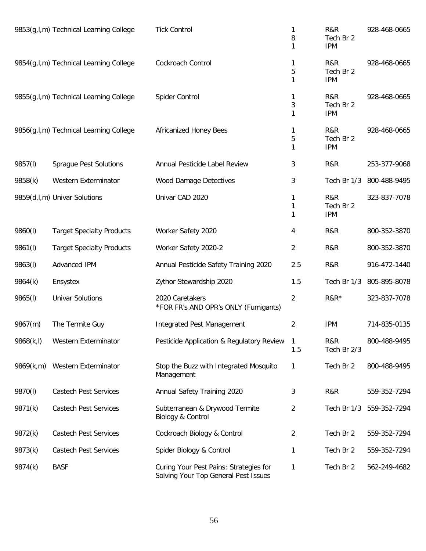|            | 9853(g,l,m) Technical Learning College   | <b>Tick Control</b>                                                            | 1<br>8<br>1    | R&R<br>Tech Br 2<br><b>IPM</b> | 928-468-0665 |
|------------|------------------------------------------|--------------------------------------------------------------------------------|----------------|--------------------------------|--------------|
|            | 9854(g,l,m) Technical Learning College   | Cockroach Control                                                              | 1<br>5<br>1    | R&R<br>Tech Br 2<br><b>IPM</b> | 928-468-0665 |
|            | 9855(g, I, m) Technical Learning College | Spider Control                                                                 | 1<br>3<br>1    | R&R<br>Tech Br 2<br><b>IPM</b> | 928-468-0665 |
|            | 9856(g,l,m) Technical Learning College   | Africanized Honey Bees                                                         | 1<br>5<br>1    | R&R<br>Tech Br 2<br><b>IPM</b> | 928-468-0665 |
| 9857(I)    | <b>Sprague Pest Solutions</b>            | Annual Pesticide Label Review                                                  | 3              | R&R                            | 253-377-9068 |
| 9858(k)    | Western Exterminator                     | <b>Wood Damage Detectives</b>                                                  | 3              | Tech Br 1/3                    | 800-488-9495 |
|            | 9859(d,l,m) Univar Solutions             | Univar CAD 2020                                                                | 1<br>1<br>1    | R&R<br>Tech Br 2<br><b>IPM</b> | 323-837-7078 |
| 9860(l)    | <b>Target Specialty Products</b>         | Worker Safety 2020                                                             | 4              | R&R                            | 800-352-3870 |
| 9861(I)    | <b>Target Specialty Products</b>         | Worker Safety 2020-2                                                           | $\overline{2}$ | R&R                            | 800-352-3870 |
| 9863(I)    | Advanced IPM                             | Annual Pesticide Safety Training 2020                                          | 2.5            | R&R                            | 916-472-1440 |
| 9864(k)    | Ensystex                                 | Zythor Stewardship 2020                                                        | 1.5            | Tech Br 1/3                    | 805-895-8078 |
| 9865(I)    | <b>Univar Solutions</b>                  | 2020 Caretakers<br>*FOR FR's AND OPR's ONLY (Fumigants)                        | $\overline{2}$ | $R&R*$                         | 323-837-7078 |
| 9867(m)    | The Termite Guy                          | <b>Integrated Pest Management</b>                                              | $\overline{2}$ | <b>IPM</b>                     | 714-835-0135 |
| 9868(k, l) | Western Exterminator                     | Pesticide Application & Regulatory Review                                      | 1<br>1.5       | R&R<br>Tech Br 2/3             | 800-488-9495 |
| 9869(k,m)  | Western Exterminator                     | Stop the Buzz with Integrated Mosquito<br>Management                           | 1              | Tech Br 2                      | 800-488-9495 |
| 9870(I)    | <b>Castech Pest Services</b>             | Annual Safety Training 2020                                                    | 3              | R&R                            | 559-352-7294 |
| 9871(k)    | <b>Castech Pest Services</b>             | Subterranean & Drywood Termite<br>Biology & Control                            | $\overline{2}$ | Tech Br 1/3                    | 559-352-7294 |
| 9872(k)    | <b>Castech Pest Services</b>             | Cockroach Biology & Control                                                    | 2              | Tech Br 2                      | 559-352-7294 |
| 9873(k)    | <b>Castech Pest Services</b>             | Spider Biology & Control                                                       | 1              | Tech Br 2                      | 559-352-7294 |
| 9874(k)    | <b>BASF</b>                              | Curing Your Pest Pains: Strategies for<br>Solving Your Top General Pest Issues | 1              | Tech Br 2                      | 562-249-4682 |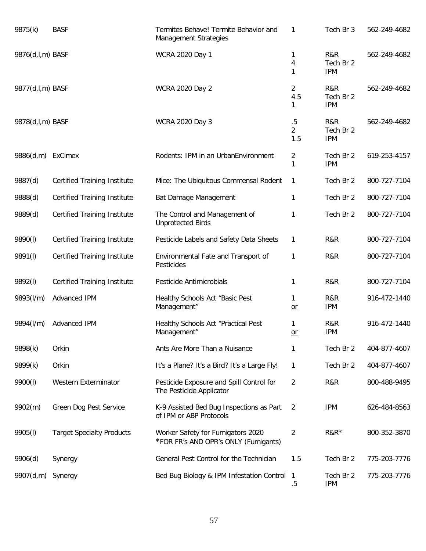| 9875(k)          | <b>BASF</b>                         | Termites Behave! Termite Behavior and<br><b>Management Strategies</b>     | 1                               | Tech Br 3                      | 562-249-4682 |
|------------------|-------------------------------------|---------------------------------------------------------------------------|---------------------------------|--------------------------------|--------------|
| 9876(d,l,m) BASF |                                     | <b>WCRA 2020 Day 1</b>                                                    | 1<br>4<br>1                     | R&R<br>Tech Br 2<br><b>IPM</b> | 562-249-4682 |
| 9877(d,l,m) BASF |                                     | <b>WCRA 2020 Day 2</b>                                                    | 2<br>4.5<br>1                   | R&R<br>Tech Br 2<br><b>IPM</b> | 562-249-4682 |
| 9878(d,l,m) BASF |                                     | <b>WCRA 2020 Day 3</b>                                                    | $.5\,$<br>$\overline{2}$<br>1.5 | R&R<br>Tech Br 2<br><b>IPM</b> | 562-249-4682 |
| 9886(d,m)        | ExCimex                             | Rodents: IPM in an UrbanEnvironment                                       | 2<br>1                          | Tech Br 2<br><b>IPM</b>        | 619-253-4157 |
| 9887(d)          | <b>Certified Training Institute</b> | Mice: The Ubiquitous Commensal Rodent                                     | 1                               | Tech Br 2                      | 800-727-7104 |
| 9888(d)          | <b>Certified Training Institute</b> | Bat Damage Management                                                     | 1                               | Tech Br 2                      | 800-727-7104 |
| 9889(d)          | <b>Certified Training Institute</b> | The Control and Management of<br><b>Unprotected Birds</b>                 | 1                               | Tech Br 2                      | 800-727-7104 |
| 9890(l)          | <b>Certified Training Institute</b> | Pesticide Labels and Safety Data Sheets                                   | 1                               | R&R                            | 800-727-7104 |
| 9891(I)          | <b>Certified Training Institute</b> | Environmental Fate and Transport of<br>Pesticides                         | 1                               | R&R                            | 800-727-7104 |
| 9892(I)          | <b>Certified Training Institute</b> | Pesticide Antimicrobials                                                  | 1                               | R&R                            | 800-727-7104 |
| 9893(I/m)        | Advanced IPM                        | Healthy Schools Act "Basic Pest<br>Management"                            | 1<br>$or$                       | R&R<br><b>IPM</b>              | 916-472-1440 |
| 9894(I/m)        | <b>Advanced IPM</b>                 | Healthy Schools Act "Practical Pest<br>Management"                        | 1<br>or                         | R&R<br><b>IPM</b>              | 916-472-1440 |
| 9898(k)          | Orkin                               | Ants Are More Than a Nuisance                                             | 1                               | Tech Br 2                      | 404-877-4607 |
| 9899(k)          | Orkin                               | It's a Plane? It's a Bird? It's a Large Fly!                              | 1                               | Tech Br 2                      | 404-877-4607 |
| 9900(l)          | Western Exterminator                | Pesticide Exposure and Spill Control for<br>The Pesticide Applicator      | 2                               | R&R                            | 800-488-9495 |
| 9902(m)          | Green Dog Pest Service              | K-9 Assisted Bed Bug Inspections as Part<br>of IPM or ABP Protocols       | 2                               | <b>IPM</b>                     | 626-484-8563 |
| 9905(I)          | <b>Target Specialty Products</b>    | Worker Safety for Fumigators 2020<br>*FOR FR's AND OPR's ONLY (Fumigants) | $\overline{2}$                  | $R&R*$                         | 800-352-3870 |
| 9906(d)          | Synergy                             | General Pest Control for the Technician                                   | 1.5                             | Tech Br 2                      | 775-203-7776 |
| 9907(d,m)        | Synergy                             | Bed Bug Biology & IPM Infestation Control 1                               | $.5\,$                          | Tech Br 2<br><b>IPM</b>        | 775-203-7776 |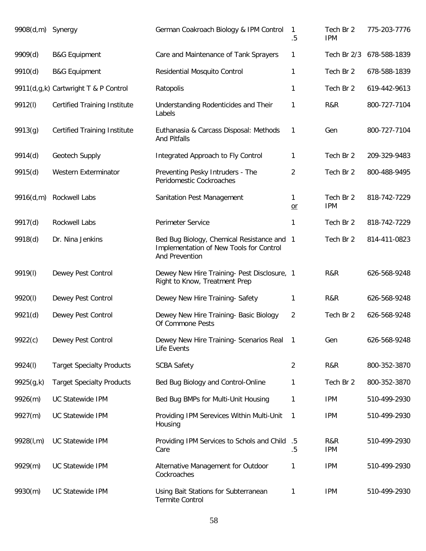| 9908(d,m) Synergy |                                      | German Coakroach Biology & IPM Control                                                                  | 1<br>$.5\,$      | Tech Br 2<br><b>IPM</b> | 775-203-7776 |
|-------------------|--------------------------------------|---------------------------------------------------------------------------------------------------------|------------------|-------------------------|--------------|
| 9909(d)           | <b>B&amp;G Equipment</b>             | Care and Maintenance of Tank Sprayers                                                                   | 1                | Tech Br 2/3             | 678-588-1839 |
| 9910(d)           | <b>B&amp;G Equipment</b>             | Residential Mosquito Control                                                                            | 1                | Tech Br 2               | 678-588-1839 |
|                   | 9911(d,g,k) Cartwright T & P Control | Ratopolis                                                                                               | 1                | Tech Br 2               | 619-442-9613 |
| 9912(l)           | <b>Certified Training Institute</b>  | Understanding Rodenticides and Their<br>Labels                                                          | 1                | R&R                     | 800-727-7104 |
| 9913(g)           | <b>Certified Training Institute</b>  | Euthanasia & Carcass Disposal: Methods<br><b>And Pitfalls</b>                                           | 1                | Gen                     | 800-727-7104 |
| 9914(d)           | Geotech Supply                       | Integrated Approach to Fly Control                                                                      | 1                | Tech Br 2               | 209-329-9483 |
| 9915(d)           | Western Exterminator                 | Preventing Pesky Intruders - The<br>Peridomestic Cockroaches                                            | $\overline{2}$   | Tech Br 2               | 800-488-9495 |
| 9916(d,m)         | Rockwell Labs                        | Sanitation Pest Management                                                                              | 1<br>$or$        | Tech Br 2<br><b>IPM</b> | 818-742-7229 |
| 9917(d)           | Rockwell Labs                        | Perimeter Service                                                                                       | 1                | Tech Br 2               | 818-742-7229 |
| 9918(d)           | Dr. Nina Jenkins                     | Bed Bug Biology, Chemical Resistance and 1<br>Implementation of New Tools for Control<br>And Prevention |                  | Tech Br 2               | 814-411-0823 |
| 9919(I)           | Dewey Pest Control                   | Dewey New Hire Training- Pest Disclosure, 1<br>Right to Know, Treatment Prep                            |                  | R&R                     | 626-568-9248 |
| 9920(l)           | Dewey Pest Control                   | Dewey New Hire Training- Safety                                                                         | 1                | R&R                     | 626-568-9248 |
| 9921(d)           | Dewey Pest Control                   | Dewey New Hire Training- Basic Biology<br>Of Commone Pests                                              | $\overline{2}$   | Tech Br 2               | 626-568-9248 |
| 9922(c)           | Dewey Pest Control                   | Dewey New Hire Training- Scenarios Real<br>Life Events                                                  | -1               | Gen                     | 626-568-9248 |
| 9924(I)           | <b>Target Specialty Products</b>     | <b>SCBA Safety</b>                                                                                      | $\overline{2}$   | R&R                     | 800-352-3870 |
| 9925(g,k)         | <b>Target Specialty Products</b>     | Bed Bug Biology and Control-Online                                                                      | 1                | Tech Br 2               | 800-352-3870 |
| 9926(m)           | <b>UC Statewide IPM</b>              | Bed Bug BMPs for Multi-Unit Housing                                                                     | 1                | <b>IPM</b>              | 510-499-2930 |
| 9927(m)           | UC Statewide IPM                     | Providing IPM Serevices Within Multi-Unit<br>Housing                                                    | 1                | <b>IPM</b>              | 510-499-2930 |
| 9928(l,m)         | UC Statewide IPM                     | Providing IPM Services to Schols and Child<br>Care                                                      | $.5\,$<br>$.5\,$ | R&R<br><b>IPM</b>       | 510-499-2930 |
| 9929(m)           | UC Statewide IPM                     | Alternative Management for Outdoor<br>Cockroaches                                                       | 1                | <b>IPM</b>              | 510-499-2930 |
| 9930(m)           | UC Statewide IPM                     | Using Bait Stations for Subterranean<br><b>Termite Control</b>                                          | 1                | <b>IPM</b>              | 510-499-2930 |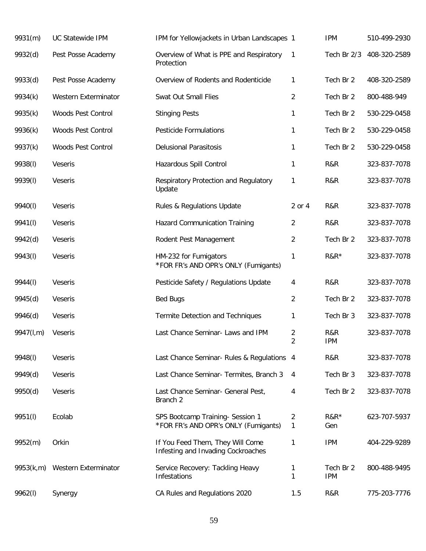| 9931(m)   | <b>UC Statewide IPM</b> | IPM for Yellowjackets in Urban Landscapes 1                              |                     | <b>IPM</b>              | 510-499-2930 |
|-----------|-------------------------|--------------------------------------------------------------------------|---------------------|-------------------------|--------------|
| 9932(d)   | Pest Posse Academy      | Overview of What is PPE and Respiratory<br>Protection                    | $\mathbf{1}$        | Tech Br 2/3             | 408-320-2589 |
| 9933(d)   | Pest Posse Academy      | Overview of Rodents and Rodenticide                                      | 1                   | Tech Br 2               | 408-320-2589 |
| 9934(k)   | Western Exterminator    | Swat Out Small Flies                                                     | $\overline{2}$      | Tech Br 2               | 800-488-949  |
| 9935(k)   | Woods Pest Control      | <b>Stinging Pests</b>                                                    | 1                   | Tech Br 2               | 530-229-0458 |
| 9936(k)   | Woods Pest Control      | <b>Pesticide Formulations</b>                                            | 1                   | Tech Br 2               | 530-229-0458 |
| 9937(k)   | Woods Pest Control      | <b>Delusional Parasitosis</b>                                            | 1                   | Tech Br 2               | 530-229-0458 |
| 9938(I)   | Veseris                 | Hazardous Spill Control                                                  | $\mathbf{1}$        | R&R                     | 323-837-7078 |
| 9939(I)   | Veseris                 | Respiratory Protection and Regulatory<br>Update                          | 1                   | R&R                     | 323-837-7078 |
| 9940(I)   | Veseris                 | Rules & Regulations Update                                               | 2 or 4              | R&R                     | 323-837-7078 |
| 9941(I)   | Veseris                 | <b>Hazard Communication Training</b>                                     | 2                   | R&R                     | 323-837-7078 |
| 9942(d)   | Veseris                 | Rodent Pest Management                                                   | 2                   | Tech Br 2               | 323-837-7078 |
| 9943(I)   | Veseris                 | HM-232 for Fumigators<br>*FOR FR's AND OPR's ONLY (Fumigants)            | 1                   | $R&R*$                  | 323-837-7078 |
| 9944(I)   | Veseris                 | Pesticide Safety / Regulations Update                                    | 4                   | R&R                     | 323-837-7078 |
| 9945(d)   | Veseris                 | <b>Bed Bugs</b>                                                          | $\overline{2}$      | Tech Br 2               | 323-837-7078 |
| 9946(d)   | Veseris                 | Termite Detection and Techniques                                         | 1                   | Tech Br 3               | 323-837-7078 |
| 9947(I,m) | Veseris                 | Last Chance Seminar- Laws and IPM                                        | 2<br>$\overline{2}$ | R&R<br><b>IPM</b>       | 323-837-7078 |
| 9948(I)   | <b>Veseris</b>          | Last Chance Seminar- Rules & Regulations 4                               |                     | R&R                     | 323-837-7078 |
| 9949(d)   | Veseris                 | Last Chance Seminar- Termites, Branch 3                                  | 4                   | Tech Br 3               | 323-837-7078 |
| 9950(d)   | Veseris                 | Last Chance Seminar- General Pest,<br>Branch <sub>2</sub>                | 4                   | Tech Br 2               | 323-837-7078 |
| 9951(I)   | Ecolab                  | SPS Bootcamp Training- Session 1<br>*FOR FR's AND OPR's ONLY (Fumigants) | 2<br>$\mathbf{1}$   | $R&R^*$<br>Gen          | 623-707-5937 |
| 9952(m)   | Orkin                   | If You Feed Them, They Will Come<br>Infesting and Invading Cockroaches   | 1                   | <b>IPM</b>              | 404-229-9289 |
| 9953(k,m) | Western Exterminator    | Service Recovery: Tackling Heavy<br>Infestations                         | 1<br>1              | Tech Br 2<br><b>IPM</b> | 800-488-9495 |
| 9962(I)   | Synergy                 | CA Rules and Regulations 2020                                            | 1.5                 | R&R                     | 775-203-7776 |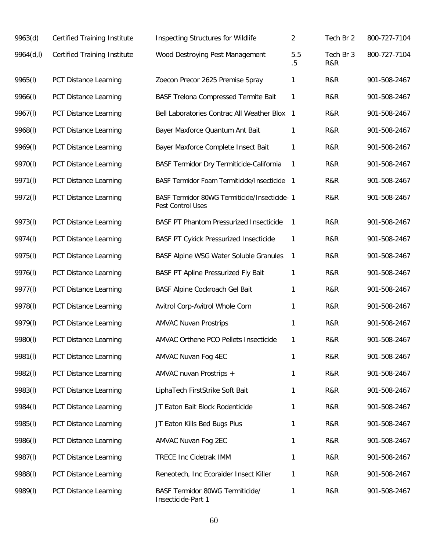| 9963(d)   | <b>Certified Training Institute</b> | <b>Inspecting Structures for Wildlife</b>                          | $\overline{2}$ | Tech Br 2        | 800-727-7104 |
|-----------|-------------------------------------|--------------------------------------------------------------------|----------------|------------------|--------------|
| 9964(d,l) | <b>Certified Training Institute</b> | Wood Destroying Pest Management                                    | 5.5<br>$.5\,$  | Tech Br 3<br>R&R | 800-727-7104 |
| 9965(I)   | PCT Distance Learning               | Zoecon Precor 2625 Premise Spray                                   | 1              | R&R              | 901-508-2467 |
| 9966(I)   | PCT Distance Learning               | <b>BASF Trelona Compressed Termite Bait</b>                        | 1              | R&R              | 901-508-2467 |
| 9967(I)   | PCT Distance Learning               | Bell Laboratories Contrac All Weather Blox 1                       |                | R&R              | 901-508-2467 |
| 9968(I)   | PCT Distance Learning               | Bayer Maxforce Quantum Ant Bait                                    | 1              | R&R              | 901-508-2467 |
| 9969(I)   | PCT Distance Learning               | Bayer Maxforce Complete Insect Bait                                | 1              | R&R              | 901-508-2467 |
| 9970(l)   | PCT Distance Learning               | BASF Termidor Dry Termiticide-California                           | 1              | R&R              | 901-508-2467 |
| 9971(l)   | PCT Distance Learning               | BASF Termidor Foam Termiticide/Insecticide                         | - 1            | R&R              | 901-508-2467 |
| 9972(l)   | PCT Distance Learning               | BASF Termidor 80WG Termiticide/Insecticide- 1<br>Pest Control Uses |                | R&R              | 901-508-2467 |
| 9973(I)   | PCT Distance Learning               | <b>BASF PT Phantom Pressurized Insecticide</b>                     | $\mathbf{1}$   | R&R              | 901-508-2467 |
| 9974(I)   | PCT Distance Learning               | <b>BASF PT Cykick Pressurized Insecticide</b>                      | 1              | R&R              | 901-508-2467 |
| 9975(I)   | PCT Distance Learning               | BASF Alpine WSG Water Soluble Granules                             | $\mathbf{1}$   | R&R              | 901-508-2467 |
| 9976(I)   | PCT Distance Learning               | BASF PT Apline Pressurized Fly Bait                                | 1              | R&R              | 901-508-2467 |
| 9977(I)   | PCT Distance Learning               | BASF Alpine Cockroach Gel Bait                                     | 1              | R&R              | 901-508-2467 |
| 9978(I)   | PCT Distance Learning               | Avitrol Corp-Avitrol Whole Corn                                    | 1              | R&R              | 901-508-2467 |
| 9979(I)   | PCT Distance Learning               | <b>AMVAC Nuvan Prostrips</b>                                       | 1              | R&R              | 901-508-2467 |
| 9980(l)   | PCT Distance Learning               | AMVAC Orthene PCO Pellets Insecticide                              | 1              | R&R              | 901-508-2467 |
| 9981(I)   | PCT Distance Learning               | AMVAC Nuvan Fog 4EC                                                | 1              | R&R              | 901-508-2467 |
| 9982(I)   | <b>PCT Distance Learning</b>        | AMVAC nuvan Prostrips +                                            | 1              | R&R              | 901-508-2467 |
| 9983(I)   | PCT Distance Learning               | LiphaTech FirstStrike Soft Bait                                    | 1              | R&R              | 901-508-2467 |
| 9984(I)   | PCT Distance Learning               | JT Eaton Bait Block Rodenticide                                    | 1              | R&R              | 901-508-2467 |
| 9985(I)   | PCT Distance Learning               | JT Eaton Kills Bed Bugs Plus                                       | 1              | R&R              | 901-508-2467 |
| 9986(I)   | PCT Distance Learning               | AMVAC Nuvan Fog 2EC                                                | 1              | R&R              | 901-508-2467 |
| 9987(I)   | PCT Distance Learning               | <b>TRECE Inc Cidetrak IMM</b>                                      | 1              | R&R              | 901-508-2467 |
| 9988(I)   | PCT Distance Learning               | Reneotech, Inc Ecoraider Insect Killer                             | 1              | R&R              | 901-508-2467 |
| 9989(I)   | PCT Distance Learning               | BASF Termidor 80WG Termiticide/<br>Insecticide-Part 1              | 1              | R&R              | 901-508-2467 |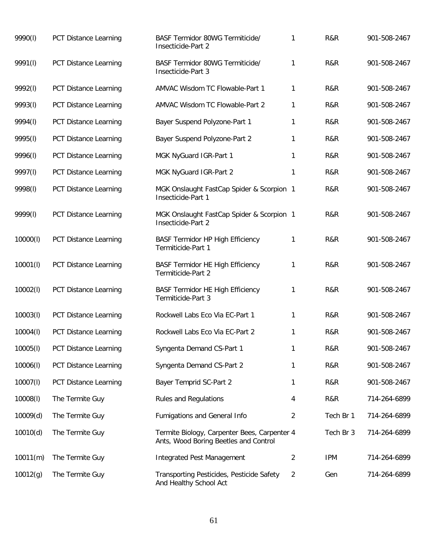| 9990(l)  | PCT Distance Learning        | BASF Termidor 80WG Termiticide/<br>Insecticide-Part 2                                 | 1              | R&R        | 901-508-2467 |
|----------|------------------------------|---------------------------------------------------------------------------------------|----------------|------------|--------------|
| 9991(I)  | PCT Distance Learning        | BASF Termidor 80WG Termiticide/<br>Insecticide-Part 3                                 | 1              | R&R        | 901-508-2467 |
| 9992(I)  | PCT Distance Learning        | AMVAC Wisdom TC Flowable-Part 1                                                       | 1              | R&R        | 901-508-2467 |
| 9993(I)  | PCT Distance Learning        | AMVAC Wisdom TC Flowable-Part 2                                                       | 1              | R&R        | 901-508-2467 |
| 9994(I)  | PCT Distance Learning        | Bayer Suspend Polyzone-Part 1                                                         | 1              | R&R        | 901-508-2467 |
| 9995(I)  | PCT Distance Learning        | Bayer Suspend Polyzone-Part 2                                                         | 1              | R&R        | 901-508-2467 |
| 9996(I)  | PCT Distance Learning        | MGK NyGuard IGR-Part 1                                                                | 1              | R&R        | 901-508-2467 |
| 9997(I)  | <b>PCT Distance Learning</b> | MGK NyGuard IGR-Part 2                                                                | 1              | R&R        | 901-508-2467 |
| 9998(I)  | PCT Distance Learning        | MGK Onslaught FastCap Spider & Scorpion 1<br>Insecticide-Part 1                       |                | R&R        | 901-508-2467 |
| 9999(I)  | PCT Distance Learning        | MGK Onslaught FastCap Spider & Scorpion 1<br>Insecticide-Part 2                       |                | R&R        | 901-508-2467 |
| 10000(l) | PCT Distance Learning        | <b>BASF Termidor HP High Efficiency</b><br>Termiticide-Part 1                         | 1              | R&R        | 901-508-2467 |
| 10001(l) | PCT Distance Learning        | <b>BASF Termidor HE High Efficiency</b><br>Termiticide-Part 2                         | 1              | R&R        | 901-508-2467 |
| 10002(l) | PCT Distance Learning        | <b>BASF Termidor HE High Efficiency</b><br>Termiticide-Part 3                         | 1              | R&R        | 901-508-2467 |
| 10003(l) | PCT Distance Learning        | Rockwell Labs Eco Via EC-Part 1                                                       | $\mathbf{1}$   | R&R        | 901-508-2467 |
| 10004(l) | <b>PCT Distance Learning</b> | Rockwell Labs Eco Via EC-Part 2                                                       | 1              | R&R        | 901-508-2467 |
| 10005(l) | PCT Distance Learning        | Syngenta Demand CS-Part 1                                                             | 1              | R&R        | 901-508-2467 |
| 10006(l) | <b>PCT Distance Learning</b> | Syngenta Demand CS-Part 2                                                             | 1              | R&R        | 901-508-2467 |
| 10007(l) | <b>PCT Distance Learning</b> | Bayer Temprid SC-Part 2                                                               | 1              | R&R        | 901-508-2467 |
| 10008(l) | The Termite Guy              | <b>Rules and Regulations</b>                                                          | 4              | R&R        | 714-264-6899 |
| 10009(d) | The Termite Guy              | Fumigations and General Info                                                          | $\overline{2}$ | Tech Br 1  | 714-264-6899 |
| 10010(d) | The Termite Guy              | Termite Biology, Carpenter Bees, Carpenter 4<br>Ants, Wood Boring Beetles and Control |                | Tech Br 3  | 714-264-6899 |
| 10011(m) | The Termite Guy              | <b>Integrated Pest Management</b>                                                     | $\overline{2}$ | <b>IPM</b> | 714-264-6899 |
| 10012(g) | The Termite Guy              | Transporting Pesticides, Pesticide Safety<br>And Healthy School Act                   | $\overline{2}$ | Gen        | 714-264-6899 |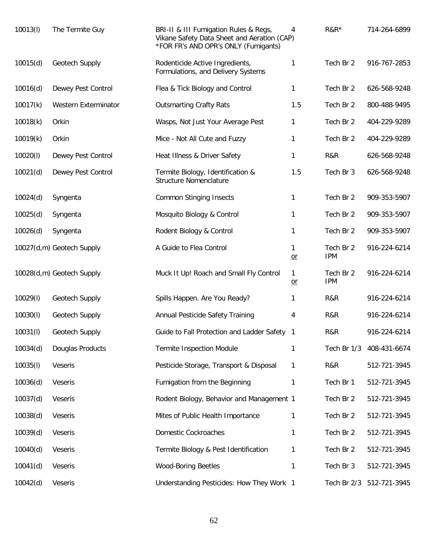| 10013(l) | The Termite Guy           | BRI-II & III Fumigation Rules & Regs,<br>Vikane Safety Data Sheet and Aeration (CAP)<br>*FOR FR's AND OPR's ONLY (Fumigants) | 4                    | $R&R*$                  | 714-264-6899 |
|----------|---------------------------|------------------------------------------------------------------------------------------------------------------------------|----------------------|-------------------------|--------------|
| 10015(d) | Geotech Supply            | Rodenticide Active Ingredients,<br>Formulations, and Delivery Systems                                                        | 1                    | Tech Br 2               | 916-767-2853 |
| 10016(d) | Dewey Pest Control        | Flea & Tick Biology and Control                                                                                              | 1                    | Tech Br 2               | 626-568-9248 |
| 10017(k) | Western Exterminator      | <b>Outsmarting Crafty Rats</b>                                                                                               | 1.5                  | Tech Br 2               | 800-488-9495 |
| 10018(k) | Orkin                     | Wasps, Not Just Your Average Pest                                                                                            | 1                    | Tech Br 2               | 404-229-9289 |
| 10019(k) | Orkin                     | Mice - Not All Cute and Fuzzy                                                                                                | 1                    | Tech Br 2               | 404-229-9289 |
| 10020(l) | Dewey Pest Control        | Heat Illness & Driver Safety                                                                                                 | 1                    | R&R                     | 626-568-9248 |
| 10021(d) | Dewey Pest Control        | Termite Biology, Identification &<br><b>Structure Nomenclature</b>                                                           | 1.5                  | Tech Br 3               | 626-568-9248 |
| 10024(d) | Syngenta                  | <b>Common Stinging Insects</b>                                                                                               | 1                    | Tech Br 2               | 909-353-5907 |
| 10025(d) | Syngenta                  | Mosquito Biology & Control                                                                                                   | 1                    | Tech Br 2               | 909-353-5907 |
| 10026(d) | Syngenta                  | Rodent Biology & Control                                                                                                     | 1                    | Tech Br 2               | 909-353-5907 |
|          | 10027(d,m) Geotech Supply | A Guide to Flea Control                                                                                                      | 1<br>$or$            | Tech Br 2<br><b>IPM</b> | 916-224-6214 |
|          | 10028(d,m) Geotech Supply | Muck It Up! Roach and Small Fly Control                                                                                      | $\mathbf{1}$<br>$or$ | Tech Br 2<br><b>IPM</b> | 916-224-6214 |
| 10029(I) | Geotech Supply            | Spills Happen. Are You Ready?                                                                                                | 1                    | R&R                     | 916-224-6214 |
| 10030(l) | Geotech Supply            | Annual Pesticide Safety Training                                                                                             | 4                    | R&R                     | 916-224-6214 |
| 10031(l) | Geotech Supply            | Guide to Fall Protection and Ladder Safety                                                                                   | $\overline{1}$       | R&R                     | 916-224-6214 |
| 10034(d) | Douglas Products          | <b>Termite Inspection Module</b>                                                                                             | 1                    | Tech Br 1/3             | 408-431-6674 |
| 10035(l) | Veseris                   | Pesticide Storage, Transport & Disposal                                                                                      | 1                    | R&R                     | 512-721-3945 |
| 10036(d) | Veseris                   | Fumigation from the Beginning                                                                                                | 1                    | Tech Br 1               | 512-721-3945 |
| 10037(d) | Veseris                   | Rodent Biology, Behavior and Management 1                                                                                    |                      | Tech Br 2               | 512-721-3945 |
| 10038(d) | Veseris                   | Mites of Public Health Importance                                                                                            | 1                    | Tech Br 2               | 512-721-3945 |
| 10039(d) | Veseris                   | Domestic Cockroaches                                                                                                         | 1                    | Tech Br 2               | 512-721-3945 |
| 10040(d) | Veseris                   | Termite Biology & Pest Identification                                                                                        | 1                    | Tech Br 2               | 512-721-3945 |
| 10041(d) | Veseris                   | <b>Wood-Boring Beetles</b>                                                                                                   | 1                    | Tech Br 3               | 512-721-3945 |
| 10042(d) | Veseris                   | Understanding Pesticides: How They Work 1                                                                                    |                      | Tech Br 2/3             | 512-721-3945 |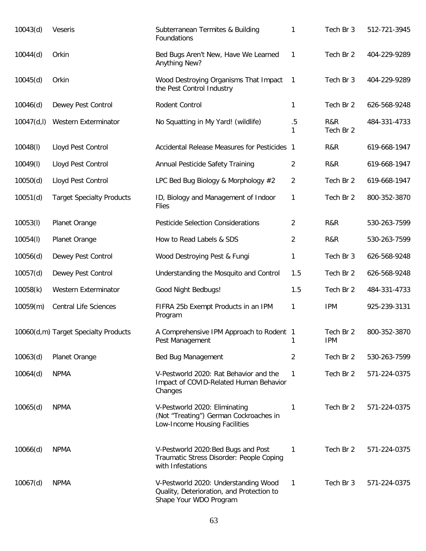| 10043(d)    | Veseris                              | Subterranean Termites & Building<br>Foundations                                                             | 1              | Tech Br 3               | 512-721-3945 |
|-------------|--------------------------------------|-------------------------------------------------------------------------------------------------------------|----------------|-------------------------|--------------|
| 10044(d)    | Orkin                                | Bed Bugs Aren't New, Have We Learned<br>Anything New?                                                       | 1              | Tech Br 2               | 404-229-9289 |
| 10045(d)    | Orkin                                | Wood Destroying Organisms That Impact<br>the Pest Control Industry                                          | 1              | Tech Br 3               | 404-229-9289 |
| 10046(d)    | Dewey Pest Control                   | Rodent Control                                                                                              | $\mathbf{1}$   | Tech Br 2               | 626-568-9248 |
| 10047(d, I) | Western Exterminator                 | No Squatting in My Yard! (wildlife)                                                                         | .5<br>1        | R&R<br>Tech Br 2        | 484-331-4733 |
| 10048(l)    | Lloyd Pest Control                   | Accidental Release Measures for Pesticides 1                                                                |                | R&R                     | 619-668-1947 |
| 10049(l)    | Lloyd Pest Control                   | Annual Pesticide Safety Training                                                                            | 2              | R&R                     | 619-668-1947 |
| 10050(d)    | Lloyd Pest Control                   | LPC Bed Bug Biology & Morphology #2                                                                         | 2              | Tech Br 2               | 619-668-1947 |
| 10051(d)    | <b>Target Specialty Products</b>     | ID, Biology and Management of Indoor<br><b>Flies</b>                                                        | 1              | Tech Br 2               | 800-352-3870 |
| 10053(l)    | Planet Orange                        | <b>Pesticide Selection Considerations</b>                                                                   | $\overline{2}$ | R&R                     | 530-263-7599 |
| 10054(l)    | Planet Orange                        | How to Read Labels & SDS                                                                                    | 2              | R&R                     | 530-263-7599 |
| 10056(d)    | Dewey Pest Control                   | Wood Destroying Pest & Fungi                                                                                | $\mathbf{1}$   | Tech Br 3               | 626-568-9248 |
| 10057(d)    | Dewey Pest Control                   | Understanding the Mosquito and Control                                                                      | 1.5            | Tech Br 2               | 626-568-9248 |
| 10058(k)    | Western Exterminator                 | Good Night Bedbugs!                                                                                         | 1.5            | Tech Br 2               | 484-331-4733 |
| 10059(m)    | <b>Central Life Sciences</b>         | FIFRA 25b Exempt Products in an IPM<br>Program                                                              | $\mathbf{1}$   | <b>IPM</b>              | 925-239-3131 |
|             | 10060(d,m) Target Specialty Products | A Comprehensive IPM Approach to Rodent 1<br>Pest Management                                                 | 1              | Tech Br 2<br><b>IPM</b> | 800-352-3870 |
| 10063(d)    | Planet Orange                        | Bed Bug Management                                                                                          | $\overline{2}$ | Tech Br 2               | 530-263-7599 |
| 10064(d)    | <b>NPMA</b>                          | V-Pestworld 2020: Rat Behavior and the<br>Impact of COVID-Related Human Behavior<br>Changes                 | 1              | Tech Br 2               | 571-224-0375 |
| 10065(d)    | <b>NPMA</b>                          | V-Pestworld 2020: Eliminating<br>(Not "Treating") German Cockroaches in<br>Low-Income Housing Facilities    | 1              | Tech Br 2               | 571-224-0375 |
| 10066(d)    | <b>NPMA</b>                          | V-Pestworld 2020: Bed Bugs and Post<br>Traumatic Stress Disorder: People Coping<br>with Infestations        | 1              | Tech Br 2               | 571-224-0375 |
| 10067(d)    | <b>NPMA</b>                          | V-Pestworld 2020: Understanding Wood<br>Quality, Deterioration, and Protection to<br>Shape Your WDO Program | 1              | Tech Br 3               | 571-224-0375 |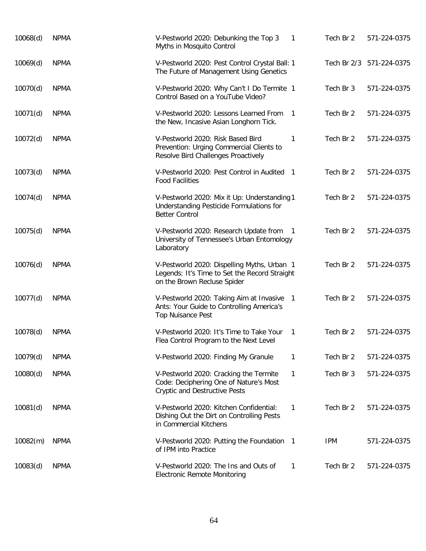| 10068(d) | <b>NPMA</b> | V-Pestworld 2020: Debunking the Top 3<br>Myths in Mosquito Control                                                          | 1              | Tech Br 2  | 571-224-0375             |
|----------|-------------|-----------------------------------------------------------------------------------------------------------------------------|----------------|------------|--------------------------|
| 10069(d) | <b>NPMA</b> | V-Pestworld 2020: Pest Control Crystal Ball: 1<br>The Future of Management Using Genetics                                   |                |            | Tech Br 2/3 571-224-0375 |
| 10070(d) | <b>NPMA</b> | V-Pestworld 2020: Why Can't I Do Termite 1<br>Control Based on a YouTube Video?                                             |                | Tech Br 3  | 571-224-0375             |
| 10071(d) | <b>NPMA</b> | V-Pestworld 2020: Lessons Learned From<br>the New, Incasive Asian Longhorn Tick.                                            | $\overline{1}$ | Tech Br 2  | 571-224-0375             |
| 10072(d) | <b>NPMA</b> | V-Pestworld 2020: Risk Based Bird<br>Prevention: Urging Commercial Clients to<br>Resolve Bird Challenges Proactively        | 1              | Tech Br 2  | 571-224-0375             |
| 10073(d) | <b>NPMA</b> | V-Pestworld 2020: Pest Control in Audited 1<br><b>Food Facilities</b>                                                       |                | Tech Br 2  | 571-224-0375             |
| 10074(d) | <b>NPMA</b> | V-Pestworld 2020: Mix it Up: Understanding 1<br>Understanding Pesticide Formulations for<br><b>Better Control</b>           |                | Tech Br 2  | 571-224-0375             |
| 10075(d) | <b>NPMA</b> | V-Pestworld 2020: Research Update from 1<br>University of Tennessee's Urban Entomology<br>Laboratory                        |                | Tech Br 2  | 571-224-0375             |
| 10076(d) | <b>NPMA</b> | V-Pestworld 2020: Dispelling Myths, Urban 1<br>Legends: It's Time to Set the Record Straight<br>on the Brown Recluse Spider |                | Tech Br 2  | 571-224-0375             |
| 10077(d) | <b>NPMA</b> | V-Pestworld 2020: Taking Aim at Invasive<br>Ants: Your Guide to Controlling America's<br><b>Top Nuisance Pest</b>           | $\overline{1}$ | Tech Br 2  | 571-224-0375             |
| 10078(d) | <b>NPMA</b> | V-Pestworld 2020: It's Time to Take Your<br>Flea Control Program to the Next Level                                          | 1              | Tech Br 2  | 571-224-0375             |
| 10079(d) | <b>NPMA</b> | V-Pestworld 2020: Finding My Granule                                                                                        | 1              | Tech Br 2  | 571-224-0375             |
| 10080(d) | <b>NPMA</b> | V-Pestworld 2020: Cracking the Termite<br>Code: Deciphering One of Nature's Most<br><b>Cryptic and Destructive Pests</b>    | 1              | Tech Br 3  | 571-224-0375             |
| 10081(d) | <b>NPMA</b> | V-Pestworld 2020: Kitchen Confidential:<br>Dishing Out the Dirt on Controlling Pests<br>in Commercial Kitchens              | 1              | Tech Br 2  | 571-224-0375             |
| 10082(m) | <b>NPMA</b> | V-Pestworld 2020: Putting the Foundation<br>of IPM into Practice                                                            | $\overline{1}$ | <b>IPM</b> | 571-224-0375             |
| 10083(d) | <b>NPMA</b> | V-Pestworld 2020: The Ins and Outs of<br><b>Electronic Remote Monitoring</b>                                                | 1              | Tech Br 2  | 571-224-0375             |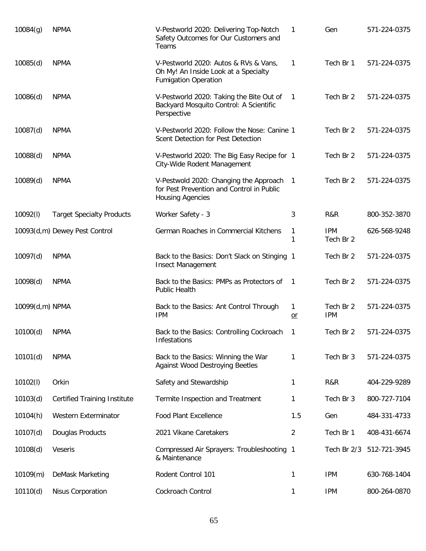| 10084(g)        | <b>NPMA</b>                         | V-Pestworld 2020: Delivering Top-Notch<br>Safety Outcomes for Our Customers and<br>Teams                       | 1              | Gen                     | 571-224-0375 |
|-----------------|-------------------------------------|----------------------------------------------------------------------------------------------------------------|----------------|-------------------------|--------------|
| 10085(d)        | <b>NPMA</b>                         | V-Pestworld 2020: Autos & RVs & Vans,<br>Oh My! An Inside Look at a Specialty<br><b>Fumigation Operation</b>   | 1              | Tech Br 1               | 571-224-0375 |
| 10086(d)        | <b>NPMA</b>                         | V-Pestworld 2020: Taking the Bite Out of<br>Backyard Mosquito Control: A Scientific<br>Perspective             | $\mathbf{1}$   | Tech Br 2               | 571-224-0375 |
| 10087(d)        | <b>NPMA</b>                         | V-Pestworld 2020: Follow the Nose: Canine 1<br>Scent Detection for Pest Detection                              |                | Tech Br 2               | 571-224-0375 |
| 10088(d)        | <b>NPMA</b>                         | V-Pestworld 2020: The Big Easy Recipe for 1<br>City-Wide Rodent Management                                     |                | Tech Br 2               | 571-224-0375 |
| 10089(d)        | <b>NPMA</b>                         | V-Pestwold 2020: Changing the Approach<br>for Pest Prevention and Control in Public<br><b>Housing Agencies</b> | $\overline{1}$ | Tech Br 2               | 571-224-0375 |
| 10092(l)        | <b>Target Specialty Products</b>    | Worker Safety - 3                                                                                              | 3              | R&R                     | 800-352-3870 |
|                 | 10093(d,m) Dewey Pest Control       | German Roaches in Commercial Kitchens                                                                          | 1<br>1         | <b>IPM</b><br>Tech Br 2 | 626-568-9248 |
| 10097(d)        | <b>NPMA</b>                         | Back to the Basics: Don't Slack on Stinging 1<br><b>Insect Management</b>                                      |                | Tech Br 2               | 571-224-0375 |
| 10098(d)        | <b>NPMA</b>                         | Back to the Basics: PMPs as Protectors of<br>Public Health                                                     | -1             | Tech Br 2               | 571-224-0375 |
| 10099(d,m) NPMA |                                     | Back to the Basics: Ant Control Through<br><b>IPM</b>                                                          | 1<br>$or$      | Tech Br 2<br><b>IPM</b> | 571-224-0375 |
| 10100(d)        | <b>NPMA</b>                         | Back to the Basics: Controlling Cockroach<br>Infestations                                                      | 1              | Tech Br 2               | 571-224-0375 |
| 10101(d)        | <b>NPMA</b>                         | Back to the Basics: Winning the War<br><b>Against Wood Destroying Beetles</b>                                  | 1              | Tech Br 3               | 571-224-0375 |
| 10102(l)        | Orkin                               | Safety and Stewardship                                                                                         | 1              | R&R                     | 404-229-9289 |
| 10103(d)        | <b>Certified Training Institute</b> | Termite Inspection and Treatment                                                                               | 1              | Tech Br 3               | 800-727-7104 |
| 10104(h)        | Western Exterminator                | <b>Food Plant Excellence</b>                                                                                   | 1.5            | Gen                     | 484-331-4733 |
| 10107(d)        | Douglas Products                    | 2021 Vikane Caretakers                                                                                         | $\overline{2}$ | Tech Br 1               | 408-431-6674 |
| 10108(d)        | Veseris                             | Compressed Air Sprayers: Troubleshooting 1<br>& Maintenance                                                    |                | Tech Br 2/3             | 512-721-3945 |
| 10109(m)        | DeMask Marketing                    | Rodent Control 101                                                                                             | 1              | <b>IPM</b>              | 630-768-1404 |
| 10110(d)        | Nisus Corporation                   | Cockroach Control                                                                                              | 1              | <b>IPM</b>              | 800-264-0870 |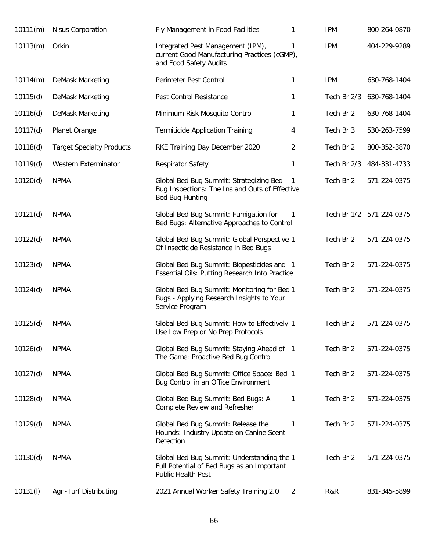| 10111(m) | Nisus Corporation                | Fly Management in Food Facilities                                                                                   | 1              | <b>IPM</b>  | 800-264-0870             |
|----------|----------------------------------|---------------------------------------------------------------------------------------------------------------------|----------------|-------------|--------------------------|
| 10113(m) | Orkin                            | Integrated Pest Management (IPM),<br>current Good Manufacturing Practices (cGMP),<br>and Food Safety Audits         | 1              | <b>IPM</b>  | 404-229-9289             |
| 10114(m) | DeMask Marketing                 | Perimeter Pest Control                                                                                              | 1              | <b>IPM</b>  | 630-768-1404             |
| 10115(d) | DeMask Marketing                 | Pest Control Resistance                                                                                             | 1              | Tech Br 2/3 | 630-768-1404             |
| 10116(d) | DeMask Marketing                 | Minimum-Risk Mosquito Control                                                                                       | 1              | Tech Br 2   | 630-768-1404             |
| 10117(d) | Planet Orange                    | <b>Termiticide Application Training</b>                                                                             | 4              | Tech Br 3   | 530-263-7599             |
| 10118(d) | <b>Target Specialty Products</b> | RKE Training Day December 2020                                                                                      | $\overline{2}$ | Tech Br 2   | 800-352-3870             |
| 10119(d) | Western Exterminator             | <b>Respirator Safety</b>                                                                                            | 1              | Tech Br 2/3 | 484-331-4733             |
| 10120(d) | <b>NPMA</b>                      | Global Bed Bug Summit: Strategizing Bed<br>Bug Inspections: The Ins and Outs of Effective<br><b>Bed Bug Hunting</b> | $\mathbf{1}$   | Tech Br 2   | 571-224-0375             |
| 10121(d) | <b>NPMA</b>                      | Global Bed Bug Summit: Fumigation for<br>Bed Bugs: Alternative Approaches to Control                                | $\mathbf 1$    |             | Tech Br 1/2 571-224-0375 |
| 10122(d) | <b>NPMA</b>                      | Global Bed Bug Summit: Global Perspective 1<br>Of Insecticide Resistance in Bed Bugs                                |                | Tech Br 2   | 571-224-0375             |
| 10123(d) | <b>NPMA</b>                      | Global Bed Bug Summit: Biopesticides and 1<br>Essential Oils: Putting Research Into Practice                        |                | Tech Br 2   | 571-224-0375             |
| 10124(d) | <b>NPMA</b>                      | Global Bed Bug Summit: Monitoring for Bed 1<br>Bugs - Applying Research Insights to Your<br>Service Program         |                | Tech Br 2   | 571-224-0375             |
| 10125(d) | <b>NPMA</b>                      | Global Bed Bug Summit: How to Effectively 1<br>Use Low Prep or No Prep Protocols                                    |                | Tech Br 2   | 571-224-0375             |
| 10126(d) | <b>NPMA</b>                      | Global Bed Bug Summit: Staying Ahead of 1<br>The Game: Proactive Bed Bug Control                                    |                | Tech Br 2   | 571-224-0375             |
| 10127(d) | <b>NPMA</b>                      | Global Bed Bug Summit: Office Space: Bed 1<br>Bug Control in an Office Environment                                  |                | Tech Br 2   | 571-224-0375             |
| 10128(d) | <b>NPMA</b>                      | Global Bed Bug Summit: Bed Bugs: A<br>Complete Review and Refresher                                                 | 1              | Tech Br 2   | 571-224-0375             |
| 10129(d) | <b>NPMA</b>                      | Global Bed Bug Summit: Release the<br>Hounds: Industry Update on Canine Scent<br>Detection                          | $\mathbf{1}$   | Tech Br 2   | 571-224-0375             |
| 10130(d) | <b>NPMA</b>                      | Global Bed Bug Summit: Understanding the 1<br>Full Potential of Bed Bugs as an Important<br>Public Health Pest      |                | Tech Br 2   | 571-224-0375             |
| 10131(l) | Agri-Turf Distributing           | 2021 Annual Worker Safety Training 2.0                                                                              | $\overline{2}$ | R&R         | 831-345-5899             |